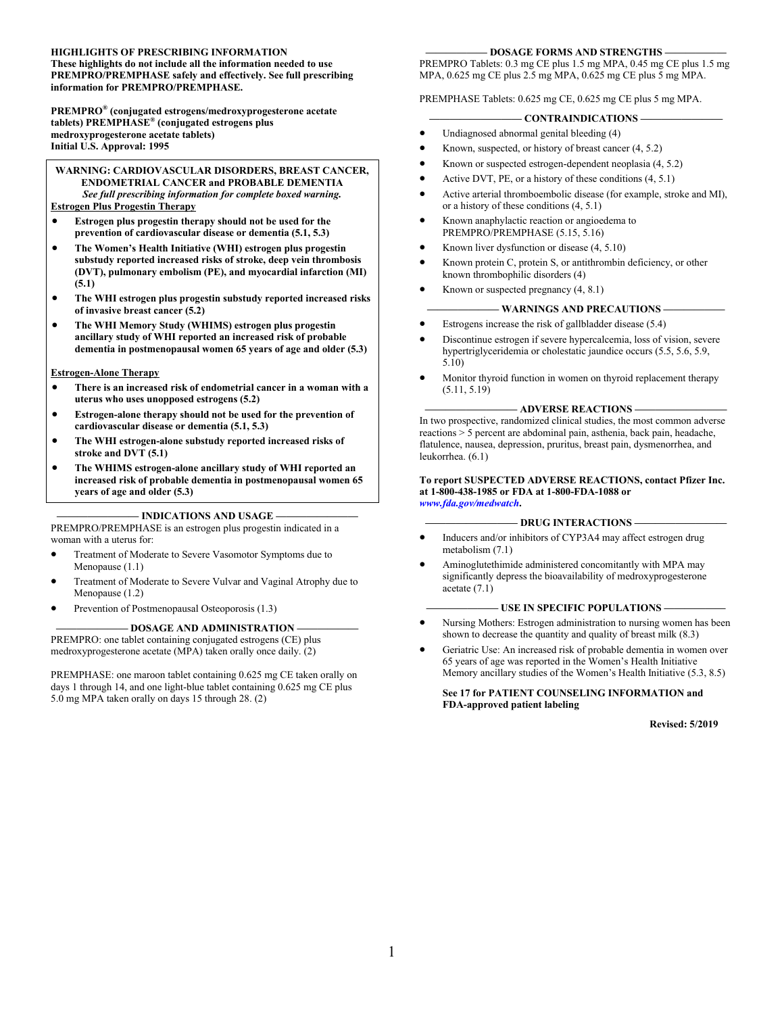#### **HIGHLIGHTS OF PRESCRIBING INFORMATION**

**These highlights do not include all the information needed to use PREMPRO/PREMPHASE safely and effectively. See full prescribing information for PREMPRO/PREMPHASE.**

**PREMPRO® (conjugated estrogens/medroxyprogesterone acetate tablets) PREMPHASE® (conjugated estrogens plus medroxyprogesterone acetate tablets) Initial U.S. Approval: 1995**

#### **WARNING: CARDIOVASCULAR DISORDERS, BREAST CANCER, ENDOMETRIAL CANCER and PROBABLE DEMENTIA** *See full prescribing information for complete boxed warning.* **Estrogen Plus Progestin Therapy**

- **Estrogen plus progestin therapy should not be used for the**
- **prevention of cardiovascular disease or dementia (5.1, 5.3) The Women's Health Initiative (WHI) estrogen plus progestin substudy reported increased risks of stroke, deep vein thrombosis**
- **(DVT), pulmonary embolism (PE), and myocardial infarction (MI) (5.1)**
- **The WHI estrogen plus progestin substudy reported increased risks of invasive breast cancer (5.2)**
- **The WHI Memory Study (WHIMS) estrogen plus progestin ancillary study of WHI reported an increased risk of probable dementia in postmenopausal women 65 years of age and older (5.3)**

#### **Estrogen-Alone Therapy**

- **There is an increased risk of endometrial cancer in a woman with a uterus who uses unopposed estrogens (5.2)**
- **Estrogen-alone therapy should not be used for the prevention of cardiovascular disease or dementia (5.1, 5.3)**
- **The WHI estrogen-alone substudy reported increased risks of stroke and DVT (5.1)**
- **The WHIMS estrogen-alone ancillary study of WHI reported an increased risk of probable dementia in postmenopausal women 65 years of age and older (5.3)**

#### **———————— INDICATIONS AND USAGE ————————**

PREMPRO/PREMPHASE is an estrogen plus progestin indicated in a woman with a uterus for:

- Treatment of Moderate to Severe Vasomotor Symptoms due to Menopause (1.1)
- Treatment of Moderate to Severe Vulvar and Vaginal Atrophy due to Menopause (1.2)
- Prevention of Postmenopausal Osteoporosis (1.3)

#### **——————— DOSAGE AND ADMINISTRATION ——————**

PREMPRO: one tablet containing conjugated estrogens (CE) plus medroxyprogesterone acetate (MPA) taken orally once daily. (2)

PREMPHASE: one maroon tablet containing 0.625 mg CE taken orally on days 1 through 14, and one light-blue tablet containing 0.625 mg CE plus 5.0 mg MPA taken orally on days 15 through 28. (2)

#### **—————— DOSAGE FORMS AND STRENGTHS ——————**

PREMPRO Tablets: 0.3 mg CE plus 1.5 mg MPA, 0.45 mg CE plus 1.5 mg MPA, 0.625 mg CE plus 2.5 mg MPA, 0.625 mg CE plus 5 mg MPA.

PREMPHASE Tablets: 0.625 mg CE, 0.625 mg CE plus 5 mg MPA.

#### $\sim$  **CONTRAINDICATIONS** –

- Undiagnosed abnormal genital bleeding (4)
- Known, suspected, or history of breast cancer (4, 5.2)
- Known or suspected estrogen-dependent neoplasia (4, 5.2)
- Active DVT, PE, or a history of these conditions (4, 5.1)
- Active arterial thromboembolic disease (for example, stroke and MI), or a history of these conditions (4, 5.1)
- Known anaphylactic reaction or angioedema to PREMPRO/PREMPHASE (5.15, 5.16)
- Known liver dysfunction or disease (4, 5.10)
- Known protein C, protein S, or antithrombin deficiency, or other known thrombophilic disorders (4)
- Known or suspected pregnancy (4, 8.1)

#### **——————— WARNINGS AND PRECAUTIONS ——————**

- Estrogens increase the risk of gallbladder disease (5.4)
- Discontinue estrogen if severe hypercalcemia, loss of vision, severe hypertriglyceridemia or cholestatic jaundice occurs (5.5, 5.6, 5.9, 5.10)
- Monitor thyroid function in women on thyroid replacement therapy (5.11, 5.19)

#### **————————— ADVERSE REACTIONS —————————**

In two prospective, randomized clinical studies, the most common adverse reactions > 5 percent are abdominal pain, asthenia, back pain, headache, flatulence, nausea, depression, pruritus, breast pain, dysmenorrhea, and leukorrhea. (6.1)

#### **To report SUSPECTED ADVERSE REACTIONS, contact Pfizer Inc. at 1-800-438-1985 or FDA at 1-800-FDA-1088 or**  *[www.fda.gov/medwatch](http://www.fda.gov/medwatch)***.**

#### **————————— DRUG INTERACTIONS —————————**

- Inducers and/or inhibitors of CYP3A4 may affect estrogen drug metabolism (7.1)
- Aminoglutethimide administered concomitantly with MPA may significantly depress the bioavailability of medroxyprogesterone acetate (7.1)

#### **——————— USE IN SPECIFIC POPULATIONS ——————**

- Nursing Mothers: Estrogen administration to nursing women has been shown to decrease the quantity and quality of breast milk (8.3)
- Geriatric Use: An increased risk of probable dementia in women over 65 years of age was reported in the Women's Health Initiative Memory ancillary studies of the Women's Health Initiative (5.3, 8.5)

#### **See 17 for PATIENT COUNSELING INFORMATION and FDA-approved patient labeling**

**Revised: 5/2019**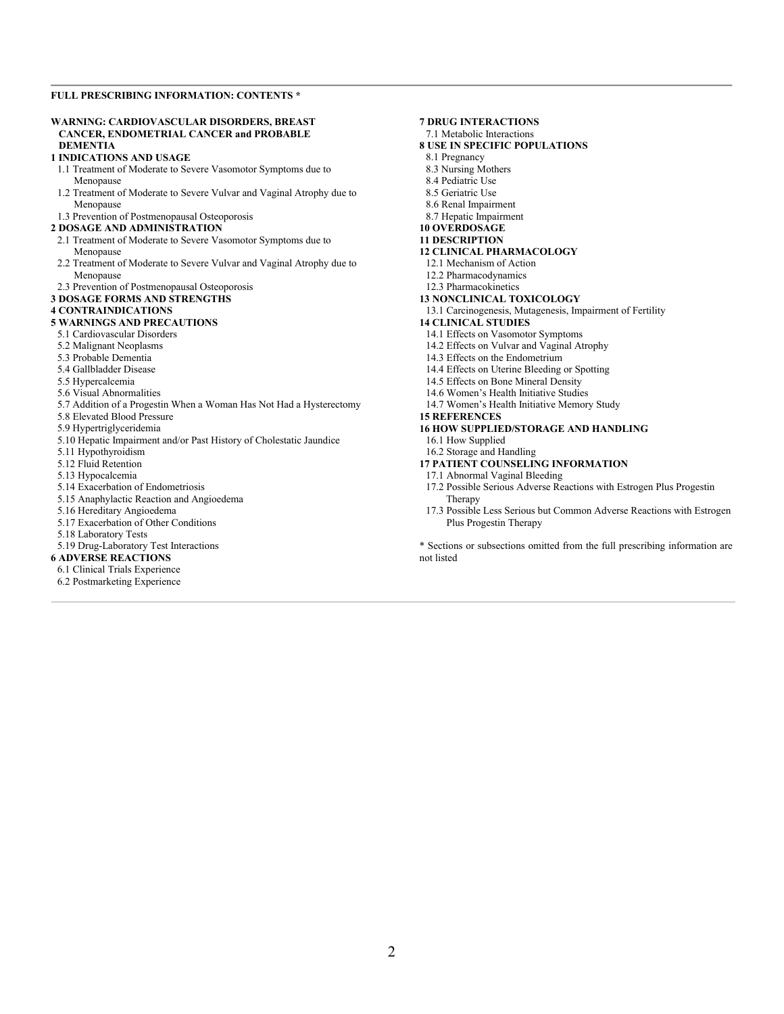#### **FULL PRESCRIBING INFORMATION: CONTENTS \***

#### **WARNING: CARDIOVASCULAR DISORDERS, BREAST CANCER, ENDOMETRIAL CANCER and PROBABLE DEMENTIA**

- **1 INDICATIONS AND USAGE**
- 1.1 Treatment of Moderate to Severe Vasomotor Symptoms due to Menopause
- 1.2 Treatment of Moderate to Severe Vulvar and Vaginal Atrophy due to Menopause
- 1.3 Prevention of Postmenopausal Osteoporosis
- **2 DOSAGE AND ADMINISTRATION**
- 2.1 Treatment of Moderate to Severe Vasomotor Symptoms due to Menopause
- 2.2 Treatment of Moderate to Severe Vulvar and Vaginal Atrophy due to Menopause
- 2.3 Prevention of Postmenopausal Osteoporosis

#### **3 DOSAGE FORMS AND STRENGTHS**

#### **4 CONTRAINDICATIONS**

#### **5 WARNINGS AND PRECAUTIONS**

- 5.1 Cardiovascular Disorders
- 5.2 Malignant Neoplasms
- 5.3 Probable Dementia
- 5.4 Gallbladder Disease
- 5.5 Hypercalcemia
- 5.6 Visual Abnormalities
- 5.7 Addition of a Progestin When a Woman Has Not Had a Hysterectomy
- 5.8 Elevated Blood Pressure
- 5.9 Hypertriglyceridemia
- 5.10 Hepatic Impairment and/or Past History of Cholestatic Jaundice
- 5.11 Hypothyroidism
- 5.12 Fluid Retention
- 5.13 Hypocalcemia
- 5.14 Exacerbation of Endometriosis
- 5.15 Anaphylactic Reaction and Angioedema
- 5.16 Hereditary Angioedema
- 5.17 Exacerbation of Other Conditions
- 5.18 Laboratory Tests
- 5.19 Drug-Laboratory Test Interactions

#### **6 ADVERSE REACTIONS**

- 6.1 Clinical Trials Experience
- 6.2 Postmarketing Experience

**7 DRUG INTERACTIONS** 7.1 Metabolic Interactions **8 USE IN SPECIFIC POPULATIONS** 8.1 Pregnancy 8.3 Nursing Mothers 8.4 Pediatric Use 8.5 Geriatric Use 8.6 Renal Impairment 8.7 Hepatic Impairment **10 OVERDOSAGE 11 DESCRIPTION 12 CLINICAL PHARMACOLOGY** 12.1 Mechanism of Action 12.2 Pharmacodynamics 12.3 Pharmacokinetics **13 NONCLINICAL TOXICOLOGY** 13.1 Carcinogenesis, Mutagenesis, Impairment of Fertility **14 CLINICAL STUDIES** 14.1 Effects on Vasomotor Symptoms 14.2 Effects on Vulvar and Vaginal Atrophy 14.3 Effects on the Endometrium 14.4 Effects on Uterine Bleeding or Spotting 14.5 Effects on Bone Mineral Density 14.6 Women's Health Initiative Studies 14.7 Women's Health Initiative Memory Study **15 REFERENCES 16 HOW SUPPLIED/STORAGE AND HANDLING** 16.1 How Supplied 16.2 Storage and Handling **17 PATIENT COUNSELING INFORMATION** 17.1 Abnormal Vaginal Bleeding 17.2 Possible Serious Adverse Reactions with Estrogen Plus Progestin **Therapy** 17.3 Possible Less Serious but Common Adverse Reactions with Estrogen Plus Progestin Therapy

\* Sections or subsections omitted from the full prescribing information are not listed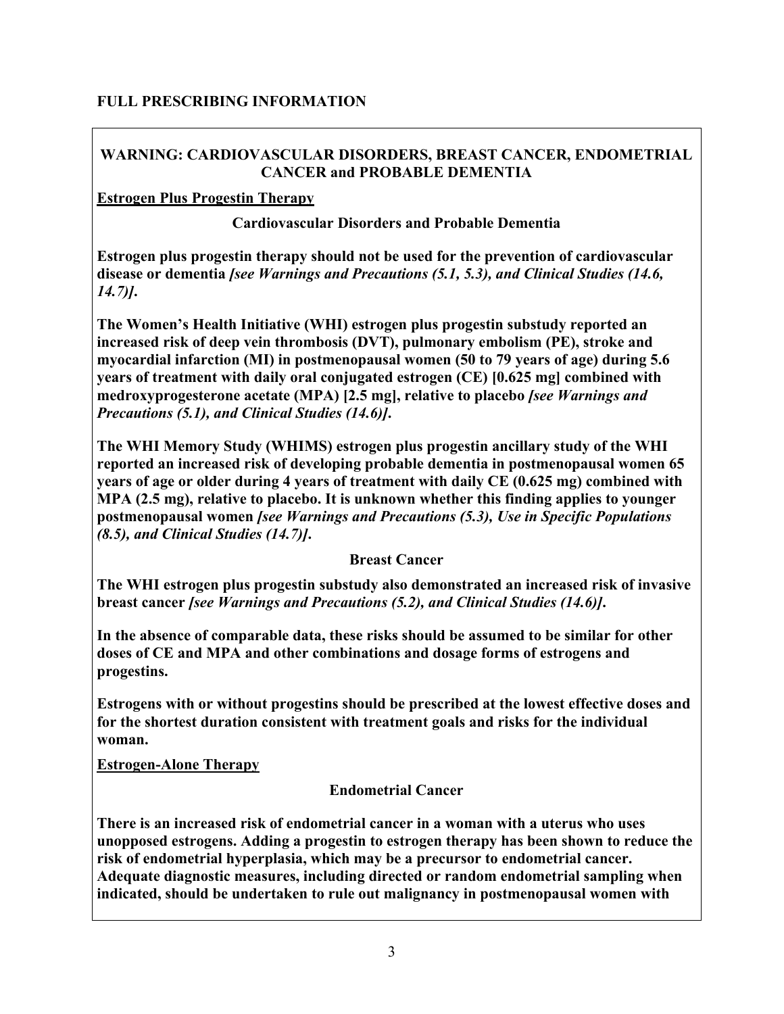# **FULL PRESCRIBING INFORMATION**

# **WARNING: CARDIOVASCULAR DISORDERS, BREAST CANCER, ENDOMETRIAL CANCER and PROBABLE DEMENTIA**

**Estrogen Plus Progestin Therapy**

# **Cardiovascular Disorders and Probable Dementia**

**Estrogen plus progestin therapy should not be used for the prevention of cardiovascular disease or dementia** *[see Warnings and Precautions (5.1, 5.3), and Clinical Studies (14.6, 14.7)]***.**

**The Women's Health Initiative (WHI) estrogen plus progestin substudy reported an increased risk of deep vein thrombosis (DVT), pulmonary embolism (PE), stroke and myocardial infarction (MI) in postmenopausal women (50 to 79 years of age) during 5.6 years of treatment with daily oral conjugated estrogen (CE) [0.625 mg] combined with medroxyprogesterone acetate (MPA) [2.5 mg], relative to placebo** *[see Warnings and Precautions (5.1), and Clinical Studies (14.6)]***.**

**The WHI Memory Study (WHIMS) estrogen plus progestin ancillary study of the WHI reported an increased risk of developing probable dementia in postmenopausal women 65 years of age or older during 4 years of treatment with daily CE (0.625 mg) combined with MPA (2.5 mg), relative to placebo. It is unknown whether this finding applies to younger postmenopausal women** *[see Warnings and Precautions (5.3), Use in Specific Populations (8.5), and Clinical Studies (14.7)]***.**

### **Breast Cancer**

**The WHI estrogen plus progestin substudy also demonstrated an increased risk of invasive breast cancer** *[see Warnings and Precautions (5.2), and Clinical Studies (14.6)]***.**

**In the absence of comparable data, these risks should be assumed to be similar for other doses of CE and MPA and other combinations and dosage forms of estrogens and progestins.**

**Estrogens with or without progestins should be prescribed at the lowest effective doses and for the shortest duration consistent with treatment goals and risks for the individual woman.** 

**Estrogen-Alone Therapy**

**Endometrial Cancer**

**There is an increased risk of endometrial cancer in a woman with a uterus who uses unopposed estrogens. Adding a progestin to estrogen therapy has been shown to reduce the risk of endometrial hyperplasia, which may be a precursor to endometrial cancer. Adequate diagnostic measures, including directed or random endometrial sampling when indicated, should be undertaken to rule out malignancy in postmenopausal women with**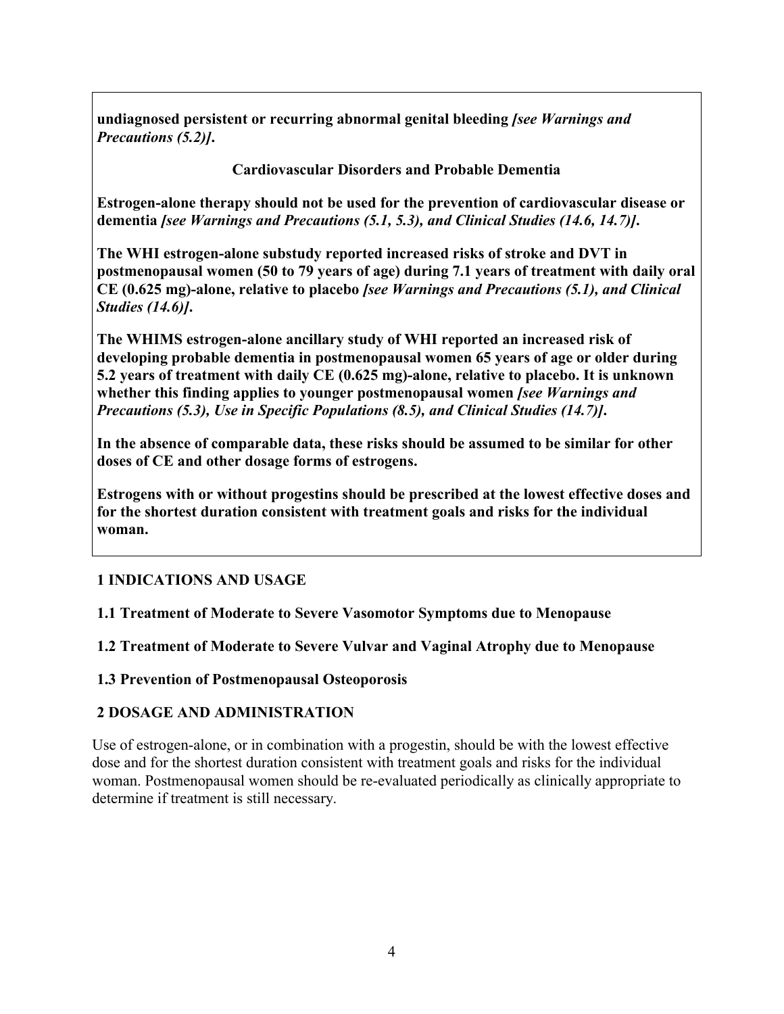**undiagnosed persistent or recurring abnormal genital bleeding** *[see Warnings and Precautions (5.2)]***.**

**Cardiovascular Disorders and Probable Dementia**

**Estrogen-alone therapy should not be used for the prevention of cardiovascular disease or dementia** *[see Warnings and Precautions (5.1, 5.3), and Clinical Studies (14.6, 14.7)]***.**

**The WHI estrogen-alone substudy reported increased risks of stroke and DVT in postmenopausal women (50 to 79 years of age) during 7.1 years of treatment with daily oral CE (0.625 mg)-alone, relative to placebo** *[see Warnings and Precautions (5.1), and Clinical Studies (14.6)]***.**

**The WHIMS estrogen-alone ancillary study of WHI reported an increased risk of developing probable dementia in postmenopausal women 65 years of age or older during 5.2 years of treatment with daily CE (0.625 mg)-alone, relative to placebo. It is unknown whether this finding applies to younger postmenopausal women** *[see Warnings and Precautions (5.3), Use in Specific Populations (8.5), and Clinical Studies (14.7)]***.**

**In the absence of comparable data, these risks should be assumed to be similar for other doses of CE and other dosage forms of estrogens.**

**Estrogens with or without progestins should be prescribed at the lowest effective doses and for the shortest duration consistent with treatment goals and risks for the individual woman.**

# **1 INDICATIONS AND USAGE**

**1.1 Treatment of Moderate to Severe Vasomotor Symptoms due to Menopause**

**1.2 Treatment of Moderate to Severe Vulvar and Vaginal Atrophy due to Menopause**

**1.3 Prevention of Postmenopausal Osteoporosis**

# **2 DOSAGE AND ADMINISTRATION**

Use of estrogen-alone, or in combination with a progestin, should be with the lowest effective dose and for the shortest duration consistent with treatment goals and risks for the individual woman. Postmenopausal women should be re-evaluated periodically as clinically appropriate to determine if treatment is still necessary.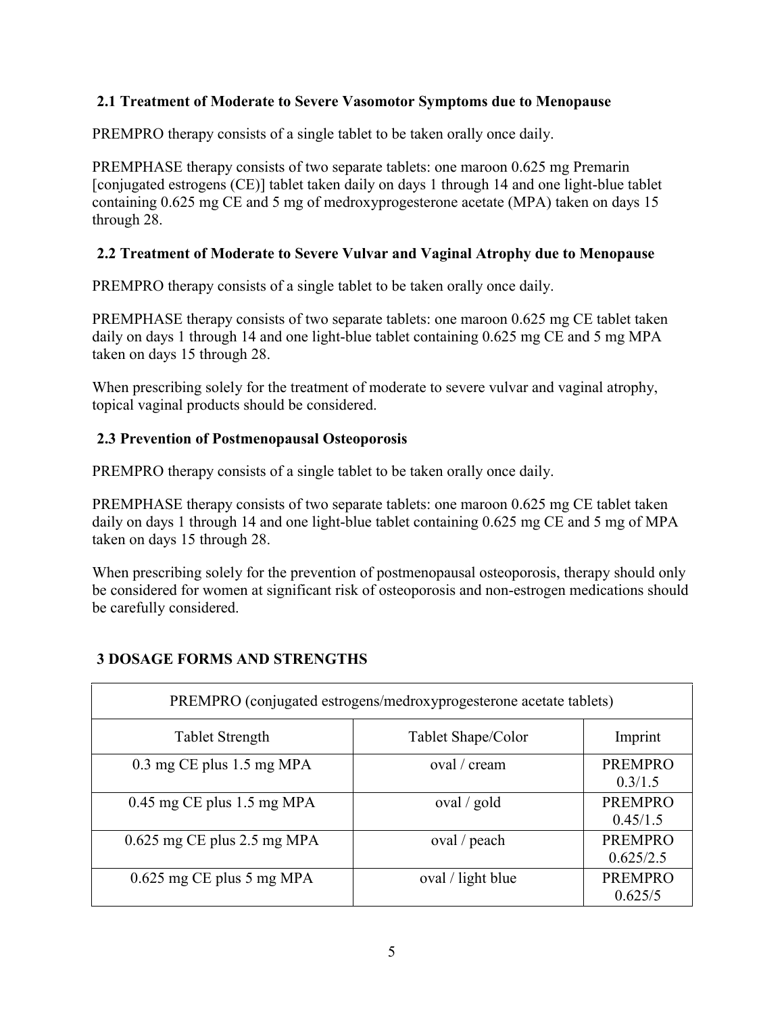#### **2.1 Treatment of Moderate to Severe Vasomotor Symptoms due to Menopause**

PREMPRO therapy consists of a single tablet to be taken orally once daily.

PREMPHASE therapy consists of two separate tablets: one maroon 0.625 mg Premarin [conjugated estrogens (CE)] tablet taken daily on days 1 through 14 and one light-blue tablet containing 0.625 mg CE and 5 mg of medroxyprogesterone acetate (MPA) taken on days 15 through 28.

#### **2.2 Treatment of Moderate to Severe Vulvar and Vaginal Atrophy due to Menopause**

PREMPRO therapy consists of a single tablet to be taken orally once daily.

PREMPHASE therapy consists of two separate tablets: one maroon 0.625 mg CE tablet taken daily on days 1 through 14 and one light-blue tablet containing 0.625 mg CE and 5 mg MPA taken on days 15 through 28.

When prescribing solely for the treatment of moderate to severe vulvar and vaginal atrophy, topical vaginal products should be considered.

#### **2.3 Prevention of Postmenopausal Osteoporosis**

PREMPRO therapy consists of a single tablet to be taken orally once daily.

PREMPHASE therapy consists of two separate tablets: one maroon 0.625 mg CE tablet taken daily on days 1 through 14 and one light-blue tablet containing 0.625 mg CE and 5 mg of MPA taken on days 15 through 28.

When prescribing solely for the prevention of postmenopausal osteoporosis, therapy should only be considered for women at significant risk of osteoporosis and non-estrogen medications should be carefully considered.

| PREMPRO (conjugated estrogens/medroxyprogesterone acetate tablets) |                                |                             |  |  |  |  |
|--------------------------------------------------------------------|--------------------------------|-----------------------------|--|--|--|--|
| <b>Tablet Strength</b>                                             | Tablet Shape/Color             | Imprint                     |  |  |  |  |
| $0.3 \text{ mg CE plus } 1.5 \text{ mg MPA}$                       | oval / cream                   | <b>PREMPRO</b><br>0.3/1.5   |  |  |  |  |
| $0.45$ mg CE plus 1.5 mg MPA                                       | oval $\frac{\prime}{\pi}$ gold | <b>PREMPRO</b><br>0.45/1.5  |  |  |  |  |
| $0.625$ mg CE plus 2.5 mg MPA                                      | oval / peach                   | <b>PREMPRO</b><br>0.625/2.5 |  |  |  |  |
| $0.625$ mg CE plus 5 mg MPA                                        | oval / light blue              | <b>PREMPRO</b><br>0.625/5   |  |  |  |  |

### **3 DOSAGE FORMS AND STRENGTHS**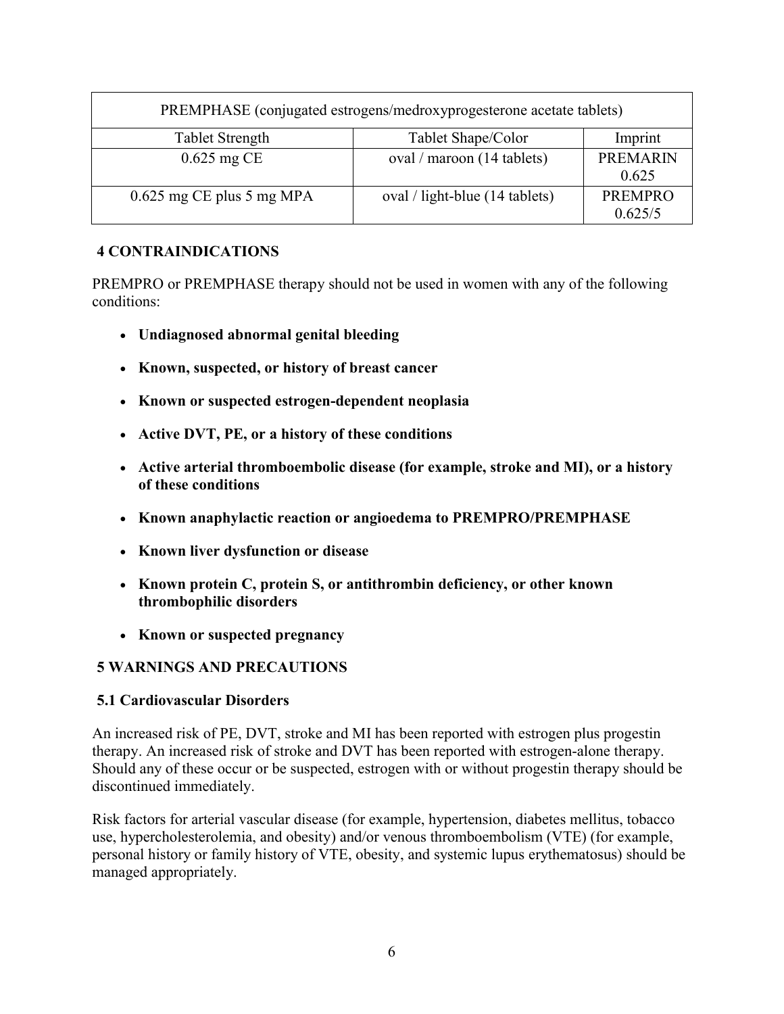| PREMPHASE (conjugated estrogens/medroxyprogesterone acetate tablets) |                                |                           |  |  |  |  |
|----------------------------------------------------------------------|--------------------------------|---------------------------|--|--|--|--|
| <b>Tablet Strength</b>                                               | Tablet Shape/Color             | Imprint                   |  |  |  |  |
| $0.625$ mg CE                                                        | oval / maroon (14 tablets)     | <b>PREMARIN</b><br>0.625  |  |  |  |  |
| $0.625$ mg CE plus 5 mg MPA                                          | oval / light-blue (14 tablets) | <b>PREMPRO</b><br>0.625/5 |  |  |  |  |

# **4 CONTRAINDICATIONS**

PREMPRO or PREMPHASE therapy should not be used in women with any of the following conditions:

- **Undiagnosed abnormal genital bleeding**
- **Known, suspected, or history of breast cancer**
- **Known or suspected estrogen-dependent neoplasia**
- **Active DVT, PE, or a history of these conditions**
- **Active arterial thromboembolic disease (for example, stroke and MI), or a history of these conditions**
- **Known anaphylactic reaction or angioedema to PREMPRO/PREMPHASE**
- **Known liver dysfunction or disease**
- **Known protein C, protein S, or antithrombin deficiency, or other known thrombophilic disorders**
- **Known or suspected pregnancy**

# **5 WARNINGS AND PRECAUTIONS**

### **5.1 Cardiovascular Disorders**

An increased risk of PE, DVT, stroke and MI has been reported with estrogen plus progestin therapy. An increased risk of stroke and DVT has been reported with estrogen-alone therapy. Should any of these occur or be suspected, estrogen with or without progestin therapy should be discontinued immediately.

Risk factors for arterial vascular disease (for example, hypertension, diabetes mellitus, tobacco use, hypercholesterolemia, and obesity) and/or venous thromboembolism (VTE) (for example, personal history or family history of VTE, obesity, and systemic lupus erythematosus) should be managed appropriately.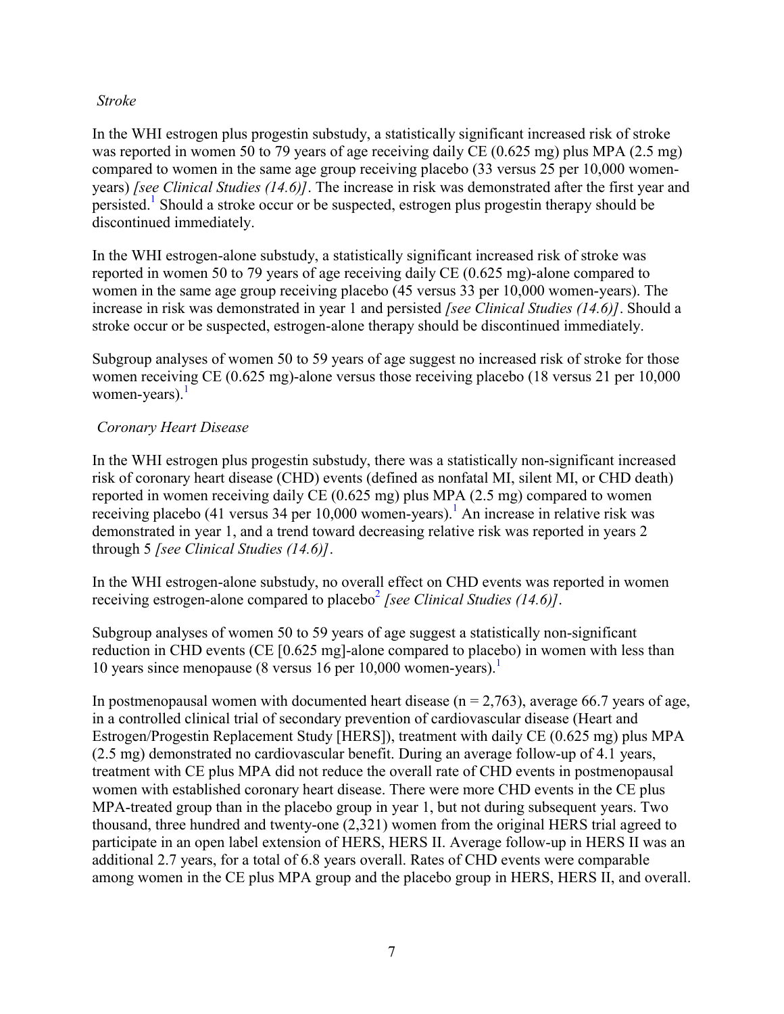#### *Stroke*

In the WHI estrogen plus progestin substudy, a statistically significant increased risk of stroke was reported in women 50 to 79 years of age receiving daily CE (0.625 mg) plus MPA (2.5 mg) compared to women in the same age group receiving placebo (33 versus 25 per 10,000 womenyears) *[see Clinical Studies (14.6)]*. The increase in risk was demonstrated after the first year and persisted.<sup>1</sup> Should a stroke occur or be suspected, estrogen plus progestin therapy should be discontinued immediately.

In the WHI estrogen-alone substudy, a statistically significant increased risk of stroke was reported in women 50 to 79 years of age receiving daily CE (0.625 mg)-alone compared to women in the same age group receiving placebo (45 versus 33 per 10,000 women-years). The increase in risk was demonstrated in year 1 and persisted *[see Clinical Studies (14.6)]*. Should a stroke occur or be suspected, estrogen-alone therapy should be discontinued immediately.

Subgroup analyses of women 50 to 59 years of age suggest no increased risk of stroke for those women receiving CE (0.625 mg)-alone versus those receiving placebo (18 versus 21 per 10,000 women-years). $<sup>1</sup>$ </sup>

# *Coronary Heart Disease*

In the WHI estrogen plus progestin substudy, there was a statistically non-significant increased risk of coronary heart disease (CHD) events (defined as nonfatal MI, silent MI, or CHD death) reported in women receiving daily CE (0.625 mg) plus MPA (2.5 mg) compared to women receiving placebo (41 versus 34 per  $10,000$  women-years).<sup>1</sup> An increase in relative risk was demonstrated in year 1, and a trend toward decreasing relative risk was reported in years 2 through 5 *[see Clinical Studies (14.6)]*.

In the WHI estrogen-alone substudy, no overall effect on CHD events was reported in women receiving estrogen-alone compared to placebo<sup>2</sup> [see Clinical Studies (14.6)].

Subgroup analyses of women 50 to 59 years of age suggest a statistically non-significant reduction in CHD events (CE [0.625 mg]-alone compared to placebo) in women with less than 10 years since menopause (8 versus 16 per  $10,000$  women-years).<sup>1</sup>

In postmenopausal women with documented heart disease ( $n = 2.763$ ), average 66.7 years of age, in a controlled clinical trial of secondary prevention of cardiovascular disease (Heart and Estrogen/Progestin Replacement Study [HERS]), treatment with daily CE (0.625 mg) plus MPA (2.5 mg) demonstrated no cardiovascular benefit. During an average follow-up of 4.1 years, treatment with CE plus MPA did not reduce the overall rate of CHD events in postmenopausal women with established coronary heart disease. There were more CHD events in the CE plus MPA-treated group than in the placebo group in year 1, but not during subsequent years. Two thousand, three hundred and twenty-one (2,321) women from the original HERS trial agreed to participate in an open label extension of HERS, HERS II. Average follow-up in HERS II was an additional 2.7 years, for a total of 6.8 years overall. Rates of CHD events were comparable among women in the CE plus MPA group and the placebo group in HERS, HERS II, and overall.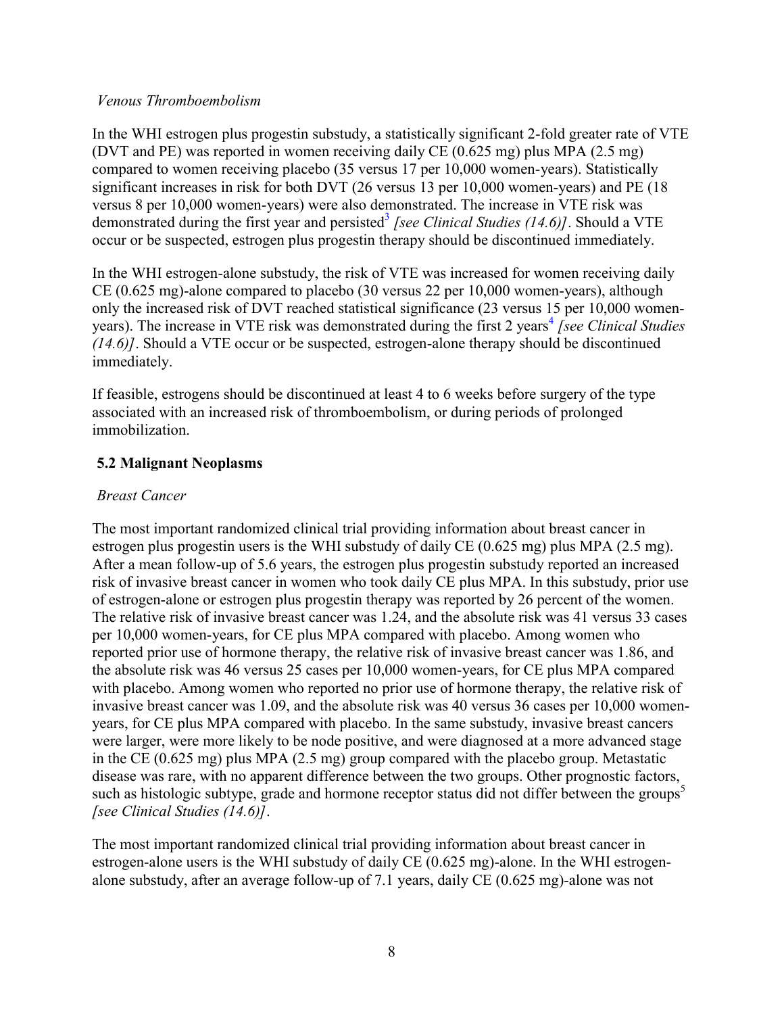#### *Venous Thromboembolism*

In the WHI estrogen plus progestin substudy, a statistically significant 2-fold greater rate of VTE (DVT and PE) was reported in women receiving daily CE (0.625 mg) plus MPA (2.5 mg) compared to women receiving placebo (35 versus 17 per 10,000 women-years). Statistically significant increases in risk for both DVT (26 versus 13 per 10,000 women-years) and PE (18 versus 8 per 10,000 women-years) were also demonstrated. The increase in VTE risk was demonstrated during the first year and persisted<sup>3</sup> [see Clinical Studies (14.6)]. Should a VTE occur or be suspected, estrogen plus progestin therapy should be discontinued immediately.

In the WHI estrogen-alone substudy, the risk of VTE was increased for women receiving daily CE (0.625 mg)-alone compared to placebo (30 versus 22 per 10,000 women-years), although only the increased risk of DVT reached statistical significance (23 versus 15 per 10,000 womenyears). The increase in VTE risk was demonstrated during the first 2 years<sup>4</sup> *[see Clinical Studies*] *(14.6)]*. Should a VTE occur or be suspected, estrogen-alone therapy should be discontinued immediately.

If feasible, estrogens should be discontinued at least 4 to 6 weeks before surgery of the type associated with an increased risk of thromboembolism, or during periods of prolonged immobilization.

# **5.2 Malignant Neoplasms**

### *Breast Cancer*

The most important randomized clinical trial providing information about breast cancer in estrogen plus progestin users is the WHI substudy of daily CE (0.625 mg) plus MPA (2.5 mg). After a mean follow-up of 5.6 years, the estrogen plus progestin substudy reported an increased risk of invasive breast cancer in women who took daily CE plus MPA. In this substudy, prior use of estrogen-alone or estrogen plus progestin therapy was reported by 26 percent of the women. The relative risk of invasive breast cancer was 1.24, and the absolute risk was 41 versus 33 cases per 10,000 women-years, for CE plus MPA compared with placebo. Among women who reported prior use of hormone therapy, the relative risk of invasive breast cancer was 1.86, and the absolute risk was 46 versus 25 cases per 10,000 women-years, for CE plus MPA compared with placebo. Among women who reported no prior use of hormone therapy, the relative risk of invasive breast cancer was 1.09, and the absolute risk was 40 versus 36 cases per 10,000 womenyears, for CE plus MPA compared with placebo. In the same substudy, invasive breast cancers were larger, were more likely to be node positive, and were diagnosed at a more advanced stage in the CE (0.625 mg) plus MPA (2.5 mg) group compared with the placebo group. Metastatic disease was rare, with no apparent difference between the two groups. Other prognostic factors, such as histologic subtype, grade and hormone receptor status did not differ between the groups<sup>5</sup> *[see Clinical Studies (14.6)]*.

The most important randomized clinical trial providing information about breast cancer in estrogen-alone users is the WHI substudy of daily CE (0.625 mg)-alone. In the WHI estrogenalone substudy, after an average follow-up of 7.1 years, daily CE (0.625 mg)-alone was not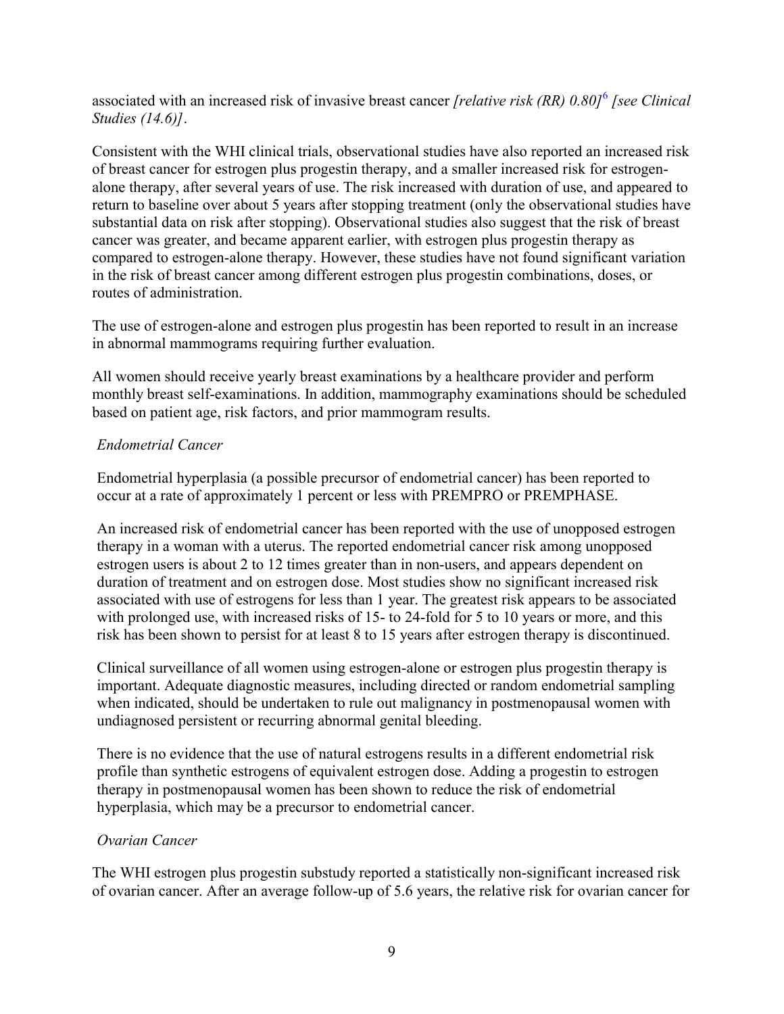associated with an increased risk of invasive breast cancer *[relative risk (RR) 0.80]*<sup>6</sup> *[see Clinical Studies (14.6)]*.

Consistent with the WHI clinical trials, observational studies have also reported an increased risk of breast cancer for estrogen plus progestin therapy, and a smaller increased risk for estrogenalone therapy, after several years of use. The risk increased with duration of use, and appeared to return to baseline over about 5 years after stopping treatment (only the observational studies have substantial data on risk after stopping). Observational studies also suggest that the risk of breast cancer was greater, and became apparent earlier, with estrogen plus progestin therapy as compared to estrogen-alone therapy. However, these studies have not found significant variation in the risk of breast cancer among different estrogen plus progestin combinations, doses, or routes of administration.

The use of estrogen-alone and estrogen plus progestin has been reported to result in an increase in abnormal mammograms requiring further evaluation.

All women should receive yearly breast examinations by a healthcare provider and perform monthly breast self-examinations. In addition, mammography examinations should be scheduled based on patient age, risk factors, and prior mammogram results.

# *Endometrial Cancer*

Endometrial hyperplasia (a possible precursor of endometrial cancer) has been reported to occur at a rate of approximately 1 percent or less with PREMPRO or PREMPHASE.

An increased risk of endometrial cancer has been reported with the use of unopposed estrogen therapy in a woman with a uterus. The reported endometrial cancer risk among unopposed estrogen users is about 2 to 12 times greater than in non-users, and appears dependent on duration of treatment and on estrogen dose. Most studies show no significant increased risk associated with use of estrogens for less than 1 year. The greatest risk appears to be associated with prolonged use, with increased risks of 15- to 24-fold for 5 to 10 years or more, and this risk has been shown to persist for at least 8 to 15 years after estrogen therapy is discontinued.

Clinical surveillance of all women using estrogen-alone or estrogen plus progestin therapy is important. Adequate diagnostic measures, including directed or random endometrial sampling when indicated, should be undertaken to rule out malignancy in postmenopausal women with undiagnosed persistent or recurring abnormal genital bleeding.

There is no evidence that the use of natural estrogens results in a different endometrial risk profile than synthetic estrogens of equivalent estrogen dose. Adding a progestin to estrogen therapy in postmenopausal women has been shown to reduce the risk of endometrial hyperplasia, which may be a precursor to endometrial cancer.

# *Ovarian Cancer*

The WHI estrogen plus progestin substudy reported a statistically non-significant increased risk of ovarian cancer. After an average follow-up of 5.6 years, the relative risk for ovarian cancer for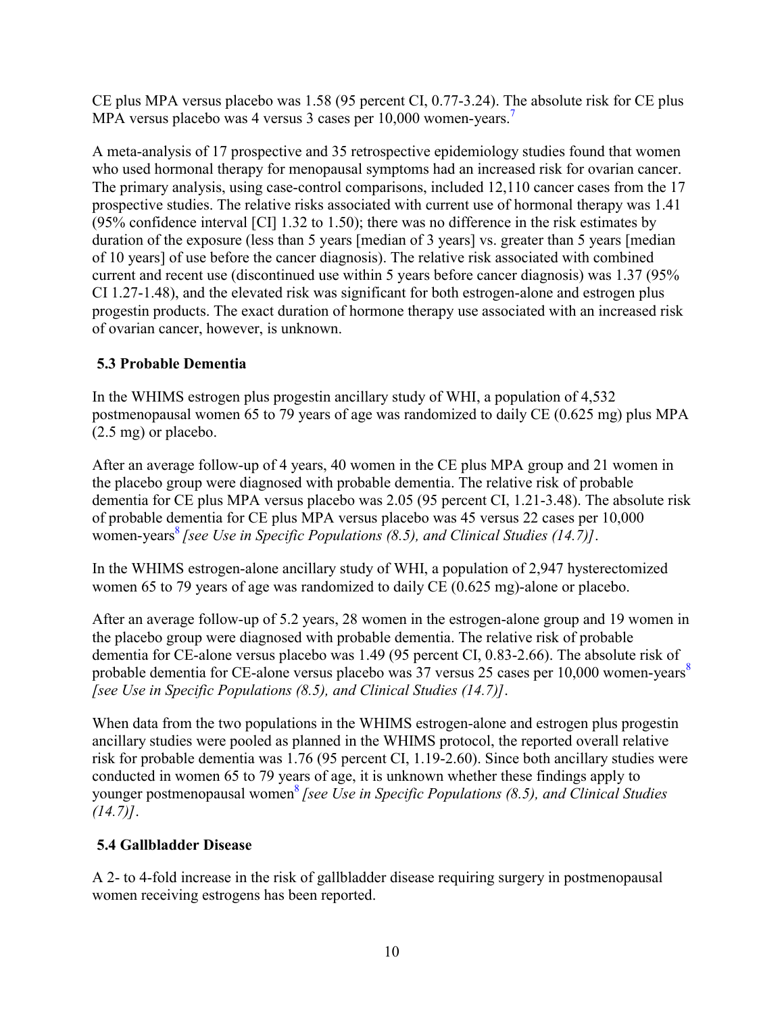CE plus MPA versus placebo was 1.58 (95 percent CI, 0.77-3.24). The absolute risk for CE plus MPA versus placebo was 4 versus 3 cases per 10,000 women-years.<sup>7</sup>

A meta-analysis of 17 prospective and 35 retrospective epidemiology studies found that women who used hormonal therapy for menopausal symptoms had an increased risk for ovarian cancer. The primary analysis, using case-control comparisons, included 12,110 cancer cases from the 17 prospective studies. The relative risks associated with current use of hormonal therapy was 1.41 (95% confidence interval [CI] 1.32 to 1.50); there was no difference in the risk estimates by duration of the exposure (less than 5 years [median of 3 years] vs. greater than 5 years [median of 10 years] of use before the cancer diagnosis). The relative risk associated with combined current and recent use (discontinued use within 5 years before cancer diagnosis) was 1.37 (95% CI 1.27-1.48), and the elevated risk was significant for both estrogen-alone and estrogen plus progestin products. The exact duration of hormone therapy use associated with an increased risk of ovarian cancer, however, is unknown.

# **5.3 Probable Dementia**

In the WHIMS estrogen plus progestin ancillary study of WHI, a population of 4,532 postmenopausal women 65 to 79 years of age was randomized to daily CE (0.625 mg) plus MPA (2.5 mg) or placebo.

After an average follow-up of 4 years, 40 women in the CE plus MPA group and 21 women in the placebo group were diagnosed with probable dementia. The relative risk of probable dementia for CE plus MPA versus placebo was 2.05 (95 percent CI, 1.21-3.48). The absolute risk of probable dementia for CE plus MPA versus placebo was 45 versus 22 cases per 10,000 women-years<sup>8</sup> [see Use in Specific Populations (8.5), and Clinical Studies (14.7)].

In the WHIMS estrogen-alone ancillary study of WHI, a population of 2,947 hysterectomized women 65 to 79 years of age was randomized to daily CE (0.625 mg)-alone or placebo.

After an average follow-up of 5.2 years, 28 women in the estrogen-alone group and 19 women in the placebo group were diagnosed with probable dementia. The relative risk of probable dementia for CE-alone versus placebo was 1.49 (95 percent CI, 0.83-2.66). The absolute risk of probable dementia for CE-alone versus placebo was 37 versus 25 cases per  $10,000$  women-years<sup>8</sup> *[see Use in Specific Populations (8.5), and Clinical Studies (14.7)]*.

When data from the two populations in the WHIMS estrogen-alone and estrogen plus progestin ancillary studies were pooled as planned in the WHIMS protocol, the reported overall relative risk for probable dementia was 1.76 (95 percent CI, 1.19-2.60). Since both ancillary studies were conducted in women 65 to 79 years of age, it is unknown whether these findings apply to younger postmenopausal women<sup>8</sup> [see Use in Specific Populations (8.5), and Clinical Studies *(14.7)]*.

# **5.4 Gallbladder Disease**

A 2- to 4-fold increase in the risk of gallbladder disease requiring surgery in postmenopausal women receiving estrogens has been reported.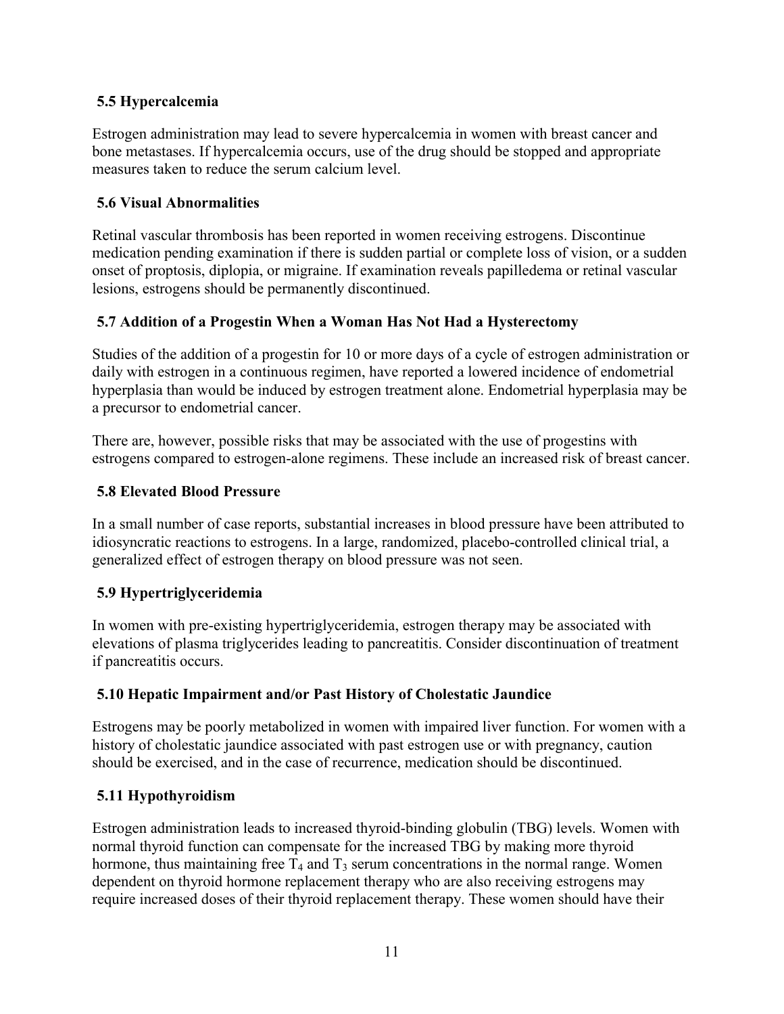# **5.5 Hypercalcemia**

Estrogen administration may lead to severe hypercalcemia in women with breast cancer and bone metastases. If hypercalcemia occurs, use of the drug should be stopped and appropriate measures taken to reduce the serum calcium level.

# **5.6 Visual Abnormalities**

Retinal vascular thrombosis has been reported in women receiving estrogens. Discontinue medication pending examination if there is sudden partial or complete loss of vision, or a sudden onset of proptosis, diplopia, or migraine. If examination reveals papilledema or retinal vascular lesions, estrogens should be permanently discontinued.

# **5.7 Addition of a Progestin When a Woman Has Not Had a Hysterectomy**

Studies of the addition of a progestin for 10 or more days of a cycle of estrogen administration or daily with estrogen in a continuous regimen, have reported a lowered incidence of endometrial hyperplasia than would be induced by estrogen treatment alone. Endometrial hyperplasia may be a precursor to endometrial cancer.

There are, however, possible risks that may be associated with the use of progestins with estrogens compared to estrogen-alone regimens. These include an increased risk of breast cancer.

### **5.8 Elevated Blood Pressure**

In a small number of case reports, substantial increases in blood pressure have been attributed to idiosyncratic reactions to estrogens. In a large, randomized, placebo-controlled clinical trial, a generalized effect of estrogen therapy on blood pressure was not seen.

### **5.9 Hypertriglyceridemia**

In women with pre-existing hypertriglyceridemia, estrogen therapy may be associated with elevations of plasma triglycerides leading to pancreatitis. Consider discontinuation of treatment if pancreatitis occurs.

#### **5.10 Hepatic Impairment and/or Past History of Cholestatic Jaundice**

Estrogens may be poorly metabolized in women with impaired liver function. For women with a history of cholestatic jaundice associated with past estrogen use or with pregnancy, caution should be exercised, and in the case of recurrence, medication should be discontinued.

### **5.11 Hypothyroidism**

Estrogen administration leads to increased thyroid-binding globulin (TBG) levels. Women with normal thyroid function can compensate for the increased TBG by making more thyroid hormone, thus maintaining free  $T_4$  and  $T_3$  serum concentrations in the normal range. Women dependent on thyroid hormone replacement therapy who are also receiving estrogens may require increased doses of their thyroid replacement therapy. These women should have their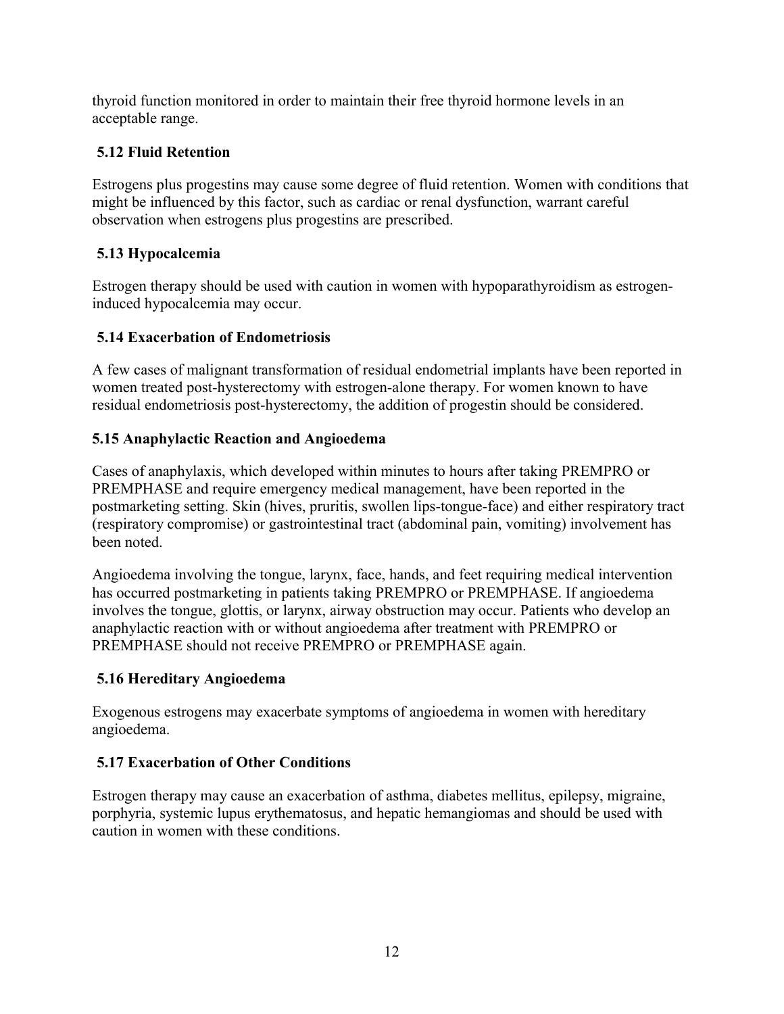thyroid function monitored in order to maintain their free thyroid hormone levels in an acceptable range.

# **5.12 Fluid Retention**

Estrogens plus progestins may cause some degree of fluid retention. Women with conditions that might be influenced by this factor, such as cardiac or renal dysfunction, warrant careful observation when estrogens plus progestins are prescribed.

# **5.13 Hypocalcemia**

Estrogen therapy should be used with caution in women with hypoparathyroidism as estrogeninduced hypocalcemia may occur.

# **5.14 Exacerbation of Endometriosis**

A few cases of malignant transformation of residual endometrial implants have been reported in women treated post-hysterectomy with estrogen-alone therapy. For women known to have residual endometriosis post-hysterectomy, the addition of progestin should be considered.

# **5.15 Anaphylactic Reaction and Angioedema**

Cases of anaphylaxis, which developed within minutes to hours after taking PREMPRO or PREMPHASE and require emergency medical management, have been reported in the postmarketing setting. Skin (hives, pruritis, swollen lips-tongue-face) and either respiratory tract (respiratory compromise) or gastrointestinal tract (abdominal pain, vomiting) involvement has been noted.

Angioedema involving the tongue, larynx, face, hands, and feet requiring medical intervention has occurred postmarketing in patients taking PREMPRO or PREMPHASE. If angioedema involves the tongue, glottis, or larynx, airway obstruction may occur. Patients who develop an anaphylactic reaction with or without angioedema after treatment with PREMPRO or PREMPHASE should not receive PREMPRO or PREMPHASE again.

# **5.16 Hereditary Angioedema**

Exogenous estrogens may exacerbate symptoms of angioedema in women with hereditary angioedema.

# **5.17 Exacerbation of Other Conditions**

Estrogen therapy may cause an exacerbation of asthma, diabetes mellitus, epilepsy, migraine, porphyria, systemic lupus erythematosus, and hepatic hemangiomas and should be used with caution in women with these conditions.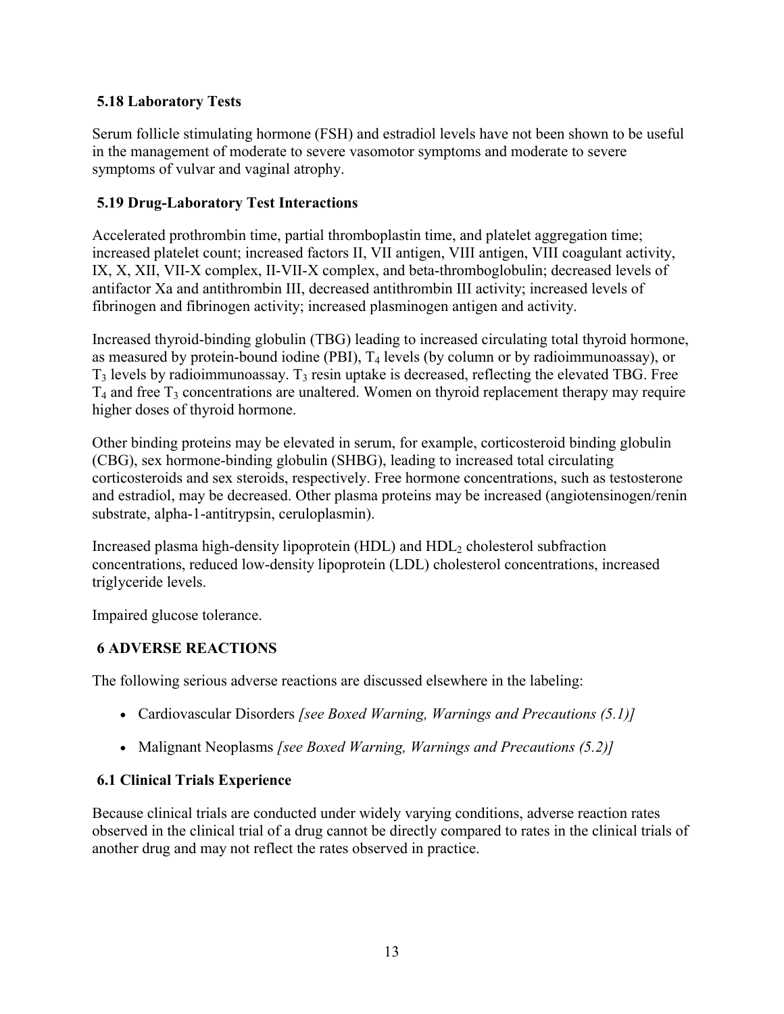# **5.18 Laboratory Tests**

Serum follicle stimulating hormone (FSH) and estradiol levels have not been shown to be useful in the management of moderate to severe vasomotor symptoms and moderate to severe symptoms of vulvar and vaginal atrophy.

# **5.19 Drug-Laboratory Test Interactions**

Accelerated prothrombin time, partial thromboplastin time, and platelet aggregation time; increased platelet count; increased factors II, VII antigen, VIII antigen, VIII coagulant activity, IX, X, XII, VII-X complex, II-VII-X complex, and beta-thromboglobulin; decreased levels of antifactor Xa and antithrombin III, decreased antithrombin III activity; increased levels of fibrinogen and fibrinogen activity; increased plasminogen antigen and activity.

Increased thyroid-binding globulin (TBG) leading to increased circulating total thyroid hormone, as measured by protein-bound iodine (PBI),  $T_4$  levels (by column or by radioimmunoassay), or  $T_3$  levels by radioimmunoassay.  $T_3$  resin uptake is decreased, reflecting the elevated TBG. Free  $T_4$  and free  $T_3$  concentrations are unaltered. Women on thyroid replacement therapy may require higher doses of thyroid hormone.

Other binding proteins may be elevated in serum, for example, corticosteroid binding globulin (CBG), sex hormone-binding globulin (SHBG), leading to increased total circulating corticosteroids and sex steroids, respectively. Free hormone concentrations, such as testosterone and estradiol, may be decreased. Other plasma proteins may be increased (angiotensinogen/renin substrate, alpha-1-antitrypsin, ceruloplasmin).

Increased plasma high-density lipoprotein  $(HDL)$  and  $HDL<sub>2</sub>$  cholesterol subfraction concentrations, reduced low-density lipoprotein (LDL) cholesterol concentrations, increased triglyceride levels.

Impaired glucose tolerance.

# **6 ADVERSE REACTIONS**

The following serious adverse reactions are discussed elsewhere in the labeling:

- Cardiovascular Disorders *[see Boxed Warning, Warnings and Precautions (5.1)]*
- Malignant Neoplasms *[see Boxed Warning, Warnings and Precautions (5.2)]*

### **6.1 Clinical Trials Experience**

Because clinical trials are conducted under widely varying conditions, adverse reaction rates observed in the clinical trial of a drug cannot be directly compared to rates in the clinical trials of another drug and may not reflect the rates observed in practice.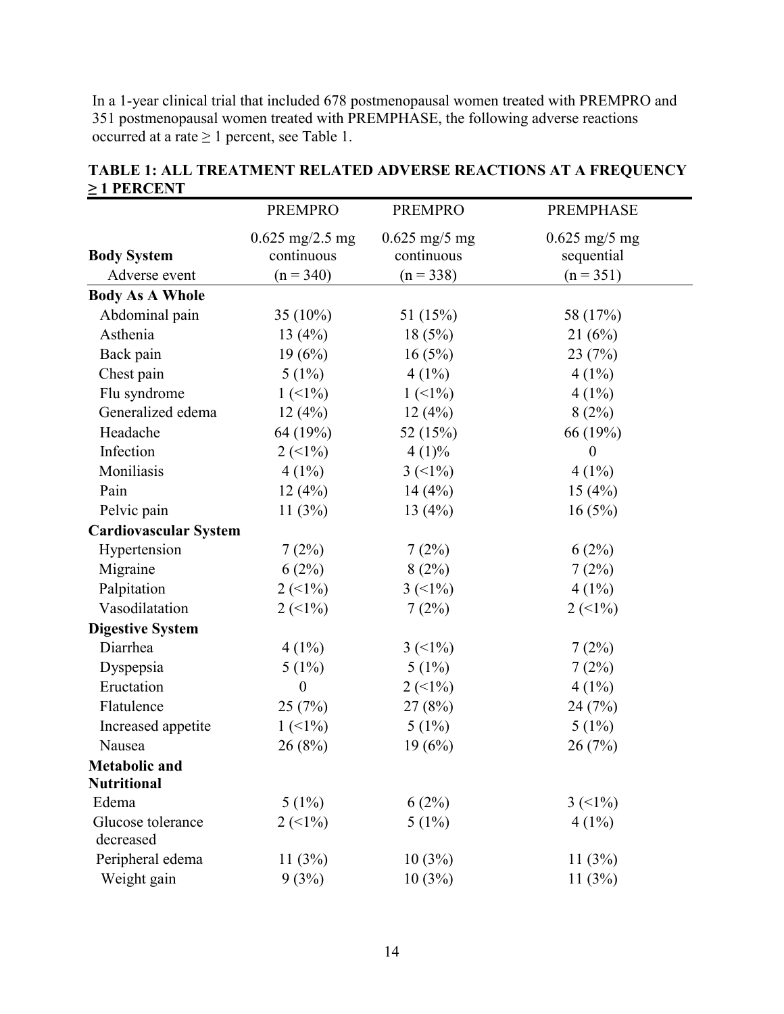In a 1-year clinical trial that included 678 postmenopausal women treated with PREMPRO and 351 postmenopausal women treated with PREMPHASE, the following adverse reactions occurred at a rate  $\geq 1$  percent, see Table 1.

|                              | <b>PREMPRO</b>                  | <b>PREMPRO</b>                  | <b>PREMPHASE</b> |
|------------------------------|---------------------------------|---------------------------------|------------------|
|                              | $0.625$ mg/2.5 mg               | $0.625$ mg/5 mg                 | $0.625$ mg/5 mg  |
| <b>Body System</b>           | continuous                      | continuous                      | sequential       |
| Adverse event                | $(n = 340)$                     | $(n = 338)$                     | $(n = 351)$      |
| <b>Body As A Whole</b>       |                                 |                                 |                  |
| Abdominal pain               | 35 $(10\%)$                     | 51 (15%)                        | 58 (17%)         |
| Asthenia                     | 13 $(4%)$                       | 18(5%)                          | 21(6%)           |
| Back pain                    | 19(6%)                          | 16(5%)                          | 23(7%)           |
| Chest pain                   | $5(1\%)$                        | $4(1\%)$                        | $4(1\%)$         |
| Flu syndrome                 | $1 \left( \frac{10}{6} \right)$ | $1 \left( \frac{10}{6} \right)$ | $4(1\%)$         |
| Generalized edema            | 12(4%)                          | 12(4%)                          | 8(2%)            |
| Headache                     | 64 (19%)                        | 52 (15%)                        | 66 (19%)         |
| Infection                    | $2 \left( \frac{10}{6} \right)$ | $4(1)\%$                        | $\boldsymbol{0}$ |
| Moniliasis                   | $4(1\%)$                        | $3 \left( \frac{10}{0} \right)$ | $4(1\%)$         |
| Pain                         | 12(4%)                          | 14(4%)                          | 15(4%)           |
| Pelvic pain                  | 11 $(3%)$                       | 13 $(4%)$                       | 16(5%)           |
| <b>Cardiovascular System</b> |                                 |                                 |                  |
| Hypertension                 | 7(2%)                           | 7(2%)                           | $6(2\%)$         |
| Migraine                     | 6(2%)                           | 8(2%)                           | 7(2%)            |
| Palpitation                  | $2(1\%)$                        | $3 \left( \frac{1}{6} \right)$  | $4(1\%)$         |
| Vasodilatation               | $2(1\%)$                        | 7(2%)                           | $2(1\%)$         |
| <b>Digestive System</b>      |                                 |                                 |                  |
| Diarrhea                     | $4(1\%)$                        | $3 \left( \frac{10}{6} \right)$ | 7(2%)            |
| Dyspepsia                    | $5(1\%)$                        | $5(1\%)$                        | 7(2%)            |
| Eructation                   | $\boldsymbol{0}$                | $2(1\%)$                        | $4(1\%)$         |
| Flatulence                   | 25(7%)                          | 27 (8%)                         | 24(7%)           |
| Increased appetite           | $1 \left( \frac{10}{6} \right)$ | $5(1\%)$                        | $5(1\%)$         |
| Nausea                       | 26 (8%)                         | 19(6%)                          | 26(7%)           |
| <b>Metabolic and</b>         |                                 |                                 |                  |
| <b>Nutritional</b>           |                                 |                                 |                  |
| Edema                        | $5(1\%)$                        | 6(2%)                           | $3(1\%)$         |
| Glucose tolerance            | $2(1\%)$                        | 5(1%)                           | $4(1\%)$         |
| decreased                    |                                 |                                 |                  |
| Peripheral edema             | 11(3%)                          | 10(3%)                          | 11(3%)           |
| Weight gain                  | 9(3%)                           | 10(3%)                          | 11(3%)           |

#### **TABLE 1: ALL TREATMENT RELATED ADVERSE REACTIONS AT A FREQUENCY ≥ 1 PERCENT**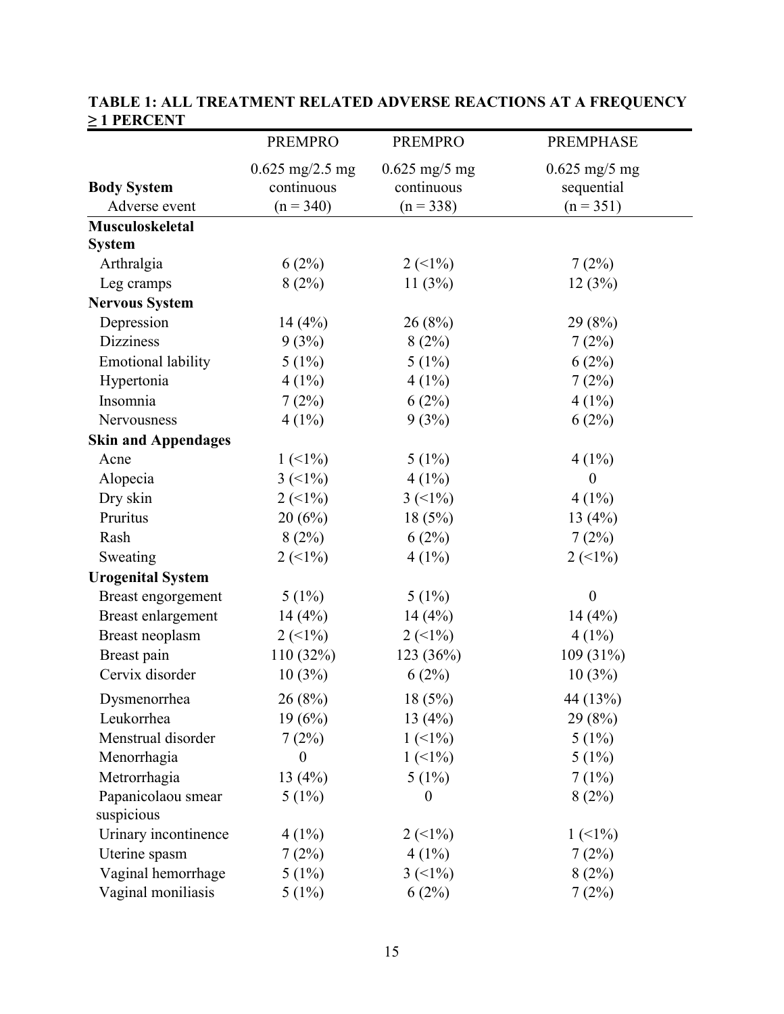|                            | <b>PREMPRO</b>                         | <b>PREMPRO</b>                 | <b>PREMPHASE</b>                       |
|----------------------------|----------------------------------------|--------------------------------|----------------------------------------|
|                            | $0.625$ mg/2.5 mg                      | $0.625$ mg/5 mg                | $0.625$ mg/5 mg                        |
| <b>Body System</b>         | continuous                             | continuous                     | sequential                             |
| Adverse event              | $(n = 340)$                            | $(n = 338)$                    | $(n = 351)$                            |
| <b>Musculoskeletal</b>     |                                        |                                |                                        |
| <b>System</b>              |                                        |                                |                                        |
| Arthralgia                 | $6(2\%)$                               | $2(1\%)$                       | 7(2%)                                  |
| Leg cramps                 | 8(2%)                                  | 11(3%)                         | 12(3%)                                 |
| <b>Nervous System</b>      |                                        |                                |                                        |
| Depression                 | 14 $(4%)$                              | 26(8%)                         | 29 (8%)                                |
| <b>Dizziness</b>           | 9(3%)                                  | 8(2%)                          | 7(2%)                                  |
| <b>Emotional lability</b>  | $5(1\%)$                               | $5(1\%)$                       | 6(2%)                                  |
| Hypertonia                 | $4(1\%)$                               | $4(1\%)$                       | 7(2%)                                  |
| Insomnia                   | 7(2%)                                  | 6(2%)                          | 4(1%)                                  |
| Nervousness                | $4(1\%)$                               | 9(3%)                          | 6(2%)                                  |
| <b>Skin and Appendages</b> |                                        |                                |                                        |
| Acne                       | $1(1\%)$                               | $5(1\%)$                       | $4(1\%)$                               |
| Alopecia                   | $3 \left( \frac{10}{0} \right)$        | $4(1\%)$                       | $\boldsymbol{0}$                       |
| Dry skin                   | $2(1\%)$                               | $3(1\%)$                       | $4(1\%)$                               |
| Pruritus                   | 20(6%)                                 | 18(5%)                         | 13 $(4%)$                              |
| Rash                       | 8(2%)                                  | 6(2%)                          | 7(2%)                                  |
| Sweating                   | $2 \left( \langle 1\% \rangle \right)$ | $4(1\%)$                       | $2(1\%)$                               |
| <b>Urogenital System</b>   |                                        |                                |                                        |
| Breast engorgement         | $5(1\%)$                               | $5(1\%)$                       | $\boldsymbol{0}$                       |
| Breast enlargement         | 14(4%)                                 | 14(4%)                         | 14(4%)                                 |
| Breast neoplasm            | $2(1\%)$                               | $2(1\%)$                       | $4(1\%)$                               |
| Breast pain                | 110(32%)                               | 123 (36%)                      | 109 (31%)                              |
| Cervix disorder            | 10(3%)                                 | $6(2\%)$                       | 10(3%)                                 |
| Dysmenorrhea               | 26(8%)                                 | 18(5%)                         | 44 (13%)                               |
| Leukorrhea                 | 19(6%)                                 | 13 $(4%)$                      | 29 (8%)                                |
| Menstrual disorder         | 7(2%)                                  | $1(1\%)$                       | $5(1\%)$                               |
| Menorrhagia                | $\theta$                               | $1(1\%)$                       | $5(1\%)$                               |
| Metrorrhagia               | 13 (4%)                                | $5(1\%)$                       | 7(1%)                                  |
| Papanicolaou smear         | $5(1\%)$                               | $\boldsymbol{0}$               | 8(2%)                                  |
| suspicious                 |                                        |                                |                                        |
| Urinary incontinence       | $4(1\%)$                               | $2(1\%)$                       | $1 \left( \langle 1\% \rangle \right)$ |
| Uterine spasm              | 7(2%)                                  | $4(1\%)$                       | 7(2%)                                  |
| Vaginal hemorrhage         | $5(1\%)$                               | $3 \left( \frac{1}{6} \right)$ | 8(2%)                                  |
| Vaginal moniliasis         | $5(1\%)$                               | 6(2%)                          | 7(2%)                                  |

# **TABLE 1: ALL TREATMENT RELATED ADVERSE REACTIONS AT A FREQUENCY ≥ 1 PERCENT**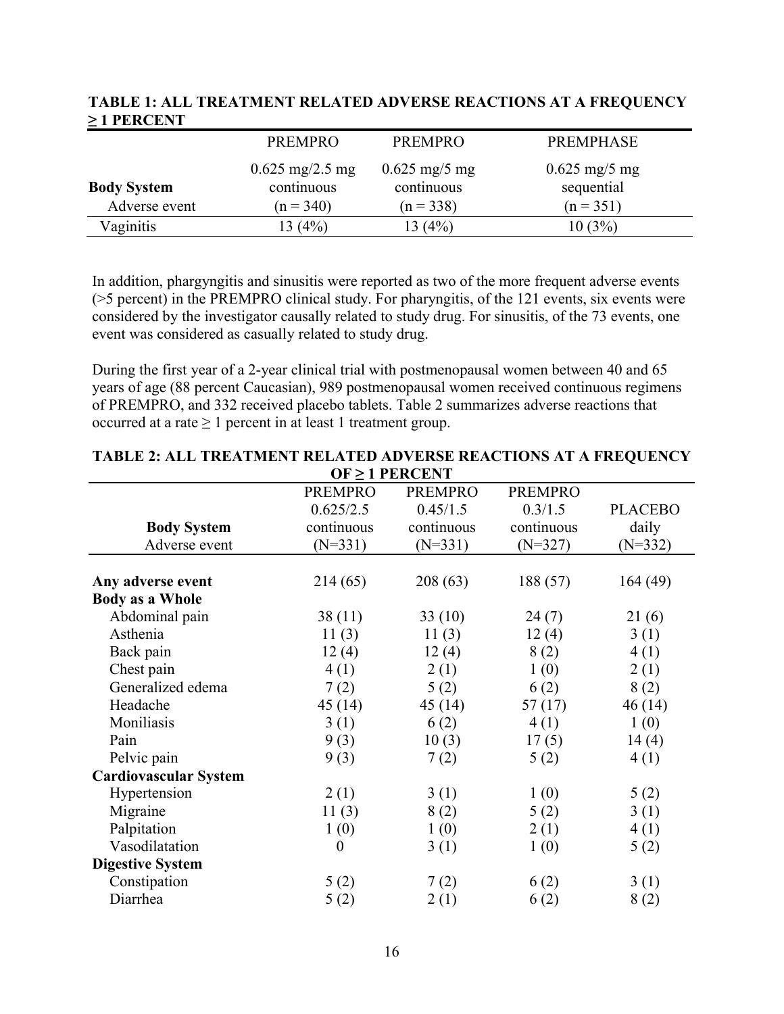|                    | <b>PREMPRO</b>                    | <b>PREMPRO</b>                  | <b>PREMPHASE</b>                |
|--------------------|-----------------------------------|---------------------------------|---------------------------------|
|                    | $0.625 \text{ mg}/2.5 \text{ mg}$ | $0.625 \text{ mg}/5 \text{ mg}$ | $0.625 \text{ mg}/5 \text{ mg}$ |
| <b>Body System</b> | continuous                        | continuous                      | sequential                      |
| Adverse event      | $(n = 340)$                       | $(n = 338)$                     | $(n = 351)$                     |
| Vaginitis          | 13 (4%)                           | 13 $(4%)$                       | 10(3%)                          |

#### **TABLE 1: ALL TREATMENT RELATED ADVERSE REACTIONS AT A FREQUENCY ≥ 1 PERCENT**

In addition, phargyngitis and sinusitis were reported as two of the more frequent adverse events (>5 percent) in the PREMPRO clinical study. For pharyngitis, of the 121 events, six events were considered by the investigator causally related to study drug. For sinusitis, of the 73 events, one event was considered as casually related to study drug.

During the first year of a 2-year clinical trial with postmenopausal women between 40 and 65 years of age (88 percent Caucasian), 989 postmenopausal women received continuous regimens of PREMPRO, and 332 received placebo tablets. Table 2 summarizes adverse reactions that occurred at a rate  $\geq 1$  percent in at least 1 treatment group.

| $OF \geq 1$ PERCENT          |                  |                |                |                |  |  |  |  |
|------------------------------|------------------|----------------|----------------|----------------|--|--|--|--|
|                              | <b>PREMPRO</b>   | <b>PREMPRO</b> | <b>PREMPRO</b> |                |  |  |  |  |
|                              | 0.625/2.5        | 0.45/1.5       | 0.3/1.5        | <b>PLACEBO</b> |  |  |  |  |
| <b>Body System</b>           | continuous       | continuous     | continuous     | daily          |  |  |  |  |
| Adverse event                | $(N=331)$        | $(N=331)$      | $(N=327)$      | $(N=332)$      |  |  |  |  |
| Any adverse event            | 214(65)          | 208(63)        | 188 (57)       | 164 (49)       |  |  |  |  |
| <b>Body as a Whole</b>       |                  |                |                |                |  |  |  |  |
| Abdominal pain               | 38(11)           | 33(10)         | 24(7)          | 21(6)          |  |  |  |  |
| Asthenia                     | 11(3)            | 11(3)          | 12(4)          | 3(1)           |  |  |  |  |
| Back pain                    | 12(4)            | 12(4)          | 8(2)           | 4(1)           |  |  |  |  |
| Chest pain                   | 4(1)             | 2(1)           | 1(0)           | 2(1)           |  |  |  |  |
| Generalized edema            | 7(2)             | 5(2)           | 6(2)           | 8(2)           |  |  |  |  |
| Headache                     | 45 (14)          | 45 (14)        | 57(17)         | 46(14)         |  |  |  |  |
| Moniliasis                   | 3(1)             | 6(2)           | 4(1)           | 1(0)           |  |  |  |  |
| Pain                         | 9(3)             | 10(3)          | 17(5)          | 14(4)          |  |  |  |  |
| Pelvic pain                  | 9(3)             | 7(2)           | 5(2)           | 4(1)           |  |  |  |  |
| <b>Cardiovascular System</b> |                  |                |                |                |  |  |  |  |
| Hypertension                 | 2(1)             | 3(1)           | 1(0)           | 5(2)           |  |  |  |  |
| Migraine                     | 11(3)            | 8(2)           | 5(2)           | 3(1)           |  |  |  |  |
| Palpitation                  | 1(0)             | 1(0)           | 2(1)           | 4(1)           |  |  |  |  |
| Vasodilatation               | $\boldsymbol{0}$ | 3(1)           | 1(0)           | 5(2)           |  |  |  |  |
| <b>Digestive System</b>      |                  |                |                |                |  |  |  |  |
| Constipation                 | 5(2)             | 7(2)           | 6(2)           | 3(1)           |  |  |  |  |
| Diarrhea                     | 5(2)             | 2(1)           | 6(2)           | 8(2)           |  |  |  |  |
|                              |                  |                |                |                |  |  |  |  |

#### **TABLE 2: ALL TREATMENT RELATED ADVERSE REACTIONS AT A FREQUENCY**   $\overline{OP}$   $\geq$  1 percent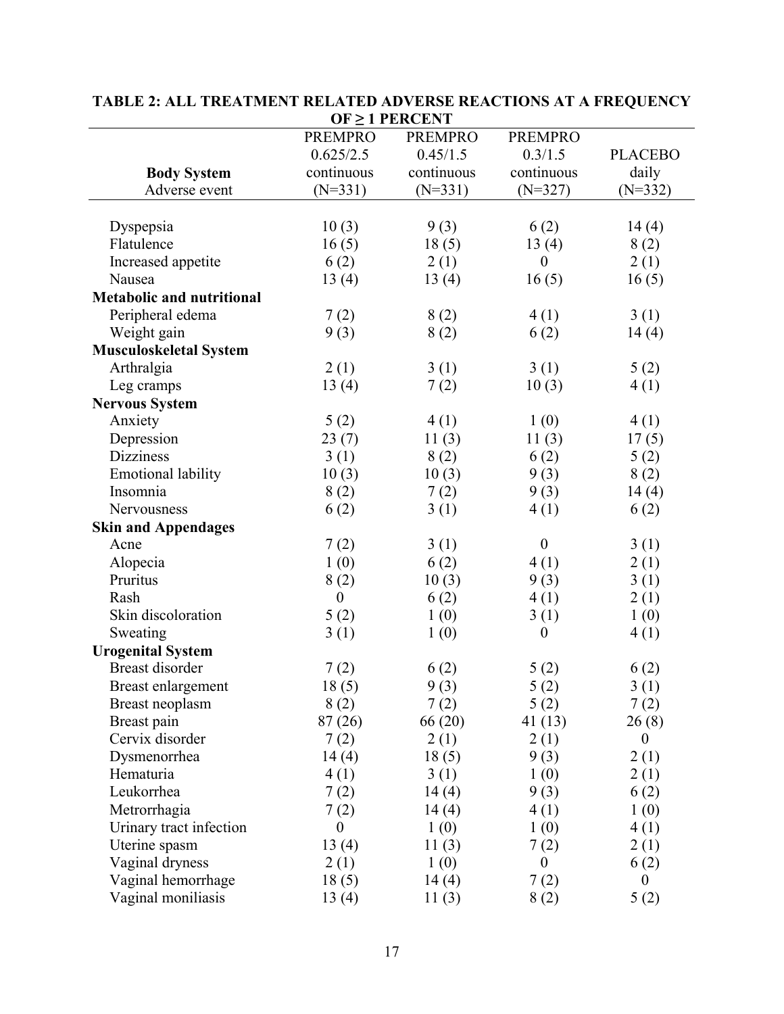| $OF \geq 1$ PERCENT              |                |                |                  |                  |  |  |  |  |
|----------------------------------|----------------|----------------|------------------|------------------|--|--|--|--|
|                                  | <b>PREMPRO</b> | <b>PREMPRO</b> | <b>PREMPRO</b>   |                  |  |  |  |  |
|                                  | 0.625/2.5      | 0.45/1.5       | 0.3/1.5          | <b>PLACEBO</b>   |  |  |  |  |
| <b>Body System</b>               | continuous     | continuous     | continuous       | daily            |  |  |  |  |
| Adverse event                    | $(N=331)$      | $(N=331)$      | $(N=327)$        | $(N=332)$        |  |  |  |  |
|                                  |                |                |                  |                  |  |  |  |  |
| Dyspepsia                        | 10(3)          | 9(3)           | 6(2)             | 14(4)            |  |  |  |  |
| Flatulence                       | 16(5)          | 18(5)          | 13(4)            | 8(2)             |  |  |  |  |
| Increased appetite               | 6(2)           | 2(1)           | $\boldsymbol{0}$ | 2(1)             |  |  |  |  |
| Nausea                           | 13(4)          | 13(4)          | 16(5)            | 16(5)            |  |  |  |  |
| <b>Metabolic and nutritional</b> |                |                |                  |                  |  |  |  |  |
| Peripheral edema                 | 7(2)           | 8(2)           | 4(1)             | 3(1)             |  |  |  |  |
| Weight gain                      | 9(3)           | 8(2)           | 6(2)             | 14(4)            |  |  |  |  |
| <b>Musculoskeletal System</b>    |                |                |                  |                  |  |  |  |  |
| Arthralgia                       | 2(1)           | 3(1)           | 3(1)             | 5(2)             |  |  |  |  |
| Leg cramps                       | 13(4)          | 7(2)           | 10(3)            | 4(1)             |  |  |  |  |
| <b>Nervous System</b>            |                |                |                  |                  |  |  |  |  |
| Anxiety                          | 5(2)           | 4(1)           | 1(0)             | 4(1)             |  |  |  |  |
| Depression                       | 23(7)          | 11(3)          | 11(3)            | 17(5)            |  |  |  |  |
| <b>Dizziness</b>                 | 3(1)           | 8(2)           | 6(2)             | 5(2)             |  |  |  |  |
| <b>Emotional lability</b>        | 10(3)          | 10(3)          | 9(3)             | 8(2)             |  |  |  |  |
| Insomnia                         | 8(2)           | 7(2)           | 9(3)             | 14(4)            |  |  |  |  |
| Nervousness                      | 6(2)           | 3(1)           | 4(1)             | 6(2)             |  |  |  |  |
| <b>Skin and Appendages</b>       |                |                |                  |                  |  |  |  |  |
| Acne                             | 7(2)           | 3(1)           | $\boldsymbol{0}$ | 3(1)             |  |  |  |  |
| Alopecia                         | 1(0)           | 6(2)           | 4(1)             | 2(1)             |  |  |  |  |
| Pruritus                         | 8(2)           | 10(3)          | 9(3)             | 3(1)             |  |  |  |  |
| Rash                             | $\theta$       | 6(2)           | 4(1)             | 2(1)             |  |  |  |  |
| Skin discoloration               | 5(2)           | 1(0)           | 3(1)             | 1(0)             |  |  |  |  |
| Sweating                         | 3(1)           | 1(0)           | $\boldsymbol{0}$ | 4(1)             |  |  |  |  |
| <b>Urogenital System</b>         |                |                |                  |                  |  |  |  |  |
| <b>Breast disorder</b>           | 7(2)           | 6(2)           | 5(2)             | 6(2)             |  |  |  |  |
| Breast enlargement               | 18(5)          | 9(3)           | 5(2)             | 3(1)             |  |  |  |  |
| Breast neoplasm                  | 8(2)           | 7(2)           | 5(2)             | 7(2)             |  |  |  |  |
| Breast pain                      | 87(26)         | 66 (20)        | 41 (13)          | 26(8)            |  |  |  |  |
| Cervix disorder                  | 7(2)           | 2(1)           | 2(1)             | $\boldsymbol{0}$ |  |  |  |  |
| Dysmenorrhea                     | 14(4)          | 18(5)          | 9(3)             | 2(1)             |  |  |  |  |
| Hematuria                        | 4(1)           | 3(1)           | 1(0)             | 2(1)             |  |  |  |  |
| Leukorrhea                       | 7(2)           | 14(4)          | 9(3)             | 6(2)             |  |  |  |  |
| Metrorrhagia                     | 7(2)           | 14(4)          | 4(1)             | 1(0)             |  |  |  |  |
| Urinary tract infection          | $\theta$       | 1(0)           | 1(0)             | 4(1)             |  |  |  |  |
| Uterine spasm                    | 13(4)          | 11(3)          | 7(2)             | 2(1)             |  |  |  |  |
| Vaginal dryness                  | 2(1)           | 1(0)           | $\boldsymbol{0}$ | 6(2)             |  |  |  |  |
| Vaginal hemorrhage               | 18(5)          | 14(4)          | 7(2)             | $\boldsymbol{0}$ |  |  |  |  |
| Vaginal moniliasis               | 13(4)          | 11(3)          | 8(2)             | 5(2)             |  |  |  |  |

# **TABLE 2: ALL TREATMENT RELATED ADVERSE REACTIONS AT A FREQUENCY**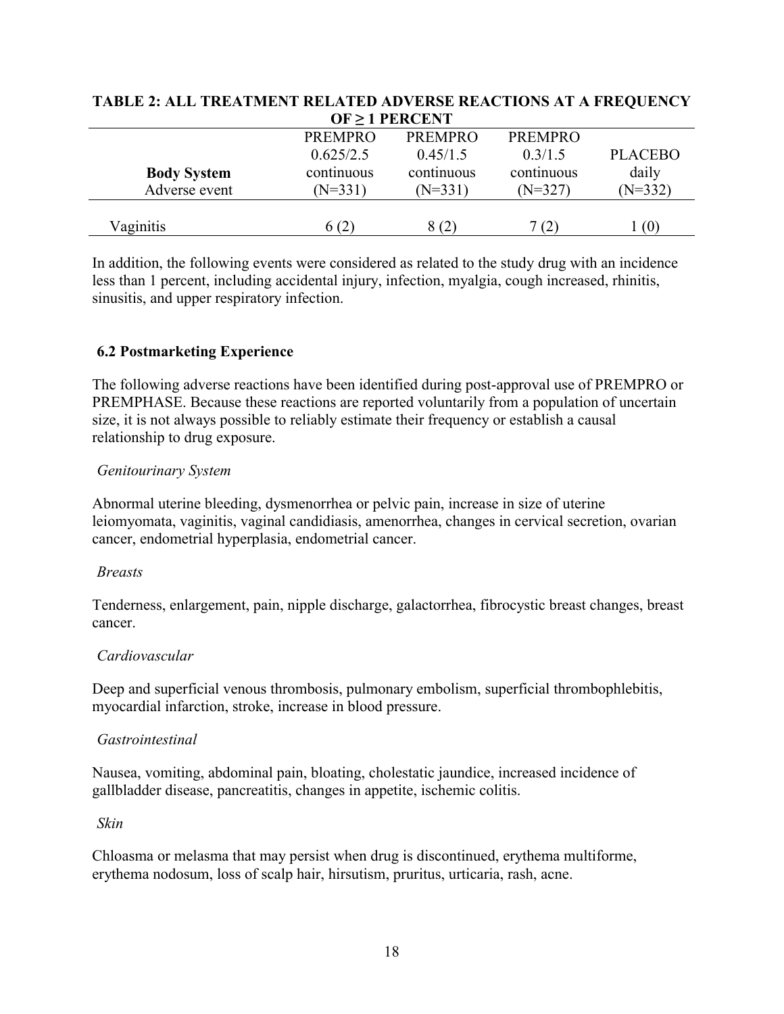| $OF \geq 1$ PERCENT                                |                |                |                |                  |  |  |  |  |
|----------------------------------------------------|----------------|----------------|----------------|------------------|--|--|--|--|
|                                                    | <b>PREMPRO</b> | <b>PREMPRO</b> | <b>PREMPRO</b> |                  |  |  |  |  |
| <b>PLACEBO</b><br>0.45/1.5<br>0.3/1.5<br>0.625/2.5 |                |                |                |                  |  |  |  |  |
| <b>Body System</b>                                 | continuous     | continuous     | continuous     | daily            |  |  |  |  |
| Adverse event                                      | $(N=331)$      | $(N=331)$      | $(N=327)$      | $(N=332)$        |  |  |  |  |
|                                                    |                |                |                |                  |  |  |  |  |
| Vaginitis                                          | 6(2)           | 8(2)           | 7(2)           | $\left(0\right)$ |  |  |  |  |

# **TABLE 2: ALL TREATMENT RELATED ADVERSE REACTIONS AT A FREQUENCY**

In addition, the following events were considered as related to the study drug with an incidence less than 1 percent, including accidental injury, infection, myalgia, cough increased, rhinitis, sinusitis, and upper respiratory infection.

# **6.2 Postmarketing Experience**

The following adverse reactions have been identified during post-approval use of PREMPRO or PREMPHASE. Because these reactions are reported voluntarily from a population of uncertain size, it is not always possible to reliably estimate their frequency or establish a causal relationship to drug exposure.

#### *Genitourinary System*

Abnormal uterine bleeding, dysmenorrhea or pelvic pain, increase in size of uterine leiomyomata, vaginitis, vaginal candidiasis, amenorrhea, changes in cervical secretion, ovarian cancer, endometrial hyperplasia, endometrial cancer.

#### *Breasts*

Tenderness, enlargement, pain, nipple discharge, galactorrhea, fibrocystic breast changes, breast cancer.

### *Cardiovascular*

Deep and superficial venous thrombosis, pulmonary embolism, superficial thrombophlebitis, myocardial infarction, stroke, increase in blood pressure.

#### *Gastrointestinal*

Nausea, vomiting, abdominal pain, bloating, cholestatic jaundice, increased incidence of gallbladder disease, pancreatitis, changes in appetite, ischemic colitis.

#### *Skin*

Chloasma or melasma that may persist when drug is discontinued, erythema multiforme, erythema nodosum, loss of scalp hair, hirsutism, pruritus, urticaria, rash, acne.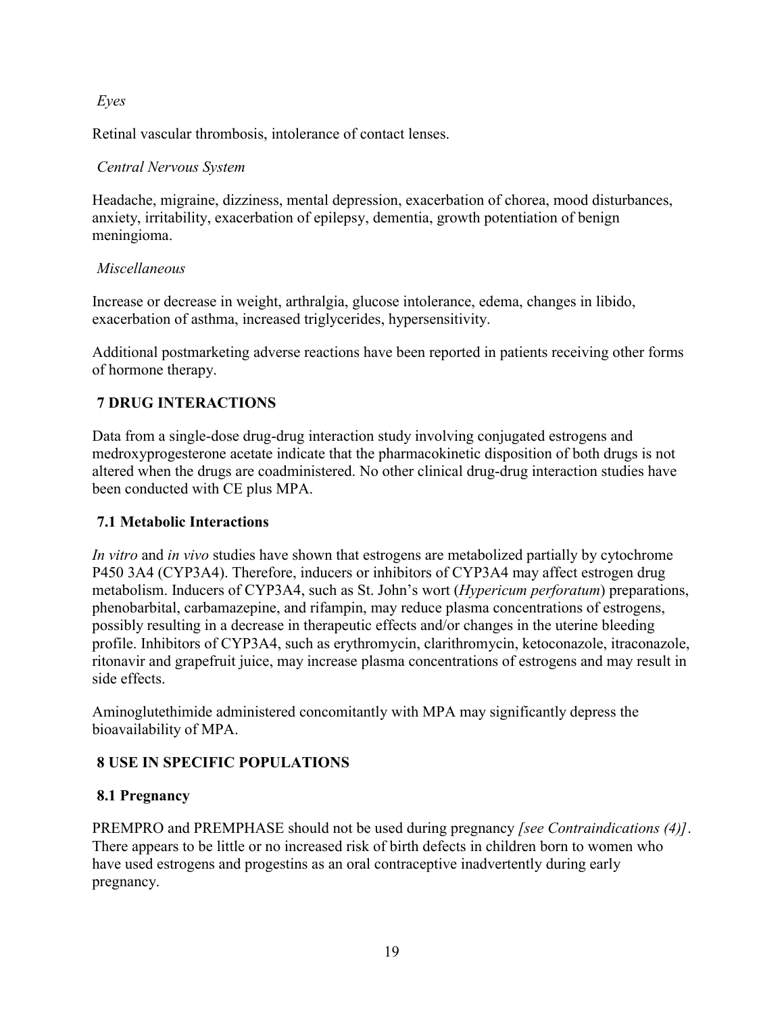# *Eyes*

Retinal vascular thrombosis, intolerance of contact lenses.

# *Central Nervous System*

Headache, migraine, dizziness, mental depression, exacerbation of chorea, mood disturbances, anxiety, irritability, exacerbation of epilepsy, dementia, growth potentiation of benign meningioma.

# *Miscellaneous*

Increase or decrease in weight, arthralgia, glucose intolerance, edema, changes in libido, exacerbation of asthma, increased triglycerides, hypersensitivity.

Additional postmarketing adverse reactions have been reported in patients receiving other forms of hormone therapy.

# **7 DRUG INTERACTIONS**

Data from a single-dose drug-drug interaction study involving conjugated estrogens and medroxyprogesterone acetate indicate that the pharmacokinetic disposition of both drugs is not altered when the drugs are coadministered. No other clinical drug-drug interaction studies have been conducted with CE plus MPA.

# **7.1 Metabolic Interactions**

*In vitro* and *in vivo* studies have shown that estrogens are metabolized partially by cytochrome P450 3A4 (CYP3A4). Therefore, inducers or inhibitors of CYP3A4 may affect estrogen drug metabolism. Inducers of CYP3A4, such as St. John's wort (*Hypericum perforatum*) preparations, phenobarbital, carbamazepine, and rifampin, may reduce plasma concentrations of estrogens, possibly resulting in a decrease in therapeutic effects and/or changes in the uterine bleeding profile. Inhibitors of CYP3A4, such as erythromycin, clarithromycin, ketoconazole, itraconazole, ritonavir and grapefruit juice, may increase plasma concentrations of estrogens and may result in side effects.

Aminoglutethimide administered concomitantly with MPA may significantly depress the bioavailability of MPA.

# **8 USE IN SPECIFIC POPULATIONS**

# **8.1 Pregnancy**

PREMPRO and PREMPHASE should not be used during pregnancy *[see Contraindications (4)]*. There appears to be little or no increased risk of birth defects in children born to women who have used estrogens and progestins as an oral contraceptive inadvertently during early pregnancy.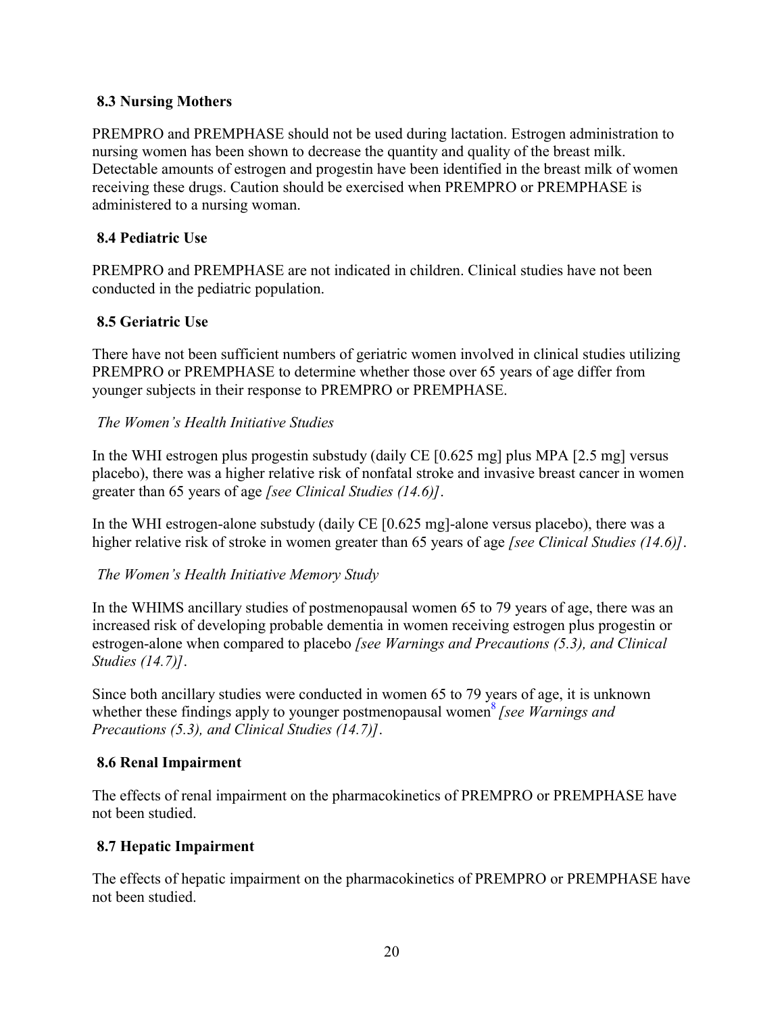# **8.3 Nursing Mothers**

PREMPRO and PREMPHASE should not be used during lactation. Estrogen administration to nursing women has been shown to decrease the quantity and quality of the breast milk. Detectable amounts of estrogen and progestin have been identified in the breast milk of women receiving these drugs. Caution should be exercised when PREMPRO or PREMPHASE is administered to a nursing woman.

# **8.4 Pediatric Use**

PREMPRO and PREMPHASE are not indicated in children. Clinical studies have not been conducted in the pediatric population.

# **8.5 Geriatric Use**

There have not been sufficient numbers of geriatric women involved in clinical studies utilizing PREMPRO or PREMPHASE to determine whether those over 65 years of age differ from younger subjects in their response to PREMPRO or PREMPHASE.

### *The Women's Health Initiative Studies*

In the WHI estrogen plus progestin substudy (daily CE [0.625 mg] plus MPA [2.5 mg] versus placebo), there was a higher relative risk of nonfatal stroke and invasive breast cancer in women greater than 65 years of age *[see Clinical Studies (14.6)]*.

In the WHI estrogen-alone substudy (daily CE [0.625 mg]-alone versus placebo), there was a higher relative risk of stroke in women greater than 65 years of age *[see Clinical Studies (14.6)]*.

### *The Women's Health Initiative Memory Study*

In the WHIMS ancillary studies of postmenopausal women 65 to 79 years of age, there was an increased risk of developing probable dementia in women receiving estrogen plus progestin or estrogen-alone when compared to placebo *[see Warnings and Precautions (5.3), and Clinical Studies (14.7)]*.

Since both ancillary studies were conducted in women 65 to 79 years of age, it is unknown whether these findings apply to younger postmenopausal women<sup>8</sup> [see Warnings and *Precautions (5.3), and Clinical Studies (14.7)]*.

### **8.6 Renal Impairment**

The effects of renal impairment on the pharmacokinetics of PREMPRO or PREMPHASE have not been studied.

### **8.7 Hepatic Impairment**

The effects of hepatic impairment on the pharmacokinetics of PREMPRO or PREMPHASE have not been studied.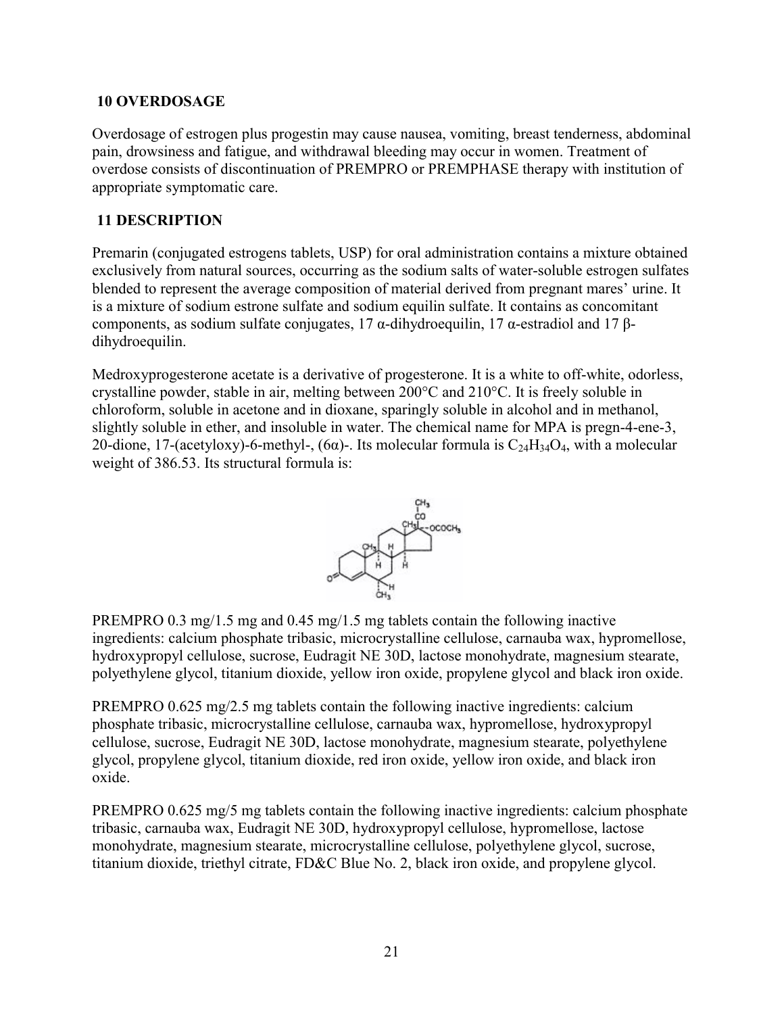#### **10 OVERDOSAGE**

Overdosage of estrogen plus progestin may cause nausea, vomiting, breast tenderness, abdominal pain, drowsiness and fatigue, and withdrawal bleeding may occur in women. Treatment of overdose consists of discontinuation of PREMPRO or PREMPHASE therapy with institution of appropriate symptomatic care.

### **11 DESCRIPTION**

Premarin (conjugated estrogens tablets, USP) for oral administration contains a mixture obtained exclusively from natural sources, occurring as the sodium salts of water-soluble estrogen sulfates blended to represent the average composition of material derived from pregnant mares' urine. It is a mixture of sodium estrone sulfate and sodium equilin sulfate. It contains as concomitant components, as sodium sulfate conjugates, 17 α-dihydroequilin, 17 α-estradiol and 17 βdihydroequilin.

Medroxyprogesterone acetate is a derivative of progesterone. It is a white to off-white, odorless, crystalline powder, stable in air, melting between 200°C and 210°C. It is freely soluble in chloroform, soluble in acetone and in dioxane, sparingly soluble in alcohol and in methanol, slightly soluble in ether, and insoluble in water. The chemical name for MPA is pregn-4-ene-3, 20-dione, 17-(acetyloxy)-6-methyl-, (6 $\alpha$ )-. Its molecular formula is  $C_{24}H_{34}O_4$ , with a molecular weight of 386.53. Its structural formula is:



PREMPRO 0.3 mg/1.5 mg and 0.45 mg/1.5 mg tablets contain the following inactive ingredients: calcium phosphate tribasic, microcrystalline cellulose, carnauba wax, hypromellose, hydroxypropyl cellulose, sucrose, Eudragit NE 30D, lactose monohydrate, magnesium stearate, polyethylene glycol, titanium dioxide, yellow iron oxide, propylene glycol and black iron oxide.

PREMPRO 0.625 mg/2.5 mg tablets contain the following inactive ingredients: calcium phosphate tribasic, microcrystalline cellulose, carnauba wax, hypromellose, hydroxypropyl cellulose, sucrose, Eudragit NE 30D, lactose monohydrate, magnesium stearate, polyethylene glycol, propylene glycol, titanium dioxide, red iron oxide, yellow iron oxide, and black iron oxide.

PREMPRO 0.625 mg/5 mg tablets contain the following inactive ingredients: calcium phosphate tribasic, carnauba wax, Eudragit NE 30D, hydroxypropyl cellulose, hypromellose, lactose monohydrate, magnesium stearate, microcrystalline cellulose, polyethylene glycol, sucrose, titanium dioxide, triethyl citrate, FD&C Blue No. 2, black iron oxide, and propylene glycol.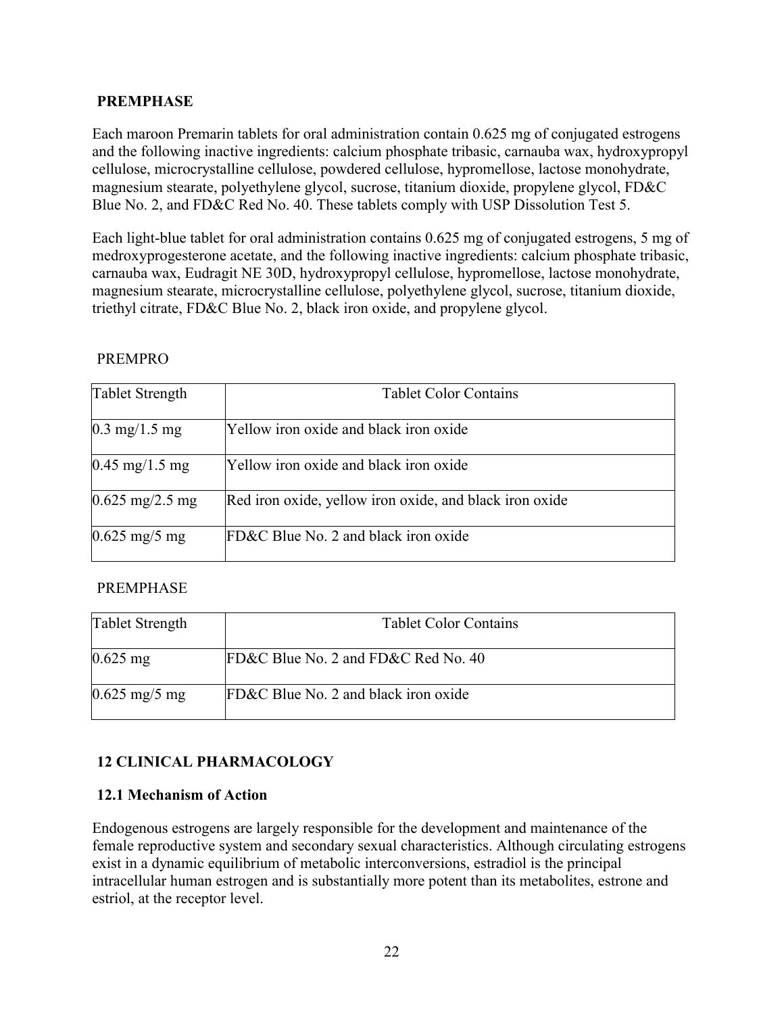#### **PREMPHASE**

Each maroon Premarin tablets for oral administration contain 0.625 mg of conjugated estrogens and the following inactive ingredients: calcium phosphate tribasic, carnauba wax, hydroxypropyl cellulose, microcrystalline cellulose, powdered cellulose, hypromellose, lactose monohydrate, magnesium stearate, polyethylene glycol, sucrose, titanium dioxide, propylene glycol, FD&C Blue No. 2, and FD&C Red No. 40. These tablets comply with USP Dissolution Test 5.

Each light-blue tablet for oral administration contains 0.625 mg of conjugated estrogens, 5 mg of medroxyprogesterone acetate, and the following inactive ingredients: calcium phosphate tribasic, carnauba wax, Eudragit NE 30D, hydroxypropyl cellulose, hypromellose, lactose monohydrate, magnesium stearate, microcrystalline cellulose, polyethylene glycol, sucrose, titanium dioxide, triethyl citrate, FD&C Blue No. 2, black iron oxide, and propylene glycol.

### PREMPRO

| <b>Tablet Strength</b>            | <b>Tablet Color Contains</b>                            |
|-----------------------------------|---------------------------------------------------------|
| $0.3 \text{ mg}/1.5 \text{ mg}$   | Yellow iron oxide and black iron oxide                  |
| $0.45 \text{ mg}/1.5 \text{ mg}$  | Yellow iron oxide and black iron oxide                  |
| $0.625 \text{ mg}/2.5 \text{ mg}$ | Red iron oxide, yellow iron oxide, and black iron oxide |
| $0.625 \text{ mg}/5 \text{ mg}$   | FD&C Blue No. 2 and black iron oxide                    |

#### PREMPHASE

| Tablet Strength                 | <b>Tablet Color Contains</b>         |
|---------------------------------|--------------------------------------|
| $0.625$ mg                      | FD&C Blue No. 2 and FD&C Red No. 40  |
| $0.625 \text{ mg}/5 \text{ mg}$ | FD&C Blue No. 2 and black iron oxide |

### **12 CLINICAL PHARMACOLOGY**

#### **12.1 Mechanism of Action**

Endogenous estrogens are largely responsible for the development and maintenance of the female reproductive system and secondary sexual characteristics. Although circulating estrogens exist in a dynamic equilibrium of metabolic interconversions, estradiol is the principal intracellular human estrogen and is substantially more potent than its metabolites, estrone and estriol, at the receptor level.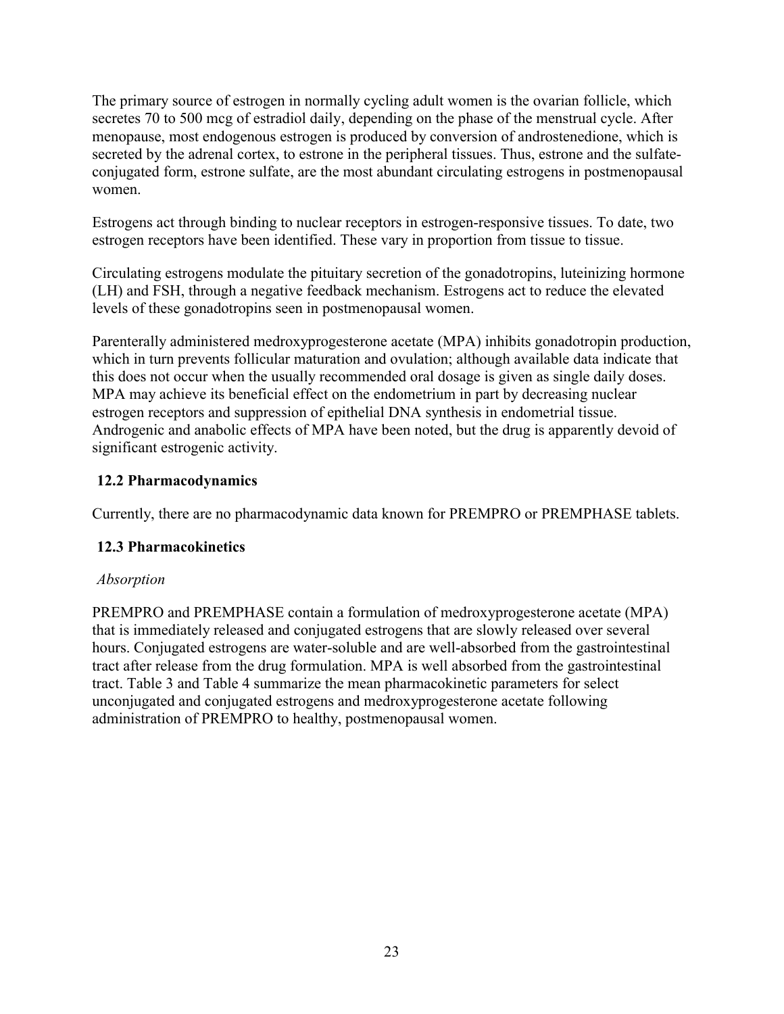The primary source of estrogen in normally cycling adult women is the ovarian follicle, which secretes 70 to 500 mcg of estradiol daily, depending on the phase of the menstrual cycle. After menopause, most endogenous estrogen is produced by conversion of androstenedione, which is secreted by the adrenal cortex, to estrone in the peripheral tissues. Thus, estrone and the sulfateconjugated form, estrone sulfate, are the most abundant circulating estrogens in postmenopausal women.

Estrogens act through binding to nuclear receptors in estrogen-responsive tissues. To date, two estrogen receptors have been identified. These vary in proportion from tissue to tissue.

Circulating estrogens modulate the pituitary secretion of the gonadotropins, luteinizing hormone (LH) and FSH, through a negative feedback mechanism. Estrogens act to reduce the elevated levels of these gonadotropins seen in postmenopausal women.

Parenterally administered medroxyprogesterone acetate (MPA) inhibits gonadotropin production, which in turn prevents follicular maturation and ovulation; although available data indicate that this does not occur when the usually recommended oral dosage is given as single daily doses. MPA may achieve its beneficial effect on the endometrium in part by decreasing nuclear estrogen receptors and suppression of epithelial DNA synthesis in endometrial tissue. Androgenic and anabolic effects of MPA have been noted, but the drug is apparently devoid of significant estrogenic activity.

### **12.2 Pharmacodynamics**

Currently, there are no pharmacodynamic data known for PREMPRO or PREMPHASE tablets.

### **12.3 Pharmacokinetics**

#### *Absorption*

PREMPRO and PREMPHASE contain a formulation of medroxyprogesterone acetate (MPA) that is immediately released and conjugated estrogens that are slowly released over several hours. Conjugated estrogens are water-soluble and are well-absorbed from the gastrointestinal tract after release from the drug formulation. MPA is well absorbed from the gastrointestinal tract. Table 3 and Table 4 summarize the mean pharmacokinetic parameters for select unconjugated and conjugated estrogens and medroxyprogesterone acetate following administration of PREMPRO to healthy, postmenopausal women.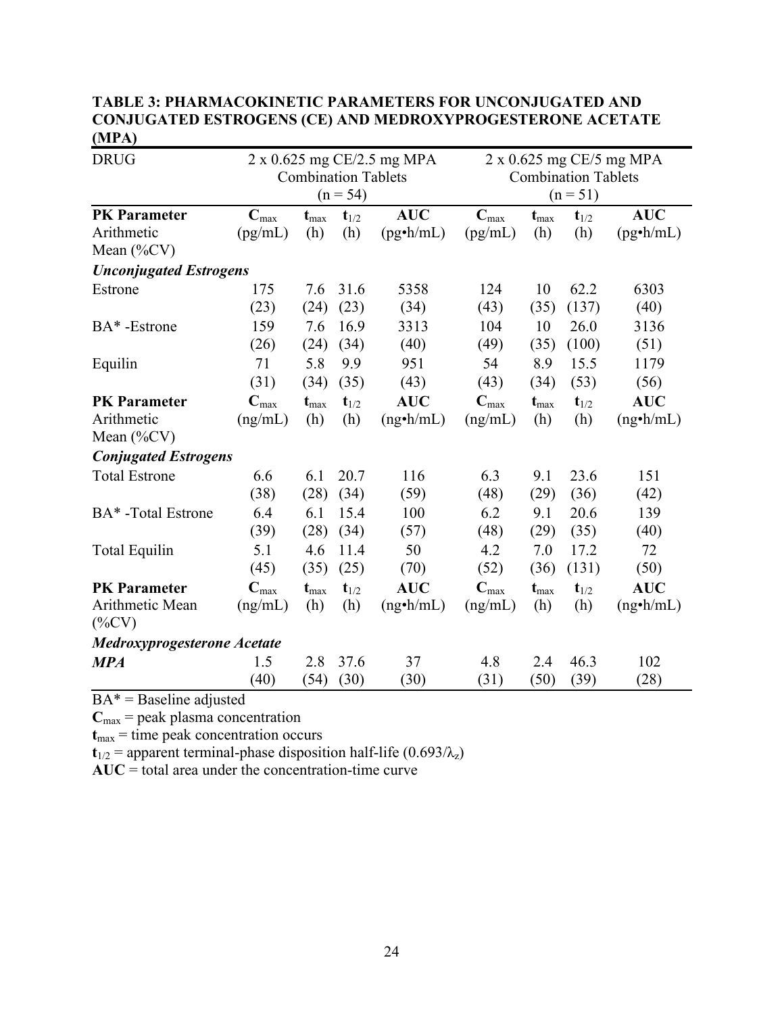| (1)                                |                  |               |                            |                            |                           |                  |                            |                          |
|------------------------------------|------------------|---------------|----------------------------|----------------------------|---------------------------|------------------|----------------------------|--------------------------|
| <b>DRUG</b>                        |                  |               |                            | 2 x 0.625 mg CE/2.5 mg MPA |                           |                  |                            | 2 x 0.625 mg CE/5 mg MPA |
|                                    |                  |               | <b>Combination Tablets</b> |                            |                           |                  | <b>Combination Tablets</b> |                          |
|                                    |                  |               | $(n = 54)$                 |                            |                           |                  | $(n = 51)$                 |                          |
| <b>PK Parameter</b>                | $C_{\text{max}}$ | $t_{\rm max}$ | $t_{1/2}$                  | <b>AUC</b>                 | $\mathbf{C}_{\text{max}}$ | $t_{\rm max}$    | $t_{1/2}$                  | <b>AUC</b>               |
| Arithmetic                         | (pg/mL)          | (h)           | (h)                        | $(pg\cdot h/mL)$           | (pg/mL)                   | (h)              | (h)                        | $(pg\cdot h/mL)$         |
| Mean $(\%CV)$                      |                  |               |                            |                            |                           |                  |                            |                          |
| <b>Unconjugated Estrogens</b>      |                  |               |                            |                            |                           |                  |                            |                          |
| Estrone                            | 175              | 7.6           | 31.6                       | 5358                       | 124                       | 10               | 62.2                       | 6303                     |
|                                    | (23)             | (24)          | (23)                       | (34)                       | (43)                      | (35)             | (137)                      | (40)                     |
| BA*-Estrone                        | 159              | 7.6           | 16.9                       | 3313                       | 104                       | 10               | 26.0                       | 3136                     |
|                                    | (26)             | (24)          | (34)                       | (40)                       | (49)                      | (35)             | (100)                      | (51)                     |
| Equilin                            | 71               | 5.8           | 9.9                        | 951                        | 54                        | 8.9              | 15.5                       | 1179                     |
|                                    | (31)             | (34)          | (35)                       | (43)                       | (43)                      | (34)             | (53)                       | (56)                     |
| <b>PK</b> Parameter                | $C_{\text{max}}$ | $t_{\rm max}$ | $t_{1/2}$                  | <b>AUC</b>                 | $C_{\text{max}}$          | $t_{\rm max}$    | $t_{1/2}$                  | <b>AUC</b>               |
| Arithmetic                         | (ng/mL)          | (h)           | (h)                        | $(ng\cdot h/mL)$           | (ng/mL)                   | (h)              | (h)                        | $(ng\cdot h/mL)$         |
| Mean $(\%CV)$                      |                  |               |                            |                            |                           |                  |                            |                          |
| <b>Conjugated Estrogens</b>        |                  |               |                            |                            |                           |                  |                            |                          |
| <b>Total Estrone</b>               | 6.6              | 6.1           | 20.7                       | 116                        | 6.3                       | 9.1              | 23.6                       | 151                      |
|                                    | (38)             | (28)          | (34)                       | (59)                       | (48)                      | (29)             | (36)                       | (42)                     |
| BA* -Total Estrone                 | 6.4              | 6.1           | 15.4                       | 100                        | 6.2                       | 9.1              | 20.6                       | 139                      |
|                                    | (39)             | (28)          | (34)                       | (57)                       | (48)                      | (29)             | (35)                       | (40)                     |
| <b>Total Equilin</b>               | 5.1              | 4.6           | 11.4                       | 50                         | 4.2                       | 7.0              | 17.2                       | 72                       |
|                                    | (45)             | (35)          | (25)                       | (70)                       | (52)                      | (36)             | (131)                      | (50)                     |
| <b>PK Parameter</b>                | $C_{max}$        | $t_{\rm max}$ | $t_{1/2}$                  | <b>AUC</b>                 | $C_{\text{max}}$          | $t_{\text{max}}$ | $t_{1/2}$                  | <b>AUC</b>               |
| Arithmetic Mean<br>$(\%CV)$        | (ng/mL)          | (h)           | (h)                        | $(ng\cdot h/mL)$           | (ng/mL)                   | (h)              | (h)                        | $(ng\cdot h/mL)$         |
| <b>Medroxyprogesterone Acetate</b> |                  |               |                            |                            |                           |                  |                            |                          |
|                                    | 1.5              | 2.8           | 37.6                       |                            |                           |                  |                            | 102                      |
| <b>MPA</b>                         |                  |               |                            | 37                         | 4.8                       | 2.4              | 46.3                       |                          |
|                                    | (40)             | (54)          | (30)                       | (30)                       | (31)                      | (50)             | (39)                       | (28)                     |

#### **TABLE 3: PHARMACOKINETIC PARAMETERS FOR UNCONJUGATED AND CONJUGATED ESTROGENS (CE) AND MEDROXYPROGESTERONE ACETATE (MPA)**

 $BA* = Baseline$  adjusted

 $C_{\text{max}}$  = peak plasma concentration

**t**max = time peak concentration occurs

 $t_{1/2}$  = apparent terminal-phase disposition half-life (0.693/ $\lambda$ <sub>z</sub>)

 $AUC =$  total area under the concentration-time curve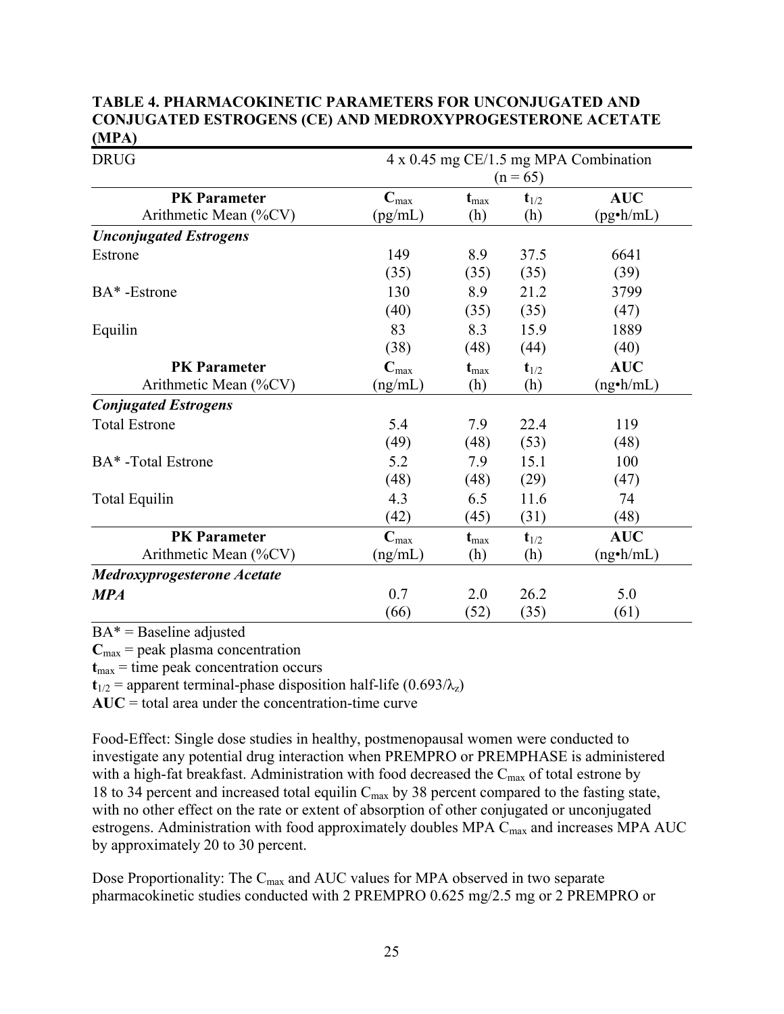#### **TABLE 4. PHARMACOKINETIC PARAMETERS FOR UNCONJUGATED AND CONJUGATED ESTROGENS (CE) AND MEDROXYPROGESTERONE ACETATE (MPA)**

| <b>DRUG</b>                   | 4 x 0.45 mg CE/1.5 mg MPA Combination |               |           |                  |  |  |  |
|-------------------------------|---------------------------------------|---------------|-----------|------------------|--|--|--|
|                               |                                       | $(n = 65)$    |           |                  |  |  |  |
| <b>PK</b> Parameter           | $C_{\text{max}}$                      | $t_{\rm max}$ | $t_{1/2}$ | <b>AUC</b>       |  |  |  |
| Arithmetic Mean (%CV)         | (pg/mL)                               | (h)           | (h)       | $(pg\cdot h/mL)$ |  |  |  |
| <b>Unconjugated Estrogens</b> |                                       |               |           |                  |  |  |  |
| Estrone                       | 149                                   | 8.9           | 37.5      | 6641             |  |  |  |
|                               | (35)                                  | (35)          | (35)      | (39)             |  |  |  |
| BA*-Estrone                   | 130                                   | 8.9           | 21.2      | 3799             |  |  |  |
|                               | (40)                                  | (35)          | (35)      | (47)             |  |  |  |
| Equilin                       | 83                                    | 8.3           | 15.9      | 1889             |  |  |  |
|                               | (38)                                  | (48)          | (44)      | (40)             |  |  |  |
| <b>PK</b> Parameter           | $C_{\text{max}}$                      | $t_{\rm max}$ | $t_{1/2}$ | <b>AUC</b>       |  |  |  |
| Arithmetic Mean (%CV)         | (ng/mL)                               | (h)           | (h)       | $(ng\cdot h/mL)$ |  |  |  |
| <b>Conjugated Estrogens</b>   |                                       |               |           |                  |  |  |  |
| <b>Total Estrone</b>          | 5.4                                   | 7.9           | 22.4      | 119              |  |  |  |
|                               | (49)                                  | (48)          | (53)      | (48)             |  |  |  |
| BA*-Total Estrone             | 5.2                                   | 7.9           | 15.1      | 100              |  |  |  |
|                               | (48)                                  | (48)          | (29)      | (47)             |  |  |  |
| <b>Total Equilin</b>          | 4.3                                   | 6.5           | 11.6      | 74               |  |  |  |
|                               | (42)                                  | (45)          | (31)      | (48)             |  |  |  |
| <b>PK Parameter</b>           | $C_{\text{max}}$                      | $t_{\rm max}$ | $t_{1/2}$ | <b>AUC</b>       |  |  |  |
| Arithmetic Mean (%CV)         | (ng/mL)                               | (h)           | (h)       | $(ng\cdot h/mL)$ |  |  |  |
| Medroxyprogesterone Acetate   |                                       |               |           |                  |  |  |  |
| <b>MPA</b>                    | 0.7                                   | 2.0           | 26.2      | 5.0              |  |  |  |
|                               | (66)                                  | (52)          | (35)      | (61)             |  |  |  |

 $BA* = Baseline$  adjusted

 $C_{\text{max}}$  = peak plasma concentration

 $t_{\text{max}}$  = time peak concentration occurs

 $t_{1/2}$  = apparent terminal-phase disposition half-life (0.693/ $\lambda$ <sub>z</sub>)

**AUC** = total area under the concentration-time curve

Food-Effect: Single dose studies in healthy, postmenopausal women were conducted to investigate any potential drug interaction when PREMPRO or PREMPHASE is administered with a high-fat breakfast. Administration with food decreased the  $C_{\text{max}}$  of total estrone by 18 to 34 percent and increased total equilin  $C_{\text{max}}$  by 38 percent compared to the fasting state, with no other effect on the rate or extent of absorption of other conjugated or unconjugated estrogens. Administration with food approximately doubles MPA  $C_{\text{max}}$  and increases MPA AUC by approximately 20 to 30 percent.

Dose Proportionality: The  $C_{\text{max}}$  and AUC values for MPA observed in two separate pharmacokinetic studies conducted with 2 PREMPRO 0.625 mg/2.5 mg or 2 PREMPRO or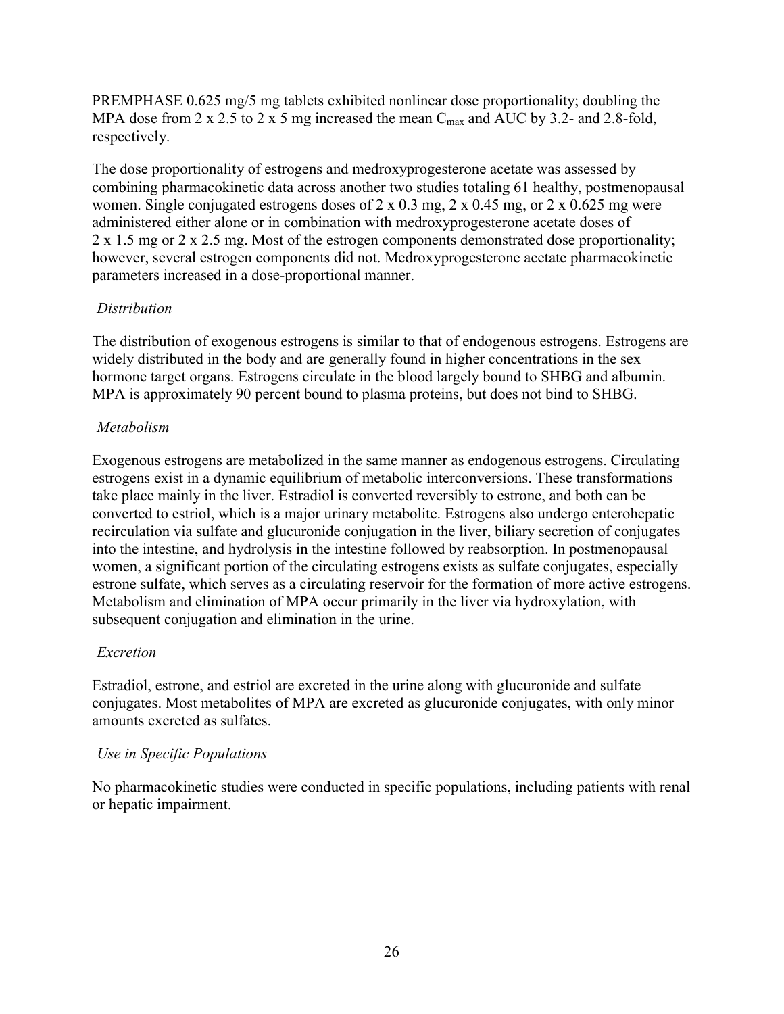PREMPHASE 0.625 mg/5 mg tablets exhibited nonlinear dose proportionality; doubling the MPA dose from 2 x 2.5 to 2 x 5 mg increased the mean  $C_{\text{max}}$  and AUC by 3.2- and 2.8-fold, respectively.

The dose proportionality of estrogens and medroxyprogesterone acetate was assessed by combining pharmacokinetic data across another two studies totaling 61 healthy, postmenopausal women. Single conjugated estrogens doses of 2 x 0.3 mg, 2 x 0.45 mg, or 2 x 0.625 mg were administered either alone or in combination with medroxyprogesterone acetate doses of 2 x 1.5 mg or 2 x 2.5 mg. Most of the estrogen components demonstrated dose proportionality; however, several estrogen components did not. Medroxyprogesterone acetate pharmacokinetic parameters increased in a dose-proportional manner.

# *Distribution*

The distribution of exogenous estrogens is similar to that of endogenous estrogens. Estrogens are widely distributed in the body and are generally found in higher concentrations in the sex hormone target organs. Estrogens circulate in the blood largely bound to SHBG and albumin. MPA is approximately 90 percent bound to plasma proteins, but does not bind to SHBG.

# *Metabolism*

Exogenous estrogens are metabolized in the same manner as endogenous estrogens. Circulating estrogens exist in a dynamic equilibrium of metabolic interconversions. These transformations take place mainly in the liver. Estradiol is converted reversibly to estrone, and both can be converted to estriol, which is a major urinary metabolite. Estrogens also undergo enterohepatic recirculation via sulfate and glucuronide conjugation in the liver, biliary secretion of conjugates into the intestine, and hydrolysis in the intestine followed by reabsorption. In postmenopausal women, a significant portion of the circulating estrogens exists as sulfate conjugates, especially estrone sulfate, which serves as a circulating reservoir for the formation of more active estrogens. Metabolism and elimination of MPA occur primarily in the liver via hydroxylation, with subsequent conjugation and elimination in the urine.

# *Excretion*

Estradiol, estrone, and estriol are excreted in the urine along with glucuronide and sulfate conjugates. Most metabolites of MPA are excreted as glucuronide conjugates, with only minor amounts excreted as sulfates.

# *Use in Specific Populations*

No pharmacokinetic studies were conducted in specific populations, including patients with renal or hepatic impairment.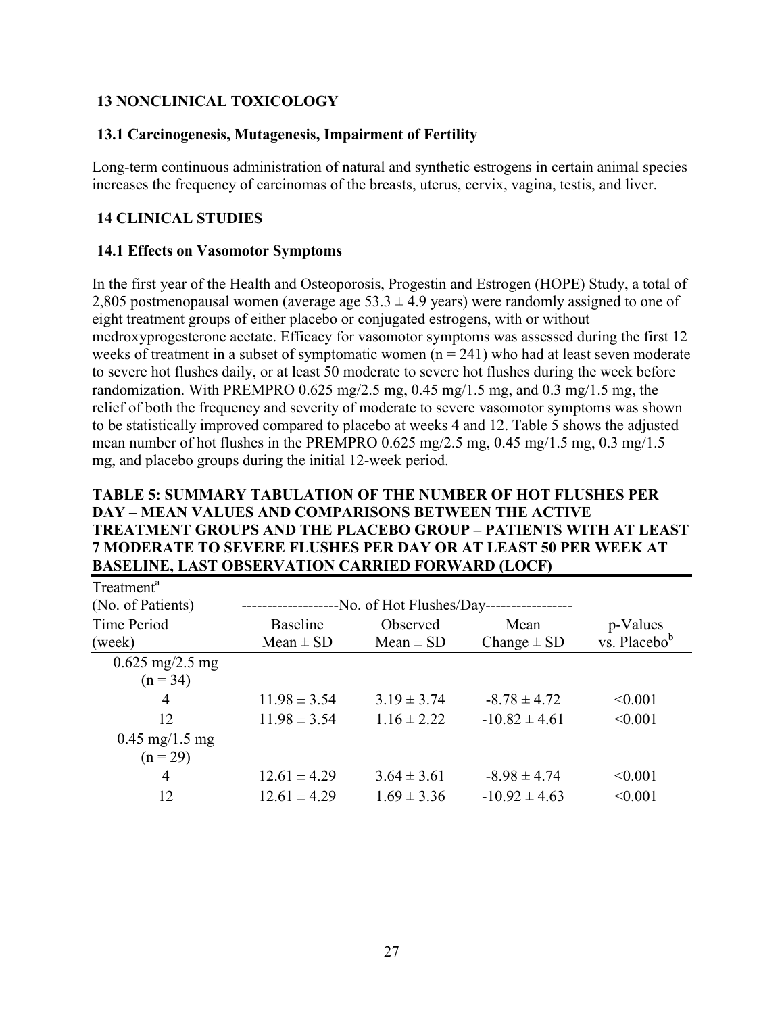# **13 NONCLINICAL TOXICOLOGY**

#### **13.1 Carcinogenesis, Mutagenesis, Impairment of Fertility**

Long-term continuous administration of natural and synthetic estrogens in certain animal species increases the frequency of carcinomas of the breasts, uterus, cervix, vagina, testis, and liver.

# **14 CLINICAL STUDIES**

#### **14.1 Effects on Vasomotor Symptoms**

In the first year of the Health and Osteoporosis, Progestin and Estrogen (HOPE) Study, a total of 2,805 postmenopausal women (average age  $53.3 \pm 4.9$  years) were randomly assigned to one of eight treatment groups of either placebo or conjugated estrogens, with or without medroxyprogesterone acetate. Efficacy for vasomotor symptoms was assessed during the first 12 weeks of treatment in a subset of symptomatic women  $(n = 241)$  who had at least seven moderate to severe hot flushes daily, or at least 50 moderate to severe hot flushes during the week before randomization. With PREMPRO  $0.625 \text{ mg}/2.5 \text{ mg}$ ,  $0.45 \text{ mg}/1.5 \text{ mg}$ , and  $0.3 \text{ mg}/1.5 \text{ mg}$ , the relief of both the frequency and severity of moderate to severe vasomotor symptoms was shown to be statistically improved compared to placebo at weeks 4 and 12. Table 5 shows the adjusted mean number of hot flushes in the PREMPRO 0.625 mg/2.5 mg, 0.45 mg/1.5 mg, 0.3 mg/1.5 mg, and placebo groups during the initial 12-week period.

#### **TABLE 5: SUMMARY TABULATION OF THE NUMBER OF HOT FLUSHES PER DAY – MEAN VALUES AND COMPARISONS BETWEEN THE ACTIVE TREATMENT GROUPS AND THE PLACEBO GROUP – PATIENTS WITH AT LEAST 7 MODERATE TO SEVERE FLUSHES PER DAY OR AT LEAST 50 PER WEEK AT BASELINE, LAST OBSERVATION CARRIED FORWARD (LOCF)**

| Treatment <sup>a</sup>            |                  |                          |                   |              |
|-----------------------------------|------------------|--------------------------|-------------------|--------------|
| (No. of Patients)                 |                  | -No. of Hot Flushes/Day- |                   |              |
| Time Period                       | <b>Baseline</b>  | Observed                 | Mean              | p-Values     |
| (week)                            | $Mean \pm SD$    | Mean $\pm$ SD            | Change $\pm$ SD   | vs. Placebob |
| $0.625 \text{ mg}/2.5 \text{ mg}$ |                  |                          |                   |              |
| $(n = 34)$                        |                  |                          |                   |              |
| 4                                 | $11.98 \pm 3.54$ | $3.19 \pm 3.74$          | $-8.78 \pm 4.72$  | < 0.001      |
| 12                                | $11.98 \pm 3.54$ | $1.16 \pm 2.22$          | $-10.82 \pm 4.61$ | < 0.001      |
| $0.45 \text{ mg}/1.5 \text{ mg}$  |                  |                          |                   |              |
| $(n = 29)$                        |                  |                          |                   |              |
| 4                                 | $12.61 \pm 4.29$ | $3.64 \pm 3.61$          | $-8.98 \pm 4.74$  | < 0.001      |
| 12                                | $12.61 \pm 4.29$ | $1.69 \pm 3.36$          | $-10.92 \pm 4.63$ | < 0.001      |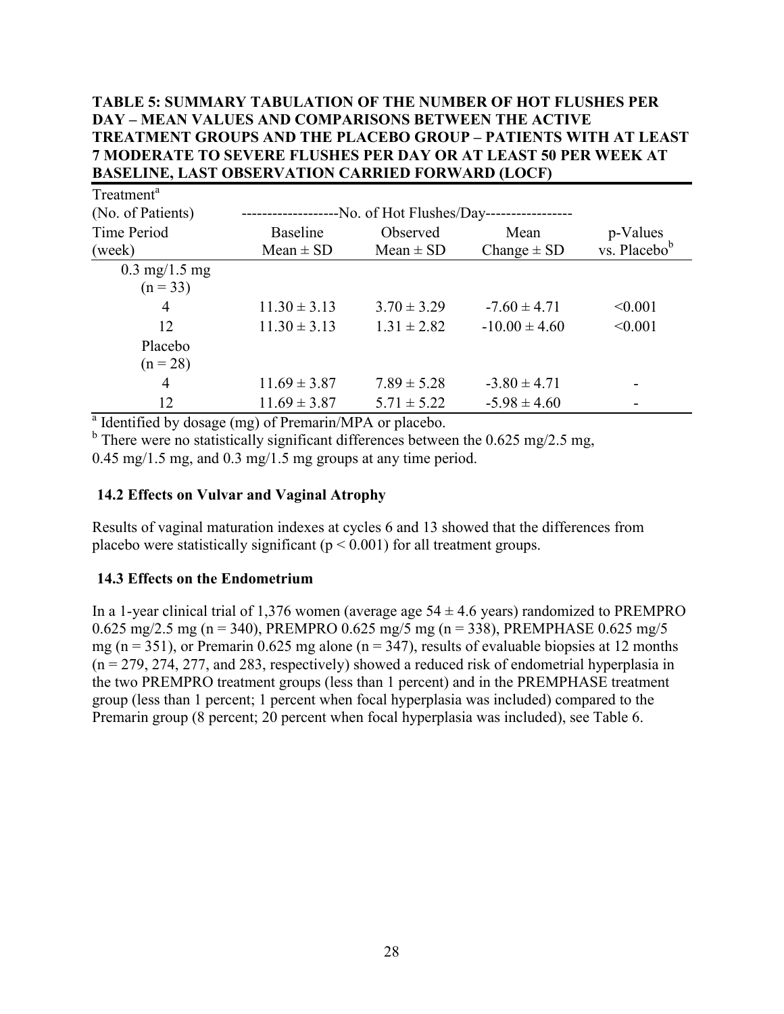#### **TABLE 5: SUMMARY TABULATION OF THE NUMBER OF HOT FLUSHES PER DAY – MEAN VALUES AND COMPARISONS BETWEEN THE ACTIVE TREATMENT GROUPS AND THE PLACEBO GROUP – PATIENTS WITH AT LEAST 7 MODERATE TO SEVERE FLUSHES PER DAY OR AT LEAST 50 PER WEEK AT BASELINE, LAST OBSERVATION CARRIED FORWARD (LOCF)**

| Treatment <sup>a</sup>          |                  |                          |                   |              |
|---------------------------------|------------------|--------------------------|-------------------|--------------|
| (No. of Patients)               |                  | -No. of Hot Flushes/Day- |                   |              |
| Time Period                     | <b>Baseline</b>  | Observed                 | Mean              | p-Values     |
| (week)                          | $Mean \pm SD$    | $Mean \pm SD$            | Change $\pm$ SD   | vs. Placebob |
| $0.3 \text{ mg}/1.5 \text{ mg}$ |                  |                          |                   |              |
| $(n = 33)$                      |                  |                          |                   |              |
| 4                               | $11.30 \pm 3.13$ | $3.70 \pm 3.29$          | $-7.60 \pm 4.71$  | < 0.001      |
| 12                              | $11.30 \pm 3.13$ | $1.31 \pm 2.82$          | $-10.00 \pm 4.60$ | < 0.001      |
| Placebo                         |                  |                          |                   |              |
| $(n = 28)$                      |                  |                          |                   |              |
| 4                               | $11.69 \pm 3.87$ | $7.89 \pm 5.28$          | $-3.80 \pm 4.71$  |              |
| 12                              | $11.69 \pm 3.87$ | $5.71 \pm 5.22$          | $-5.98 \pm 4.60$  |              |

<sup>a</sup> Identified by dosage (mg) of Premarin/MPA or placebo.

<sup>b</sup> There were no statistically significant differences between the  $0.625$  mg/2.5 mg, 0.45 mg/1.5 mg, and 0.3 mg/1.5 mg groups at any time period.

#### **14.2 Effects on Vulvar and Vaginal Atrophy**

Results of vaginal maturation indexes at cycles 6 and 13 showed that the differences from placebo were statistically significant ( $p < 0.001$ ) for all treatment groups.

#### **14.3 Effects on the Endometrium**

In a 1-year clinical trial of 1,376 women (average age  $54 \pm 4.6$  years) randomized to PREMPRO 0.625 mg/2.5 mg (n = 340), PREMPRO 0.625 mg/5 mg (n = 338), PREMPHASE 0.625 mg/5 mg ( $n = 351$ ), or Premarin 0.625 mg alone ( $n = 347$ ), results of evaluable biopsies at 12 months  $(n = 279, 274, 277,$  and 283, respectively) showed a reduced risk of endometrial hyperplasia in the two PREMPRO treatment groups (less than 1 percent) and in the PREMPHASE treatment group (less than 1 percent; 1 percent when focal hyperplasia was included) compared to the Premarin group (8 percent; 20 percent when focal hyperplasia was included), see Table 6.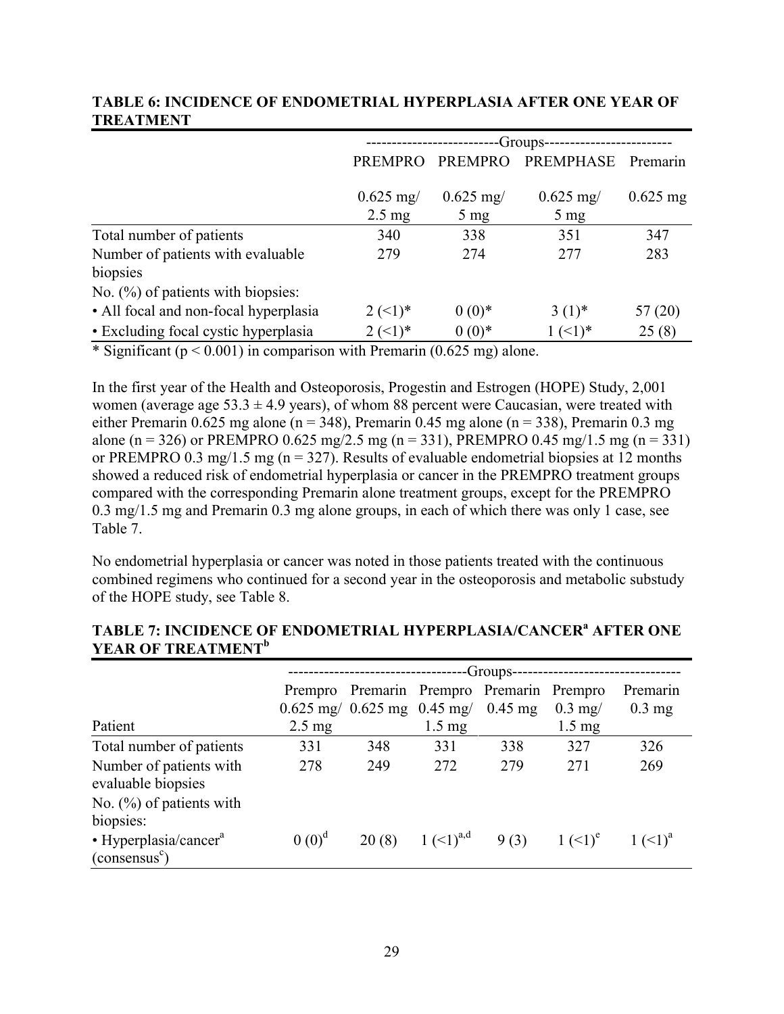| TABLE 6: INCIDENCE OF ENDOMETRIAL HYPERPLASIA AFTER ONE YEAR OF |  |  |
|-----------------------------------------------------------------|--|--|
| TREATMENT                                                       |  |  |

|                                               | -Groups-                               |                                      |                                      |            |  |
|-----------------------------------------------|----------------------------------------|--------------------------------------|--------------------------------------|------------|--|
|                                               | <b>PREMPRO</b>                         | PREMPRO                              | <b>PREMPHASE</b>                     | Premarin   |  |
|                                               | $0.625 \text{ mg}$<br>$2.5 \text{ mg}$ | $0.625 \text{ mg}$<br>$5 \text{ mg}$ | $0.625 \text{ mg}$<br>$5 \text{ mg}$ | $0.625$ mg |  |
| Total number of patients                      | 340                                    | 338                                  | 351                                  | 347        |  |
| Number of patients with evaluable<br>biopsies | 279                                    | 274                                  | 277                                  | 283        |  |
| No. $(\%)$ of patients with biopsies:         |                                        |                                      |                                      |            |  |
| • All focal and non-focal hyperplasia         | $2 \ (-1)^*$                           | $0(0)*$                              | $3(1)^{*}$                           | 57 (20)    |  |
| • Excluding focal cystic hyperplasia          | $2$ (<1)*                              | $0(0)*$                              | $^{5}$ (1)*                          | 25(8)      |  |

\* Significant ( $p < 0.001$ ) in comparison with Premarin (0.625 mg) alone.

In the first year of the Health and Osteoporosis, Progestin and Estrogen (HOPE) Study, 2,001 women (average age  $53.3 \pm 4.9$  years), of whom 88 percent were Caucasian, were treated with either Premarin 0.625 mg alone (n = 348), Premarin 0.45 mg alone (n = 338), Premarin 0.3 mg alone (n = 326) or PREMPRO 0.625 mg/2.5 mg (n = 331), PREMPRO 0.45 mg/1.5 mg (n = 331) or PREMPRO 0.3 mg/1.5 mg ( $n = 327$ ). Results of evaluable endometrial biopsies at 12 months showed a reduced risk of endometrial hyperplasia or cancer in the PREMPRO treatment groups compared with the corresponding Premarin alone treatment groups, except for the PREMPRO 0.3 mg/1.5 mg and Premarin 0.3 mg alone groups, in each of which there was only 1 case, see Table 7.

No endometrial hyperplasia or cancer was noted in those patients treated with the continuous combined regimens who continued for a second year in the osteoporosis and metabolic substudy of the HOPE study, see Table 8.

|                                                                        | -Groups--        |                                   |                                       |                   |                  |                  |
|------------------------------------------------------------------------|------------------|-----------------------------------|---------------------------------------|-------------------|------------------|------------------|
|                                                                        | Prempro          | Premarin Prempro Premarin Prempro |                                       |                   |                  | Premarin         |
|                                                                        |                  | $0.625$ mg/ $0.625$ mg $0.45$ mg/ |                                       | $0.45 \text{ mg}$ | $0.3 \text{ mg}$ | $0.3 \text{ mg}$ |
| Patient                                                                | $2.5 \text{ mg}$ |                                   | $1.5 \text{ mg}$                      |                   | $1.5 \text{ mg}$ |                  |
| Total number of patients                                               | 331              | 348                               | 331                                   | 338               | 327              | 326              |
| Number of patients with<br>evaluable biopsies                          | 278              | 249                               | 272                                   | 279               | 271              | 269              |
| No. $(\%)$ of patients with<br>biopsies:                               |                  |                                   |                                       |                   |                  |                  |
| $\bullet$ Hyperplasia/cancer <sup>a</sup><br>(consensus <sup>c</sup> ) | $0(0)^d$         |                                   | 20(8) $1 \left( \leq l \right)^{a,d}$ | 9(3)              | $1 (-1)^e$       | $(<1)^a$         |

#### **TABLE 7: INCIDENCE OF ENDOMETRIAL HYPERPLASIA/CANCER<sup>a</sup> AFTER ONE YEAR OF TREATMENT<sup>b</sup>**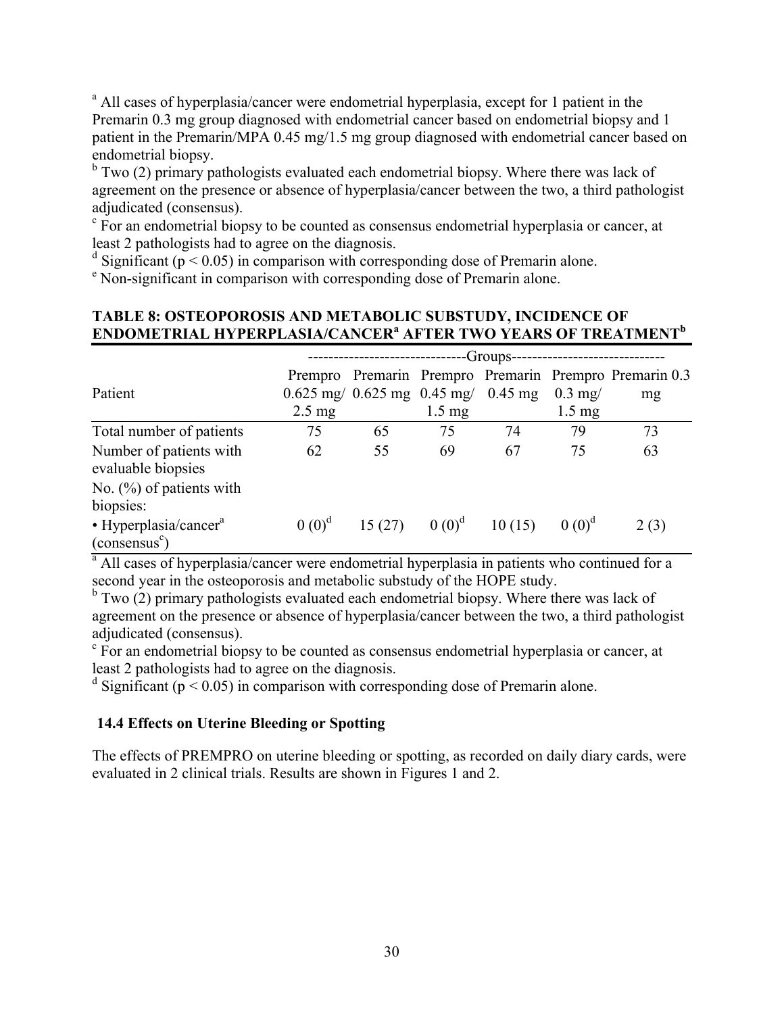<sup>a</sup> All cases of hyperplasia/cancer were endometrial hyperplasia, except for 1 patient in the Premarin 0.3 mg group diagnosed with endometrial cancer based on endometrial biopsy and 1 patient in the Premarin/MPA 0.45 mg/1.5 mg group diagnosed with endometrial cancer based on endometrial biopsy.

 $b$  Two (2) primary pathologists evaluated each endometrial biopsy. Where there was lack of agreement on the presence or absence of hyperplasia/cancer between the two, a third pathologist adjudicated (consensus).

<sup>c</sup> For an endometrial biopsy to be counted as consensus endometrial hyperplasia or cancer, at least 2 pathologists had to agree on the diagnosis.

<sup>d</sup> Significant ( $p < 0.05$ ) in comparison with corresponding dose of Premarin alone.

<sup>e</sup> Non-significant in comparison with corresponding dose of Premarin alone.

#### **TABLE 8: OSTEOPOROSIS AND METABOLIC SUBSTUDY, INCIDENCE OF ENDOMETRIAL HYPERPLASIA/CANCER<sup>a</sup> AFTER TWO YEARS OF TREATMENT<sup>b</sup>**

|                                                                        | --Groups--       |                                   |                  |                   |                  |                                                        |
|------------------------------------------------------------------------|------------------|-----------------------------------|------------------|-------------------|------------------|--------------------------------------------------------|
|                                                                        |                  |                                   |                  |                   |                  | Prempro Premarin Prempro Premarin Prempro Premarin 0.3 |
| Patient                                                                |                  | $0.625$ mg/ $0.625$ mg $0.45$ mg/ |                  | $0.45 \text{ mg}$ | $0.3 \text{ mg}$ | mg                                                     |
|                                                                        | $2.5 \text{ mg}$ |                                   | $1.5 \text{ mg}$ |                   | $1.5 \text{ mg}$ |                                                        |
| Total number of patients                                               | 75               | 65                                | 75               | 74                | 79               | 73                                                     |
| Number of patients with<br>evaluable biopsies                          | 62               | 55                                | 69               | 67                | 75               | 63                                                     |
| No. $(\%)$ of patients with                                            |                  |                                   |                  |                   |                  |                                                        |
| biopsies:                                                              |                  |                                   |                  |                   |                  |                                                        |
| $\bullet$ Hyperplasia/cancer <sup>a</sup><br>(consensus <sup>c</sup> ) | $0(0)^d$         | 15(27)                            | $(0)(0)^d$       | 10(15)            | $0(0)^d$         | 2(3)                                                   |

<sup>a</sup> All cases of hyperplasia/cancer were endometrial hyperplasia in patients who continued for a second year in the osteoporosis and metabolic substudy of the HOPE study.

 $b$  Two (2) primary pathologists evaluated each endometrial biopsy. Where there was lack of agreement on the presence or absence of hyperplasia/cancer between the two, a third pathologist adjudicated (consensus).

<sup>c</sup> For an endometrial biopsy to be counted as consensus endometrial hyperplasia or cancer, at least 2 pathologists had to agree on the diagnosis.

<sup>d</sup> Significant ( $p < 0.05$ ) in comparison with corresponding dose of Premarin alone.

### **14.4 Effects on Uterine Bleeding or Spotting**

The effects of PREMPRO on uterine bleeding or spotting, as recorded on daily diary cards, were evaluated in 2 clinical trials. Results are shown in Figures 1 and 2.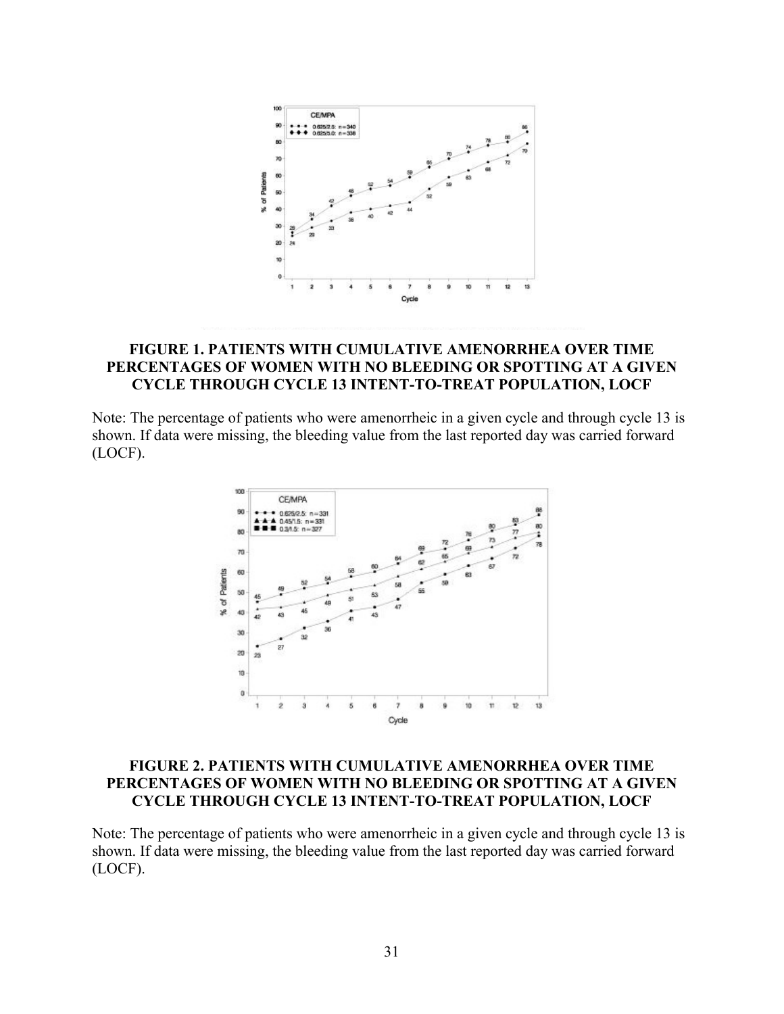

#### **FIGURE 1. PATIENTS WITH CUMULATIVE AMENORRHEA OVER TIME PERCENTAGES OF WOMEN WITH NO BLEEDING OR SPOTTING AT A GIVEN CYCLE THROUGH CYCLE 13 INTENT-TO-TREAT POPULATION, LOCF**

Note: The percentage of patients who were amenorrheic in a given cycle and through cycle 13 is shown. If data were missing, the bleeding value from the last reported day was carried forward (LOCF).



#### **FIGURE 2. PATIENTS WITH CUMULATIVE AMENORRHEA OVER TIME PERCENTAGES OF WOMEN WITH NO BLEEDING OR SPOTTING AT A GIVEN CYCLE THROUGH CYCLE 13 INTENT-TO-TREAT POPULATION, LOCF**

Note: The percentage of patients who were amenorrheic in a given cycle and through cycle 13 is shown. If data were missing, the bleeding value from the last reported day was carried forward (LOCF).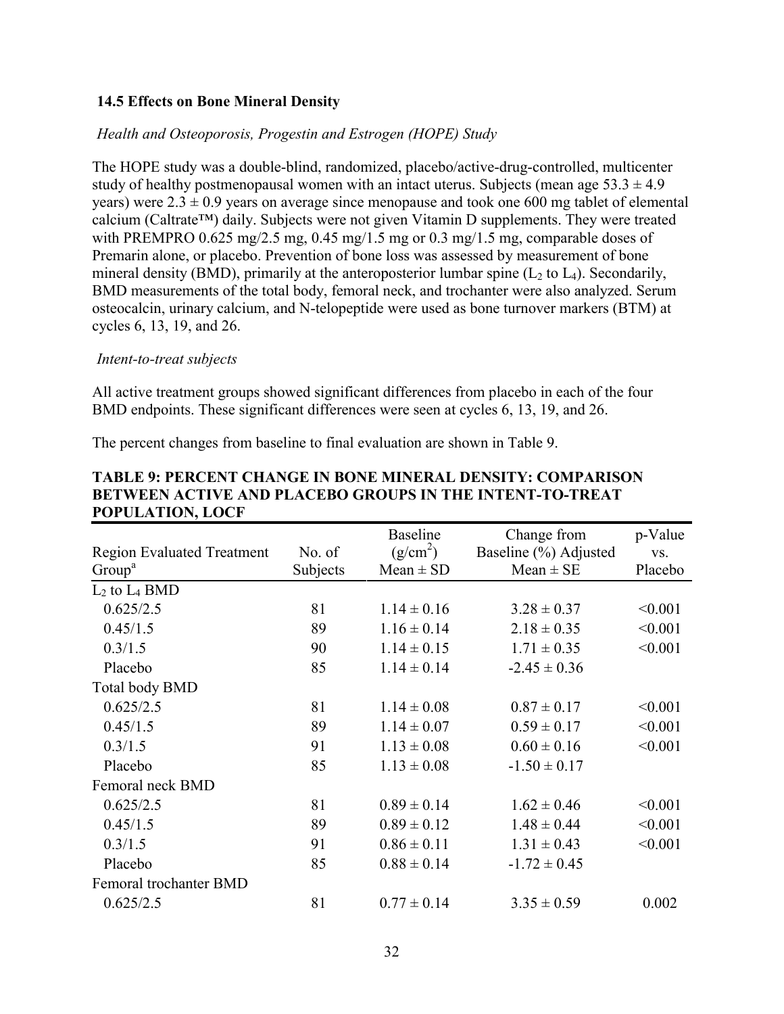#### **14.5 Effects on Bone Mineral Density**

#### *Health and Osteoporosis, Progestin and Estrogen (HOPE) Study*

The HOPE study was a double-blind, randomized, placebo/active-drug-controlled, multicenter study of healthy postmenopausal women with an intact uterus. Subjects (mean age  $53.3 \pm 4.9$ ) years) were  $2.3 \pm 0.9$  years on average since menopause and took one 600 mg tablet of elemental calcium (Caltrate™) daily. Subjects were not given Vitamin D supplements. They were treated with PREMPRO 0.625 mg/2.5 mg, 0.45 mg/1.5 mg or 0.3 mg/1.5 mg, comparable doses of Premarin alone, or placebo. Prevention of bone loss was assessed by measurement of bone mineral density (BMD), primarily at the anteroposterior lumbar spine  $(L_2 \text{ to } L_4)$ . Secondarily, BMD measurements of the total body, femoral neck, and trochanter were also analyzed. Serum osteocalcin, urinary calcium, and N-telopeptide were used as bone turnover markers (BTM) at cycles 6, 13, 19, and 26.

#### *Intent-to-treat subjects*

All active treatment groups showed significant differences from placebo in each of the four BMD endpoints. These significant differences were seen at cycles 6, 13, 19, and 26.

The percent changes from baseline to final evaluation are shown in Table 9.

| 21 CENTION, BOCI                  |          |                      |                       |         |
|-----------------------------------|----------|----------------------|-----------------------|---------|
|                                   |          | <b>Baseline</b>      | Change from           | p-Value |
| <b>Region Evaluated Treatment</b> | No. of   | (g/cm <sup>2</sup> ) | Baseline (%) Adjusted | VS.     |
| Group <sup>a</sup>                | Subjects | $Mean \pm SD$        | $Mean \pm SE$         | Placebo |
| $L_2$ to $L_4$ BMD                |          |                      |                       |         |
| 0.625/2.5                         | 81       | $1.14 \pm 0.16$      | $3.28 \pm 0.37$       | < 0.001 |
| 0.45/1.5                          | 89       | $1.16 \pm 0.14$      | $2.18 \pm 0.35$       | < 0.001 |
| 0.3/1.5                           | 90       | $1.14 \pm 0.15$      | $1.71 \pm 0.35$       | < 0.001 |
| Placebo                           | 85       | $1.14 \pm 0.14$      | $-2.45 \pm 0.36$      |         |
| <b>Total body BMD</b>             |          |                      |                       |         |
| 0.625/2.5                         | 81       | $1.14 \pm 0.08$      | $0.87 \pm 0.17$       | < 0.001 |
| 0.45/1.5                          | 89       | $1.14 \pm 0.07$      | $0.59 \pm 0.17$       | < 0.001 |
| 0.3/1.5                           | 91       | $1.13 \pm 0.08$      | $0.60 \pm 0.16$       | < 0.001 |
| Placebo                           | 85       | $1.13 \pm 0.08$      | $-1.50 \pm 0.17$      |         |
| Femoral neck BMD                  |          |                      |                       |         |
| 0.625/2.5                         | 81       | $0.89 \pm 0.14$      | $1.62 \pm 0.46$       | < 0.001 |
| 0.45/1.5                          | 89       | $0.89 \pm 0.12$      | $1.48 \pm 0.44$       | < 0.001 |
| 0.3/1.5                           | 91       | $0.86 \pm 0.11$      | $1.31 \pm 0.43$       | < 0.001 |
| Placebo                           | 85       | $0.88 \pm 0.14$      | $-1.72 \pm 0.45$      |         |
| Femoral trochanter BMD            |          |                      |                       |         |
| 0.625/2.5                         | 81       | $0.77 \pm 0.14$      | $3.35 \pm 0.59$       | 0.002   |
|                                   |          |                      |                       |         |

#### **TABLE 9: PERCENT CHANGE IN BONE MINERAL DENSITY: COMPARISON BETWEEN ACTIVE AND PLACEBO GROUPS IN THE INTENT-TO-TREAT POPULATION, LOCE**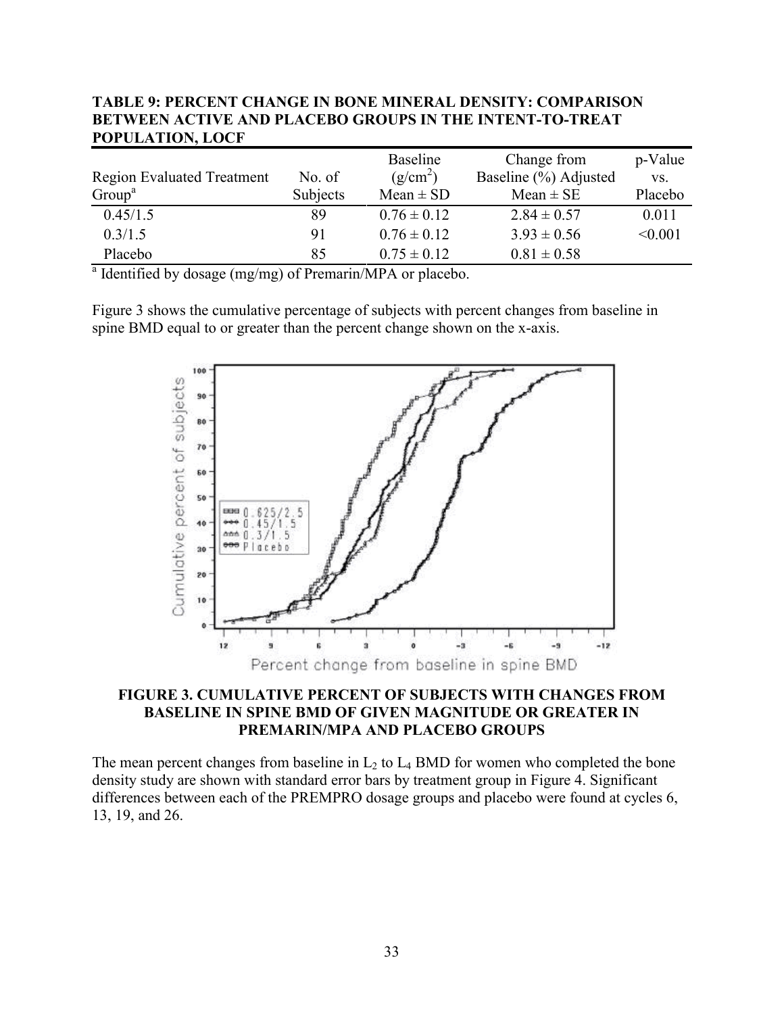#### **TABLE 9: PERCENT CHANGE IN BONE MINERAL DENSITY: COMPARISON BETWEEN ACTIVE AND PLACEBO GROUPS IN THE INTENT-TO-TREAT POPULATION, LOCF**

|                                   |          | <b>Baseline</b> | Change from           | p-Value |
|-----------------------------------|----------|-----------------|-----------------------|---------|
| <b>Region Evaluated Treatment</b> | No. of   | $(g/cm^2)$      | Baseline (%) Adjusted | VS.     |
| Group <sup>a</sup>                | Subjects | $Mean \pm SD$   | $Mean \pm SE$         | Placebo |
| 0.45/1.5                          | 89       | $0.76 \pm 0.12$ | $2.84 \pm 0.57$       | 0.011   |
| 0.3/1.5                           | 91       | $0.76 \pm 0.12$ | $3.93 \pm 0.56$       | < 0.001 |
| Placebo                           | 85       | $0.75 \pm 0.12$ | $0.81 \pm 0.58$       |         |

<sup>a</sup> Identified by dosage (mg/mg) of Premarin/MPA or placebo.

Figure 3 shows the cumulative percentage of subjects with percent changes from baseline in spine BMD equal to or greater than the percent change shown on the x-axis.



#### **FIGURE 3. CUMULATIVE PERCENT OF SUBJECTS WITH CHANGES FROM BASELINE IN SPINE BMD OF GIVEN MAGNITUDE OR GREATER IN PREMARIN/MPA AND PLACEBO GROUPS**

The mean percent changes from baseline in  $L_2$  to  $L_4$  BMD for women who completed the bone density study are shown with standard error bars by treatment group in Figure 4. Significant differences between each of the PREMPRO dosage groups and placebo were found at cycles 6, 13, 19, and 26.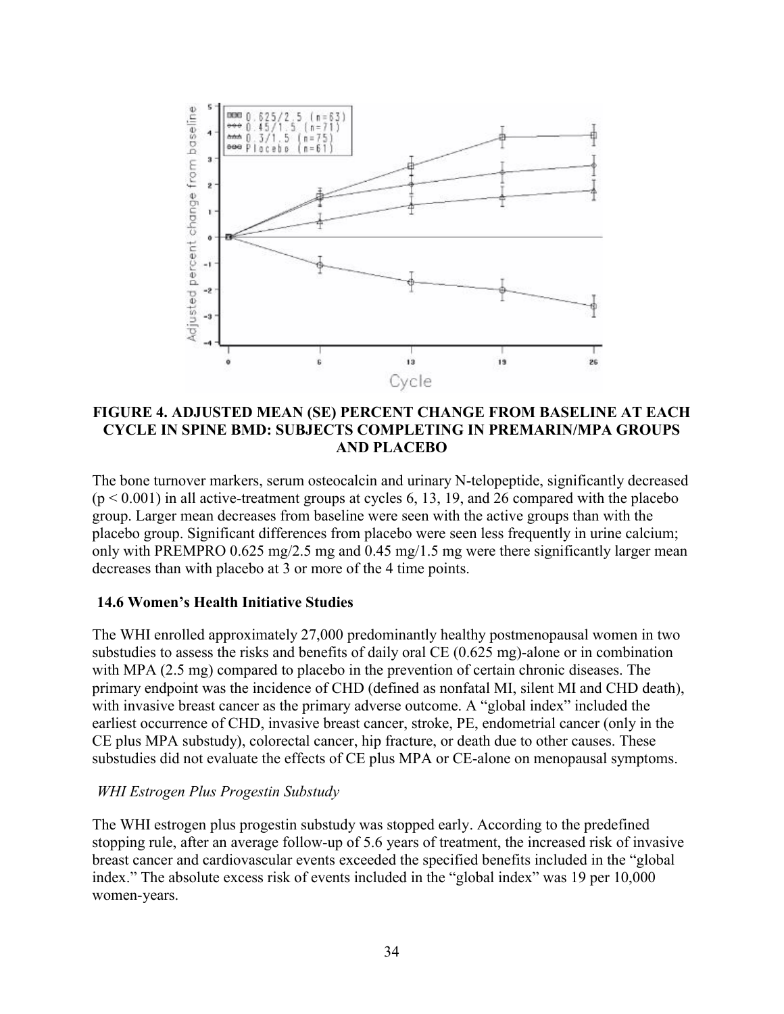

#### **FIGURE 4. ADJUSTED MEAN (SE) PERCENT CHANGE FROM BASELINE AT EACH CYCLE IN SPINE BMD: SUBJECTS COMPLETING IN PREMARIN/MPA GROUPS AND PLACEBO**

The bone turnover markers, serum osteocalcin and urinary N-telopeptide, significantly decreased  $(p < 0.001)$  in all active-treatment groups at cycles 6, 13, 19, and 26 compared with the placebo group. Larger mean decreases from baseline were seen with the active groups than with the placebo group. Significant differences from placebo were seen less frequently in urine calcium; only with PREMPRO 0.625 mg/2.5 mg and 0.45 mg/1.5 mg were there significantly larger mean decreases than with placebo at 3 or more of the 4 time points.

### **14.6 Women's Health Initiative Studies**

The WHI enrolled approximately 27,000 predominantly healthy postmenopausal women in two substudies to assess the risks and benefits of daily oral CE (0.625 mg)-alone or in combination with MPA (2.5 mg) compared to placebo in the prevention of certain chronic diseases. The primary endpoint was the incidence of CHD (defined as nonfatal MI, silent MI and CHD death), with invasive breast cancer as the primary adverse outcome. A "global index" included the earliest occurrence of CHD, invasive breast cancer, stroke, PE, endometrial cancer (only in the CE plus MPA substudy), colorectal cancer, hip fracture, or death due to other causes. These substudies did not evaluate the effects of CE plus MPA or CE-alone on menopausal symptoms.

#### *WHI Estrogen Plus Progestin Substudy*

The WHI estrogen plus progestin substudy was stopped early. According to the predefined stopping rule, after an average follow-up of 5.6 years of treatment, the increased risk of invasive breast cancer and cardiovascular events exceeded the specified benefits included in the "global index." The absolute excess risk of events included in the "global index" was 19 per 10,000 women-years.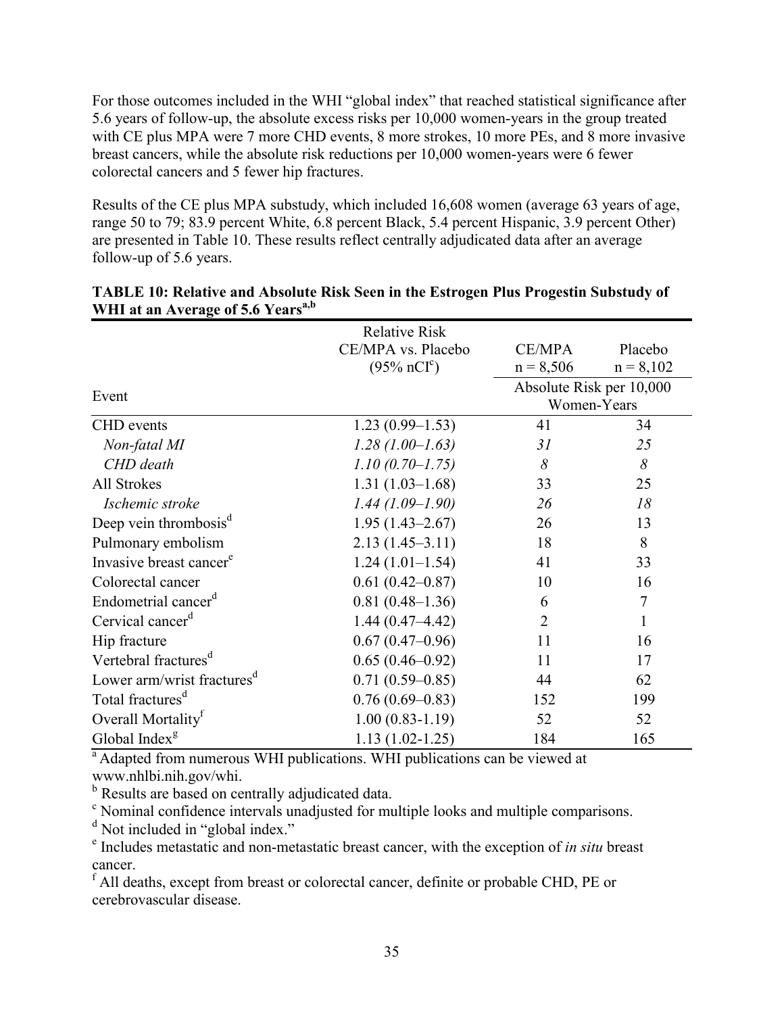For those outcomes included in the WHI "global index" that reached statistical significance after 5.6 years of follow-up, the absolute excess risks per 10,000 women-years in the group treated with CE plus MPA were 7 more CHD events, 8 more strokes, 10 more PEs, and 8 more invasive breast cancers, while the absolute risk reductions per 10,000 women-years were 6 fewer colorectal cancers and 5 fewer hip fractures.

Results of the CE plus MPA substudy, which included 16,608 women (average 63 years of age, range 50 to 79; 83.9 percent White, 6.8 percent Black, 5.4 percent Hispanic, 3.9 percent Other) are presented in Table 10. These results reflect centrally adjudicated data after an average follow-up of 5.6 years.

|                                        | <b>Relative Risk</b> |                |                          |
|----------------------------------------|----------------------|----------------|--------------------------|
|                                        | CE/MPA vs. Placebo   | <b>CE/MPA</b>  | Placebo                  |
|                                        | $(95\% \, nCIc)$     | $n = 8,506$    | $n = 8,102$              |
| Event                                  |                      |                | Absolute Risk per 10,000 |
|                                        |                      |                | Women-Years              |
| CHD events                             | $1.23(0.99-1.53)$    | 41             | 34                       |
| Non-fatal MI                           | $1.28(1.00-1.63)$    | 31             | 25                       |
| CHD death                              | $1.10(0.70-1.75)$    | 8              | 8                        |
| All Strokes                            | $1.31(1.03-1.68)$    | 33             | 25                       |
| Ischemic stroke                        | $1.44(1.09-1.90)$    | 26             | 18                       |
| Deep vein thrombosis <sup>d</sup>      | $1.95(1.43 - 2.67)$  | 26             | 13                       |
| Pulmonary embolism                     | $2.13(1.45-3.11)$    | 18             | 8                        |
| Invasive breast cancer <sup>e</sup>    | $1.24(1.01-1.54)$    | 41             | 33                       |
| Colorectal cancer                      | $0.61(0.42 - 0.87)$  | 10             | 16                       |
| Endometrial cancer <sup>d</sup>        | $0.81(0.48-1.36)$    | 6              | $\overline{7}$           |
| Cervical cancer <sup>d</sup>           | $1.44(0.47 - 4.42)$  | $\overline{2}$ | 1                        |
| Hip fracture                           | $0.67(0.47-0.96)$    | 11             | 16                       |
| Vertebral fractures <sup>d</sup>       | $0.65(0.46-0.92)$    | 11             | 17                       |
| Lower arm/wrist fractures <sup>d</sup> | $0.71(0.59 - 0.85)$  | 44             | 62                       |
| Total fractures <sup>d</sup>           | $0.76(0.69 - 0.83)$  | 152            | 199                      |
| Overall Mortality <sup>f</sup>         | $1.00(0.83-1.19)$    | 52             | 52                       |
| Global Index <sup>g</sup>              | $1.13(1.02 - 1.25)$  | 184            | 165                      |

| <b>TABLE 10: Relative and Absolute Risk Seen in the Estrogen Plus Progestin Substudy of</b> |  |
|---------------------------------------------------------------------------------------------|--|
| WHI at an Average of 5.6 Years <sup>a,b</sup>                                               |  |

<sup>a</sup> Adapted from numerous WHI publications. WHI publications can be viewed at www.nhlbi.nih.gov/whi.

<sup>b</sup> Results are based on centrally adjudicated data.

<sup>c</sup> Nominal confidence intervals unadjusted for multiple looks and multiple comparisons.

<sup>d</sup> Not included in "global index."

e Includes metastatic and non-metastatic breast cancer, with the exception of *in situ* breast cancer.

 $f$  All deaths, except from breast or colorectal cancer, definite or probable CHD, PE or cerebrovascular disease.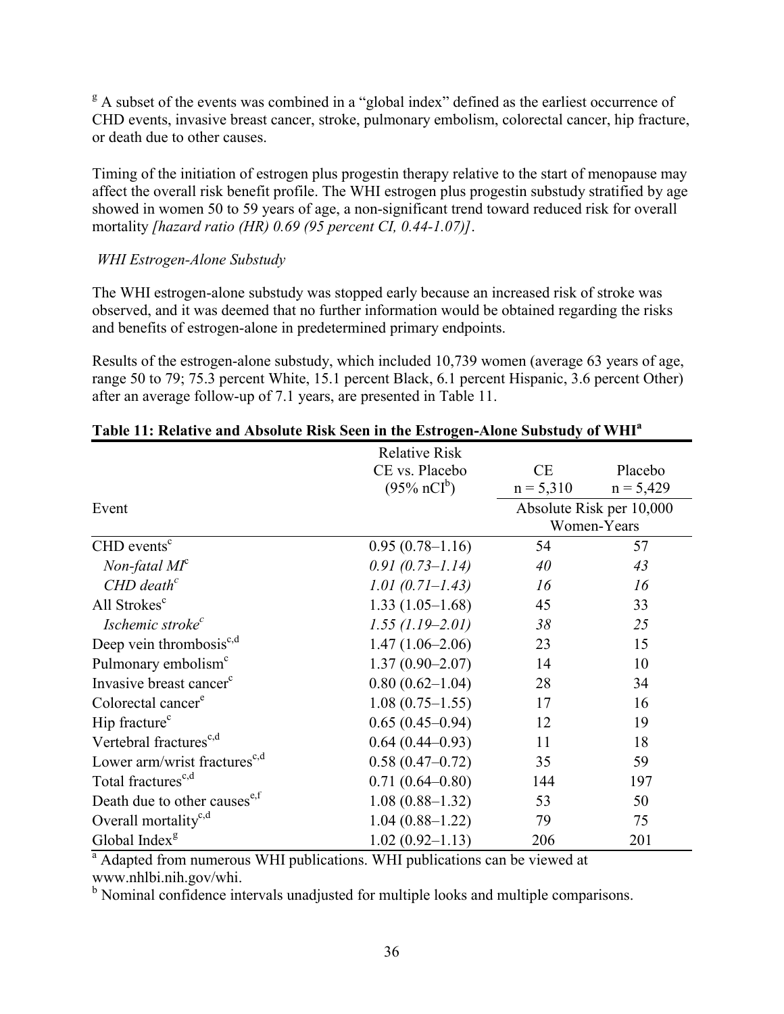<sup>g</sup> A subset of the events was combined in a "global index" defined as the earliest occurrence of CHD events, invasive breast cancer, stroke, pulmonary embolism, colorectal cancer, hip fracture, or death due to other causes.

Timing of the initiation of estrogen plus progestin therapy relative to the start of menopause may affect the overall risk benefit profile. The WHI estrogen plus progestin substudy stratified by age showed in women 50 to 59 years of age, a non-significant trend toward reduced risk for overall mortality *[hazard ratio (HR) 0.69 (95 percent CI, 0.44-1.07)]*.

#### *WHI Estrogen-Alone Substudy*

The WHI estrogen-alone substudy was stopped early because an increased risk of stroke was observed, and it was deemed that no further information would be obtained regarding the risks and benefits of estrogen-alone in predetermined primary endpoints.

Results of the estrogen-alone substudy, which included 10,739 women (average 63 years of age, range 50 to 79; 75.3 percent White, 15.1 percent Black, 6.1 percent Hispanic, 3.6 percent Other) after an average follow-up of 7.1 years, are presented in Table 11.

|                                          | <b>Relative Risk</b>     |             |                          |
|------------------------------------------|--------------------------|-------------|--------------------------|
|                                          | CE vs. Placebo           | <b>CE</b>   | Placebo                  |
|                                          | $(95\% \text{ nCI}^{b})$ | $n = 5,310$ | $n = 5,429$              |
| Event                                    |                          |             | Absolute Risk per 10,000 |
|                                          |                          |             | Women-Years              |
| $CHD$ events <sup>c</sup>                | $0.95(0.78-1.16)$        | 54          | 57                       |
| $Non-fatal MIc$                          | $0.91(0.73 - 1.14)$      | 40          | 43                       |
| $CHD$ death <sup>c</sup>                 | $1.01(0.71 - 1.43)$      | 16          | 16                       |
| All Strokes <sup>c</sup>                 | $1.33(1.05-1.68)$        | 45          | 33                       |
| Ischemic stroke <sup>c</sup>             | $1.55$ (1.19–2.01)       | 38          | 25                       |
| Deep vein thrombosis $c, d$              | $1.47(1.06 - 2.06)$      | 23          | 15                       |
| Pulmonary embolism <sup>c</sup>          | $1.37(0.90 - 2.07)$      | 14          | 10                       |
| Invasive breast cancer <sup>c</sup>      | $0.80(0.62 - 1.04)$      | 28          | 34                       |
| Colorectal cancer <sup>e</sup>           | $1.08(0.75-1.55)$        | 17          | 16                       |
| Hip fracture <sup>c</sup>                | $0.65(0.45-0.94)$        | 12          | 19                       |
| Vertebral fractures <sup>c,d</sup>       | $0.64(0.44 - 0.93)$      | 11          | 18                       |
| Lower arm/wrist fractures <sup>c,d</sup> | $0.58(0.47-0.72)$        | 35          | 59                       |
| Total fractures <sup>c,d</sup>           | $0.71(0.64 - 0.80)$      | 144         | 197                      |
| Death due to other causes <sup>e,f</sup> | $1.08(0.88 - 1.32)$      | 53          | 50                       |
| Overall mortality <sup>c,d</sup>         | $1.04(0.88 - 1.22)$      | 79          | 75                       |
| Global Index <sup>g</sup>                | $1.02(0.92 - 1.13)$      | 206         | 201                      |

### **Table 11: Relative and Absolute Risk Seen in the Estrogen-Alone Substudy of WHI<sup>a</sup>**

<sup>a</sup> Adapted from numerous WHI publications. WHI publications can be viewed at www.nhlbi.nih.gov/whi.

<sup>b</sup> Nominal confidence intervals unadjusted for multiple looks and multiple comparisons.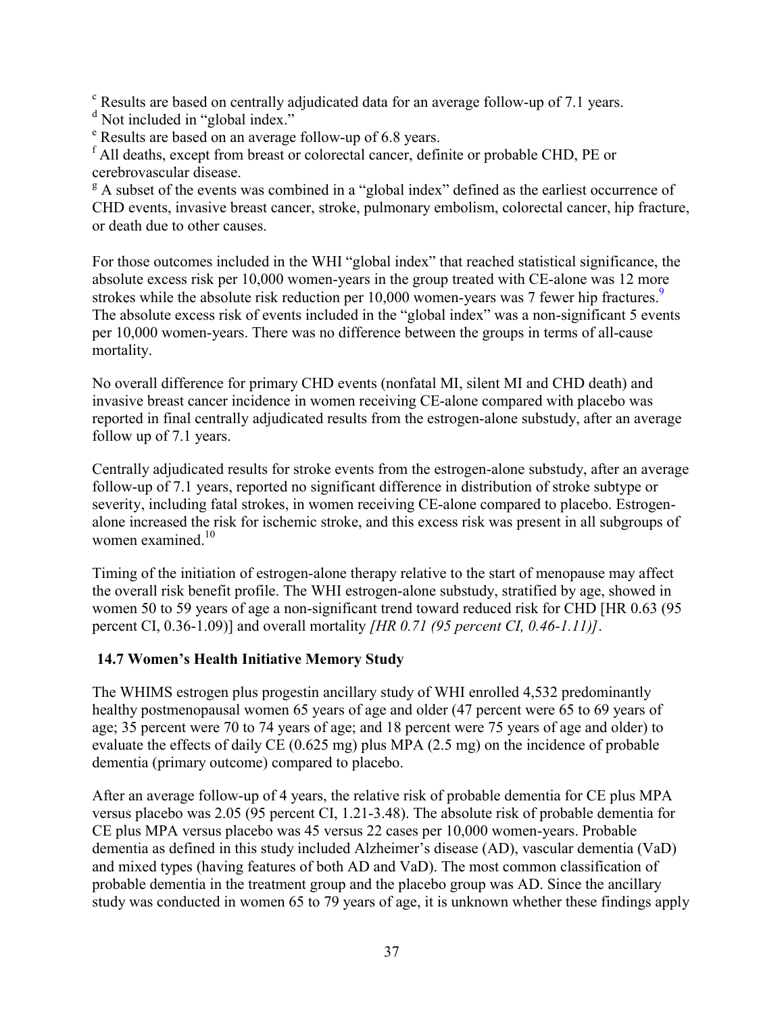$\epsilon$  Results are based on centrally adjudicated data for an average follow-up of 7.1 years.

<sup>d</sup> Not included in "global index."

<sup>e</sup> Results are based on an average follow-up of 6.8 years.

<sup>f</sup> All deaths, except from breast or colorectal cancer, definite or probable CHD, PE or cerebrovascular disease.

<sup>g</sup> A subset of the events was combined in a "global index" defined as the earliest occurrence of CHD events, invasive breast cancer, stroke, pulmonary embolism, colorectal cancer, hip fracture, or death due to other causes.

For those outcomes included in the WHI "global index" that reached statistical significance, the absolute excess risk per 10,000 women-years in the group treated with CE-alone was 12 more strokes while the absolute risk reduction per 10,000 women-years was 7 fewer hip fractures.<sup>9</sup> The absolute excess risk of events included in the "global index" was a non-significant 5 events per 10,000 women-years. There was no difference between the groups in terms of all-cause mortality.

No overall difference for primary CHD events (nonfatal MI, silent MI and CHD death) and invasive breast cancer incidence in women receiving CE-alone compared with placebo was reported in final centrally adjudicated results from the estrogen-alone substudy, after an average follow up of 7.1 years.

Centrally adjudicated results for stroke events from the estrogen-alone substudy, after an average follow-up of 7.1 years, reported no significant difference in distribution of stroke subtype or severity, including fatal strokes, in women receiving CE-alone compared to placebo. Estrogenalone increased the risk for ischemic stroke, and this excess risk was present in all subgroups of women examined. $10<sup>10</sup>$ 

Timing of the initiation of estrogen-alone therapy relative to the start of menopause may affect the overall risk benefit profile. The WHI estrogen-alone substudy, stratified by age, showed in women 50 to 59 years of age a non-significant trend toward reduced risk for CHD [HR 0.63 (95 percent CI, 0.36-1.09)] and overall mortality *[HR 0.71 (95 percent CI, 0.46-1.11)]*.

# **14.7 Women's Health Initiative Memory Study**

The WHIMS estrogen plus progestin ancillary study of WHI enrolled 4,532 predominantly healthy postmenopausal women 65 years of age and older (47 percent were 65 to 69 years of age; 35 percent were 70 to 74 years of age; and 18 percent were 75 years of age and older) to evaluate the effects of daily CE (0.625 mg) plus MPA (2.5 mg) on the incidence of probable dementia (primary outcome) compared to placebo.

After an average follow-up of 4 years, the relative risk of probable dementia for CE plus MPA versus placebo was 2.05 (95 percent CI, 1.21-3.48). The absolute risk of probable dementia for CE plus MPA versus placebo was 45 versus 22 cases per 10,000 women-years. Probable dementia as defined in this study included Alzheimer's disease (AD), vascular dementia (VaD) and mixed types (having features of both AD and VaD). The most common classification of probable dementia in the treatment group and the placebo group was AD. Since the ancillary study was conducted in women 65 to 79 years of age, it is unknown whether these findings apply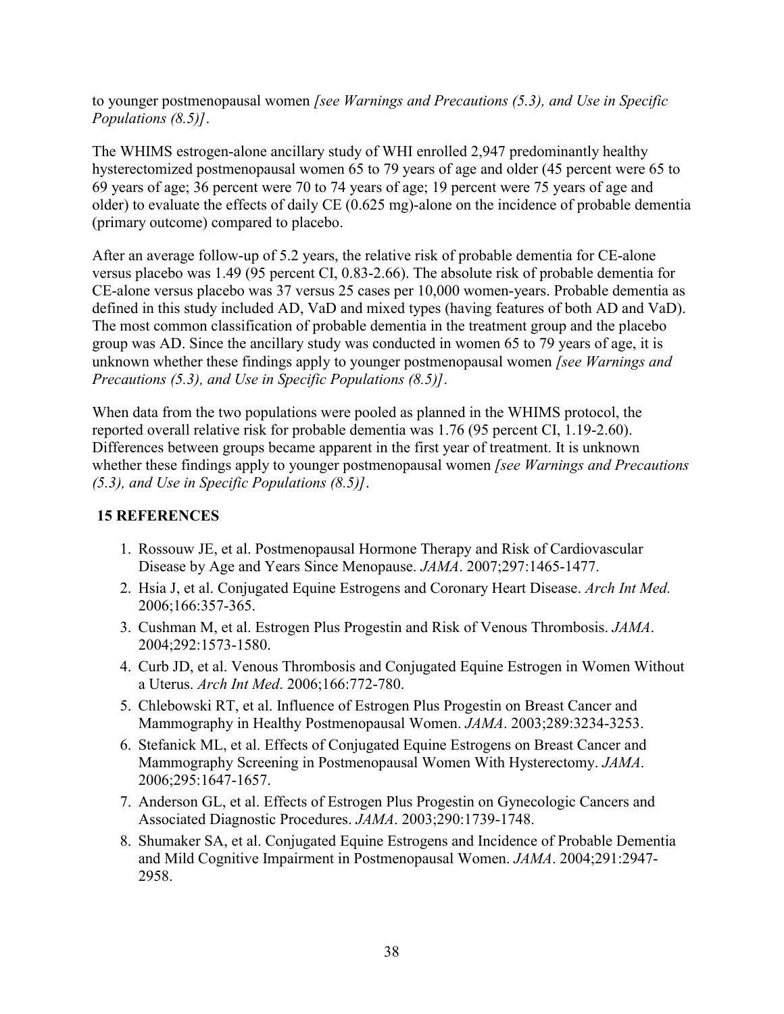to younger postmenopausal women *[see Warnings and Precautions (5.3), and Use in Specific Populations (8.5)]*.

The WHIMS estrogen-alone ancillary study of WHI enrolled 2,947 predominantly healthy hysterectomized postmenopausal women 65 to 79 years of age and older (45 percent were 65 to 69 years of age; 36 percent were 70 to 74 years of age; 19 percent were 75 years of age and older) to evaluate the effects of daily CE (0.625 mg)-alone on the incidence of probable dementia (primary outcome) compared to placebo.

After an average follow-up of 5.2 years, the relative risk of probable dementia for CE-alone versus placebo was 1.49 (95 percent CI, 0.83-2.66). The absolute risk of probable dementia for CE-alone versus placebo was 37 versus 25 cases per 10,000 women-years. Probable dementia as defined in this study included AD, VaD and mixed types (having features of both AD and VaD). The most common classification of probable dementia in the treatment group and the placebo group was AD. Since the ancillary study was conducted in women 65 to 79 years of age, it is unknown whether these findings apply to younger postmenopausal women *[see Warnings and Precautions (5.3), and Use in Specific Populations (8.5)]*.

When data from the two populations were pooled as planned in the WHIMS protocol, the reported overall relative risk for probable dementia was 1.76 (95 percent CI, 1.19-2.60). Differences between groups became apparent in the first year of treatment. It is unknown whether these findings apply to younger postmenopausal women *[see Warnings and Precautions (5.3), and Use in Specific Populations (8.5)]*.

# **15 REFERENCES**

- 1. Rossouw JE, et al. Postmenopausal Hormone Therapy and Risk of Cardiovascular Disease by Age and Years Since Menopause. *JAMA*. 2007;297:1465-1477.
- 2. Hsia J, et al. Conjugated Equine Estrogens and Coronary Heart Disease. *Arch Int Med.* 2006;166:357-365.
- 3. Cushman M, et al. Estrogen Plus Progestin and Risk of Venous Thrombosis. *JAMA*. 2004;292:1573-1580.
- 4. Curb JD, et al. Venous Thrombosis and Conjugated Equine Estrogen in Women Without a Uterus. *Arch Int Med*. 2006;166:772-780.
- 5. Chlebowski RT, et al. Influence of Estrogen Plus Progestin on Breast Cancer and Mammography in Healthy Postmenopausal Women. *JAMA*. 2003;289:3234-3253.
- 6. Stefanick ML, et al. Effects of Conjugated Equine Estrogens on Breast Cancer and Mammography Screening in Postmenopausal Women With Hysterectomy. *JAMA*. 2006;295:1647-1657.
- 7. Anderson GL, et al. Effects of Estrogen Plus Progestin on Gynecologic Cancers and Associated Diagnostic Procedures. *JAMA*. 2003;290:1739-1748.
- 8. Shumaker SA, et al. Conjugated Equine Estrogens and Incidence of Probable Dementia and Mild Cognitive Impairment in Postmenopausal Women. *JAMA*. 2004;291:2947- 2958.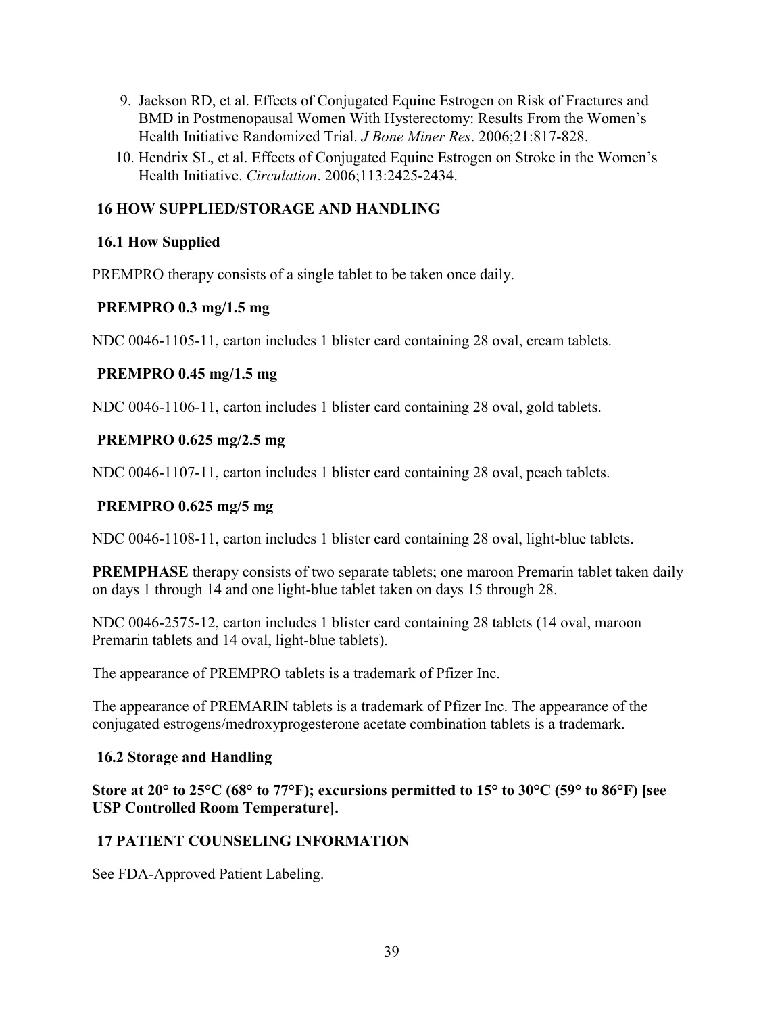- 9. Jackson RD, et al. Effects of Conjugated Equine Estrogen on Risk of Fractures and BMD in Postmenopausal Women With Hysterectomy: Results From the Women's Health Initiative Randomized Trial. *J Bone Miner Res*. 2006;21:817-828.
- 10. Hendrix SL, et al. Effects of Conjugated Equine Estrogen on Stroke in the Women's Health Initiative. *Circulation*. 2006;113:2425-2434.

# **16 HOW SUPPLIED/STORAGE AND HANDLING**

# **16.1 How Supplied**

PREMPRO therapy consists of a single tablet to be taken once daily.

# **PREMPRO 0.3 mg/1.5 mg**

NDC 0046-1105-11, carton includes 1 blister card containing 28 oval, cream tablets.

# **PREMPRO 0.45 mg/1.5 mg**

NDC 0046-1106-11, carton includes 1 blister card containing 28 oval, gold tablets.

# **PREMPRO 0.625 mg/2.5 mg**

NDC 0046-1107-11, carton includes 1 blister card containing 28 oval, peach tablets.

# **PREMPRO 0.625 mg/5 mg**

NDC 0046-1108-11, carton includes 1 blister card containing 28 oval, light-blue tablets.

**PREMPHASE** therapy consists of two separate tablets; one maroon Premarin tablet taken daily on days 1 through 14 and one light-blue tablet taken on days 15 through 28.

NDC 0046-2575-12, carton includes 1 blister card containing 28 tablets (14 oval, maroon Premarin tablets and 14 oval, light-blue tablets).

The appearance of PREMPRO tablets is a trademark of Pfizer Inc.

The appearance of PREMARIN tablets is a trademark of Pfizer Inc. The appearance of the conjugated estrogens/medroxyprogesterone acetate combination tablets is a trademark.

### **16.2 Storage and Handling**

**Store at 20° to 25°C (68° to 77°F); excursions permitted to 15° to 30°C (59° to 86°F) [see USP Controlled Room Temperature].**

# **17 PATIENT COUNSELING INFORMATION**

See FDA-Approved Patient Labeling.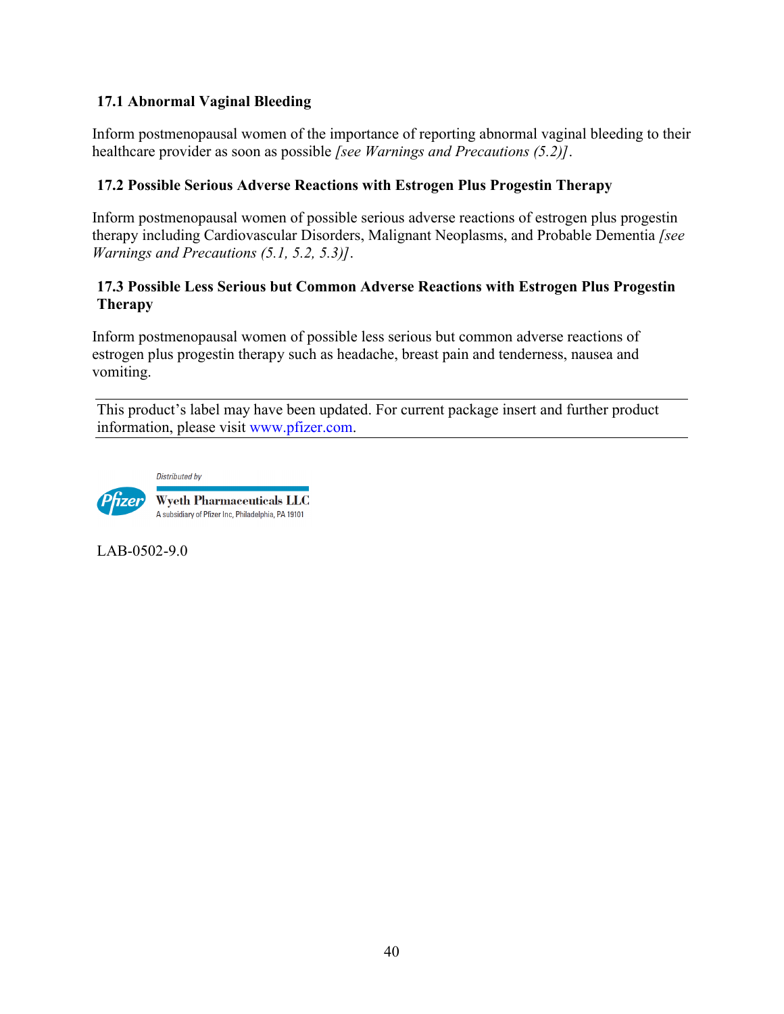# **17.1 Abnormal Vaginal Bleeding**

Inform postmenopausal women of the importance of reporting abnormal vaginal bleeding to their healthcare provider as soon as possible *[see Warnings and Precautions (5.2)]*.

#### **17.2 Possible Serious Adverse Reactions with Estrogen Plus Progestin Therapy**

Inform postmenopausal women of possible serious adverse reactions of estrogen plus progestin therapy including Cardiovascular Disorders, Malignant Neoplasms, and Probable Dementia *[see Warnings and Precautions (5.1, 5.2, 5.3)]*.

#### **17.3 Possible Less Serious but Common Adverse Reactions with Estrogen Plus Progestin Therapy**

Inform postmenopausal women of possible less serious but common adverse reactions of estrogen plus progestin therapy such as headache, breast pain and tenderness, nausea and vomiting.

This product's label may have been updated. For current package insert and further product information, please visit [www.pfizer.com.](http://www.pfizer.com/)



fizer

**Wyeth Pharmaceuticals LLC** A subsidiary of Pfizer Inc, Philadelphia, PA 19101

LAB-0502-9.0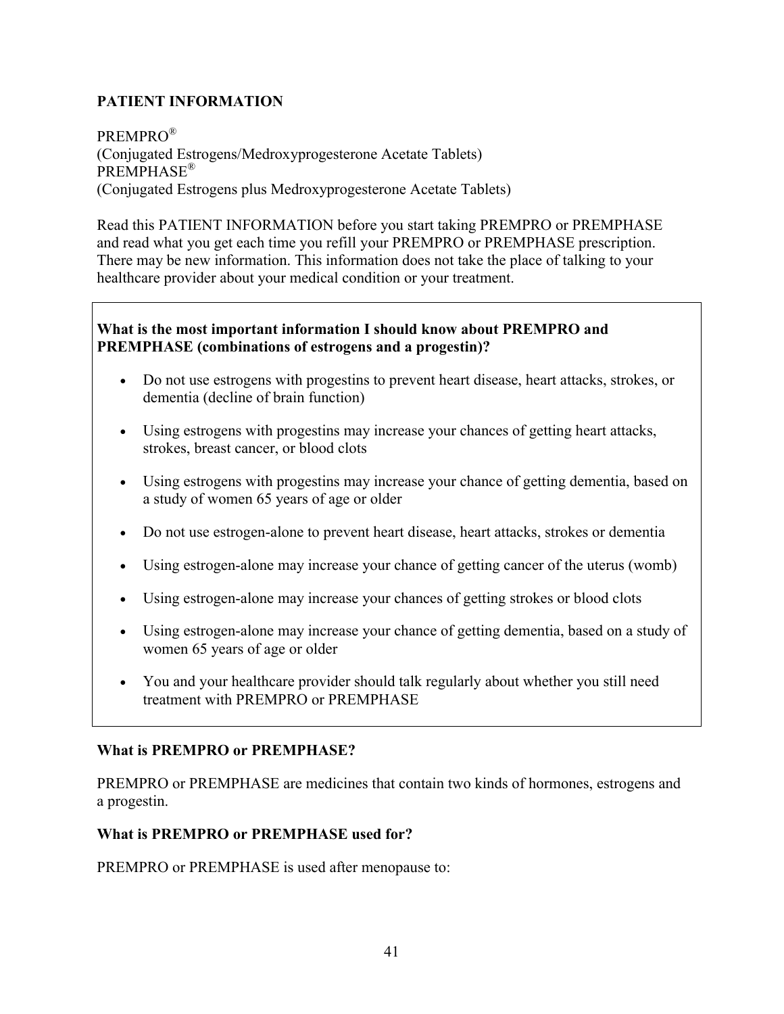# **PATIENT INFORMATION**

PREMPRO® (Conjugated Estrogens/Medroxyprogesterone Acetate Tablets) PREMPHASE® (Conjugated Estrogens plus Medroxyprogesterone Acetate Tablets)

Read this PATIENT INFORMATION before you start taking PREMPRO or PREMPHASE and read what you get each time you refill your PREMPRO or PREMPHASE prescription. There may be new information. This information does not take the place of talking to your healthcare provider about your medical condition or your treatment.

# **What is the most important information I should know about PREMPRO and PREMPHASE (combinations of estrogens and a progestin)?**

- Do not use estrogens with progestins to prevent heart disease, heart attacks, strokes, or dementia (decline of brain function)
- Using estrogens with progestins may increase your chances of getting heart attacks, strokes, breast cancer, or blood clots
- Using estrogens with progestins may increase your chance of getting dementia, based on a study of women 65 years of age or older
- Do not use estrogen-alone to prevent heart disease, heart attacks, strokes or dementia
- Using estrogen-alone may increase your chance of getting cancer of the uterus (womb)
- Using estrogen-alone may increase your chances of getting strokes or blood clots
- Using estrogen-alone may increase your chance of getting dementia, based on a study of women 65 years of age or older
- You and your healthcare provider should talk regularly about whether you still need treatment with PREMPRO or PREMPHASE

### **What is PREMPRO or PREMPHASE?**

PREMPRO or PREMPHASE are medicines that contain two kinds of hormones, estrogens and a progestin.

### **What is PREMPRO or PREMPHASE used for?**

PREMPRO or PREMPHASE is used after menopause to: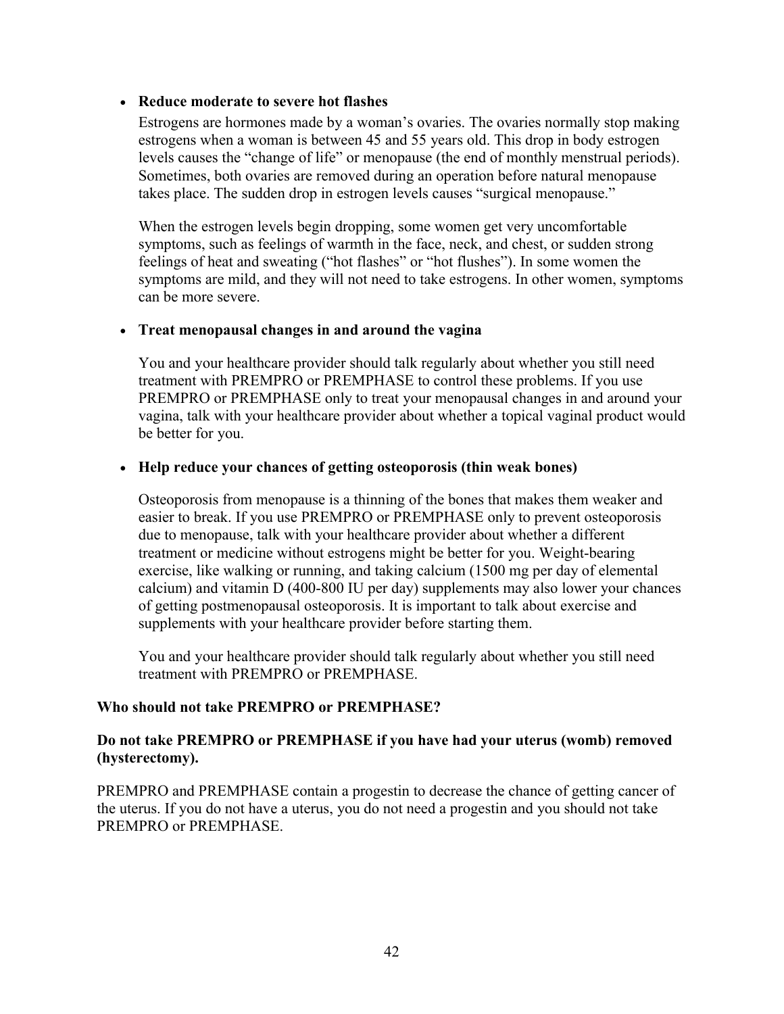#### **Reduce moderate to severe hot flashes**

Estrogens are hormones made by a woman's ovaries. The ovaries normally stop making estrogens when a woman is between 45 and 55 years old. This drop in body estrogen levels causes the "change of life" or menopause (the end of monthly menstrual periods). Sometimes, both ovaries are removed during an operation before natural menopause takes place. The sudden drop in estrogen levels causes "surgical menopause."

When the estrogen levels begin dropping, some women get very uncomfortable symptoms, such as feelings of warmth in the face, neck, and chest, or sudden strong feelings of heat and sweating ("hot flashes" or "hot flushes"). In some women the symptoms are mild, and they will not need to take estrogens. In other women, symptoms can be more severe.

#### **Treat menopausal changes in and around the vagina**

You and your healthcare provider should talk regularly about whether you still need treatment with PREMPRO or PREMPHASE to control these problems. If you use PREMPRO or PREMPHASE only to treat your menopausal changes in and around your vagina, talk with your healthcare provider about whether a topical vaginal product would be better for you.

#### **Help reduce your chances of getting osteoporosis (thin weak bones)**

Osteoporosis from menopause is a thinning of the bones that makes them weaker and easier to break. If you use PREMPRO or PREMPHASE only to prevent osteoporosis due to menopause, talk with your healthcare provider about whether a different treatment or medicine without estrogens might be better for you. Weight-bearing exercise, like walking or running, and taking calcium (1500 mg per day of elemental calcium) and vitamin D (400-800 IU per day) supplements may also lower your chances of getting postmenopausal osteoporosis. It is important to talk about exercise and supplements with your healthcare provider before starting them.

You and your healthcare provider should talk regularly about whether you still need treatment with PREMPRO or PREMPHASE.

### **Who should not take PREMPRO or PREMPHASE?**

### **Do not take PREMPRO or PREMPHASE if you have had your uterus (womb) removed (hysterectomy).**

PREMPRO and PREMPHASE contain a progestin to decrease the chance of getting cancer of the uterus. If you do not have a uterus, you do not need a progestin and you should not take PREMPRO or PREMPHASE.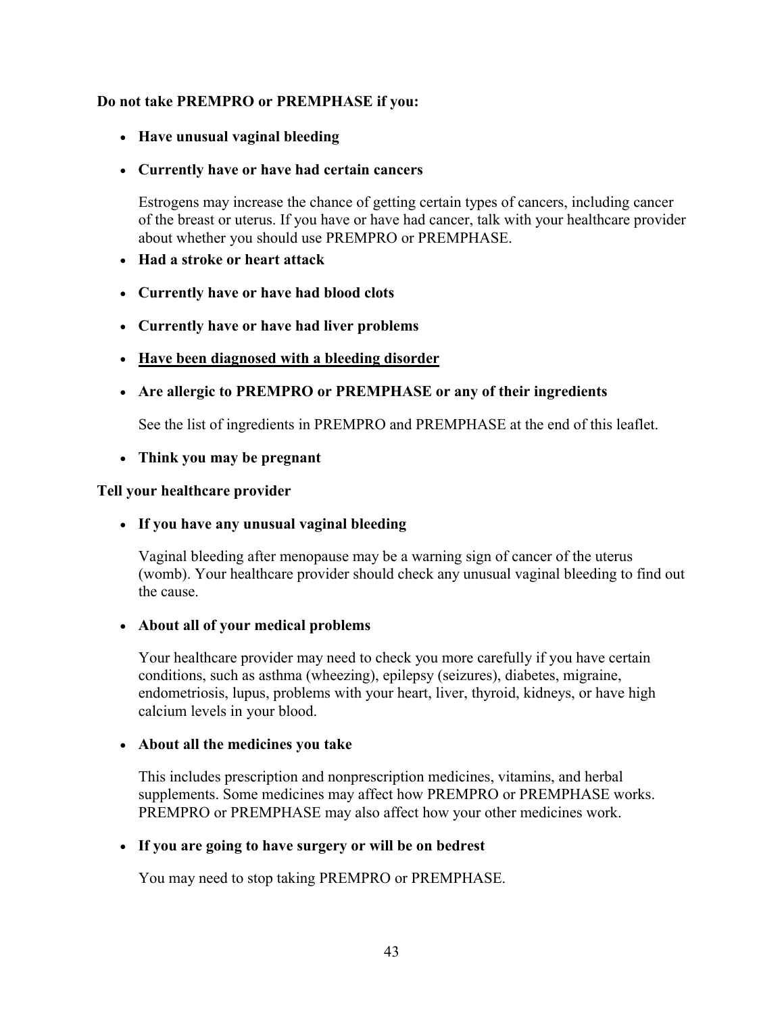#### **Do not take PREMPRO or PREMPHASE if you:**

- **Have unusual vaginal bleeding**
- **Currently have or have had certain cancers**

Estrogens may increase the chance of getting certain types of cancers, including cancer of the breast or uterus. If you have or have had cancer, talk with your healthcare provider about whether you should use PREMPRO or PREMPHASE.

- **Had a stroke or heart attack**
- **Currently have or have had blood clots**
- **Currently have or have had liver problems**
- **Have been diagnosed with a bleeding disorder**
- **Are allergic to PREMPRO or PREMPHASE or any of their ingredients**

See the list of ingredients in PREMPRO and PREMPHASE at the end of this leaflet.

**Think you may be pregnant**

#### **Tell your healthcare provider**

### **If you have any unusual vaginal bleeding**

Vaginal bleeding after menopause may be a warning sign of cancer of the uterus (womb). Your healthcare provider should check any unusual vaginal bleeding to find out the cause.

#### **About all of your medical problems**

Your healthcare provider may need to check you more carefully if you have certain conditions, such as asthma (wheezing), epilepsy (seizures), diabetes, migraine, endometriosis, lupus, problems with your heart, liver, thyroid, kidneys, or have high calcium levels in your blood.

#### **About all the medicines you take**

This includes prescription and nonprescription medicines, vitamins, and herbal supplements. Some medicines may affect how PREMPRO or PREMPHASE works. PREMPRO or PREMPHASE may also affect how your other medicines work.

#### **If you are going to have surgery or will be on bedrest**

You may need to stop taking PREMPRO or PREMPHASE.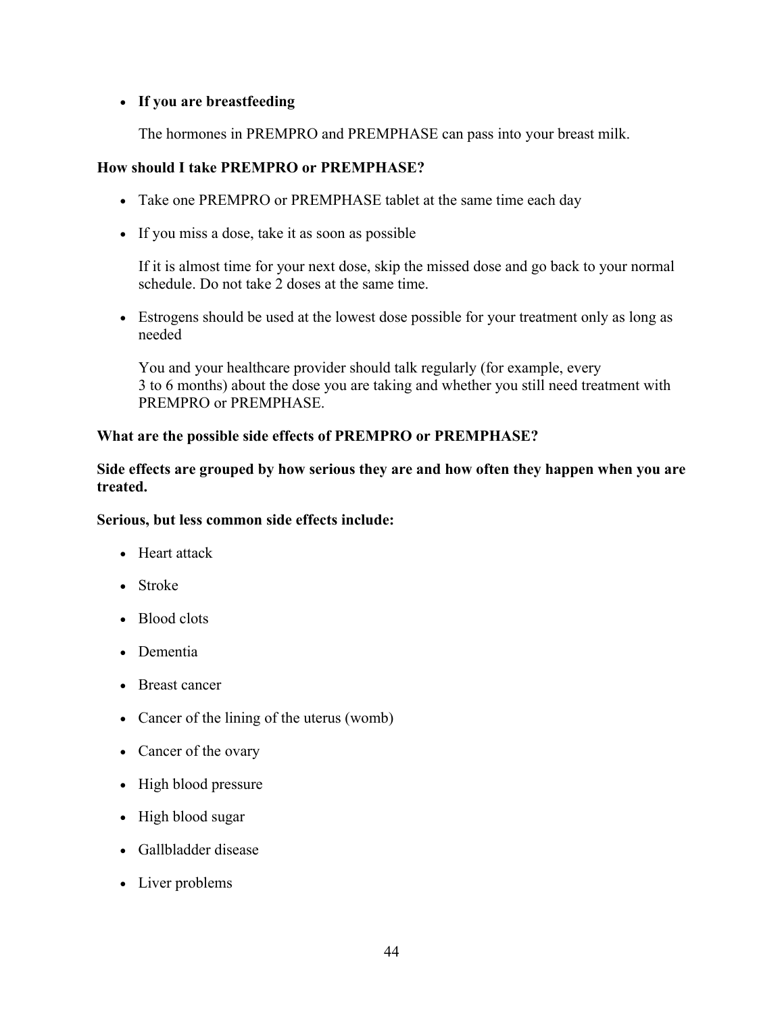# **If you are breastfeeding**

The hormones in PREMPRO and PREMPHASE can pass into your breast milk.

### **How should I take PREMPRO or PREMPHASE?**

- Take one PREMPRO or PREMPHASE tablet at the same time each day
- If you miss a dose, take it as soon as possible

If it is almost time for your next dose, skip the missed dose and go back to your normal schedule. Do not take 2 doses at the same time.

 Estrogens should be used at the lowest dose possible for your treatment only as long as needed

You and your healthcare provider should talk regularly (for example, every 3 to 6 months) about the dose you are taking and whether you still need treatment with PREMPRO or PREMPHASE.

### **What are the possible side effects of PREMPRO or PREMPHASE?**

**Side effects are grouped by how serious they are and how often they happen when you are treated.**

**Serious, but less common side effects include:** 

- Heart attack
- Stroke
- Blood clots
- Dementia
- Breast cancer
- Cancer of the lining of the uterus (womb)
- Cancer of the ovary
- High blood pressure
- High blood sugar
- Gallbladder disease
- Liver problems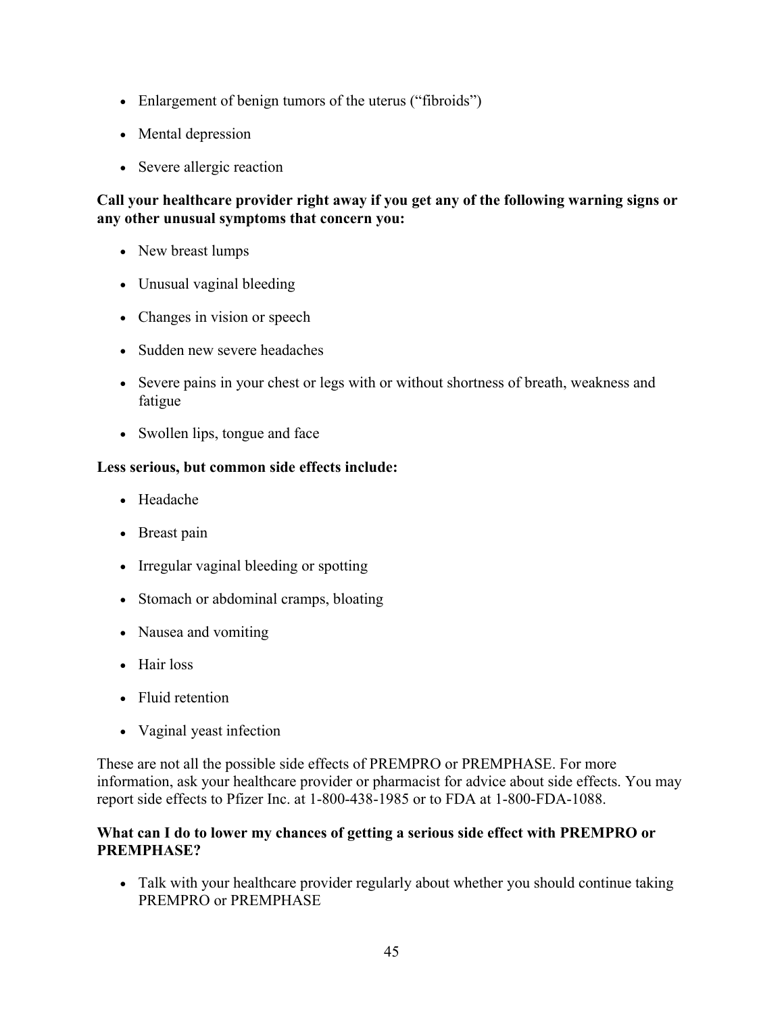- Enlargement of benign tumors of the uterus ("fibroids")
- Mental depression
- Severe allergic reaction

### **Call your healthcare provider right away if you get any of the following warning signs or any other unusual symptoms that concern you:**

- New breast lumps
- Unusual vaginal bleeding
- Changes in vision or speech
- Sudden new severe headaches
- Severe pains in your chest or legs with or without shortness of breath, weakness and fatigue
- Swollen lips, tongue and face

### **Less serious, but common side effects include:**

- Headache
- Breast pain
- Irregular vaginal bleeding or spotting
- Stomach or abdominal cramps, bloating
- Nausea and vomiting
- Hair loss
- Fluid retention
- Vaginal yeast infection

These are not all the possible side effects of PREMPRO or PREMPHASE. For more information, ask your healthcare provider or pharmacist for advice about side effects. You may report side effects to Pfizer Inc. at 1-800-438-1985 or to FDA at 1-800-FDA-1088.

### **What can I do to lower my chances of getting a serious side effect with PREMPRO or PREMPHASE?**

 Talk with your healthcare provider regularly about whether you should continue taking PREMPRO or PREMPHASE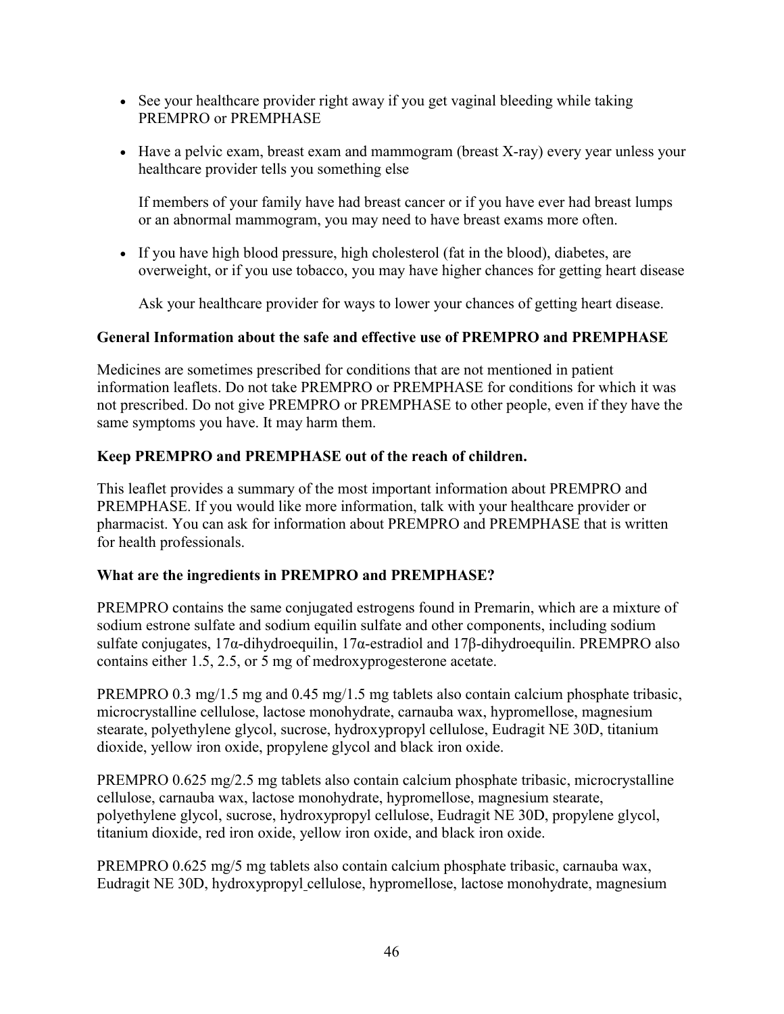- See your healthcare provider right away if you get vaginal bleeding while taking PREMPRO or PREMPHASE
- Have a pelvic exam, breast exam and mammogram (breast X-ray) every year unless your healthcare provider tells you something else

If members of your family have had breast cancer or if you have ever had breast lumps or an abnormal mammogram, you may need to have breast exams more often.

 If you have high blood pressure, high cholesterol (fat in the blood), diabetes, are overweight, or if you use tobacco, you may have higher chances for getting heart disease

Ask your healthcare provider for ways to lower your chances of getting heart disease.

# **General Information about the safe and effective use of PREMPRO and PREMPHASE**

Medicines are sometimes prescribed for conditions that are not mentioned in patient information leaflets. Do not take PREMPRO or PREMPHASE for conditions for which it was not prescribed. Do not give PREMPRO or PREMPHASE to other people, even if they have the same symptoms you have. It may harm them.

# **Keep PREMPRO and PREMPHASE out of the reach of children.**

This leaflet provides a summary of the most important information about PREMPRO and PREMPHASE. If you would like more information, talk with your healthcare provider or pharmacist. You can ask for information about PREMPRO and PREMPHASE that is written for health professionals.

### **What are the ingredients in PREMPRO and PREMPHASE?**

PREMPRO contains the same conjugated estrogens found in Premarin, which are a mixture of sodium estrone sulfate and sodium equilin sulfate and other components, including sodium sulfate conjugates, 17α-dihydroequilin, 17α-estradiol and 17β-dihydroequilin. PREMPRO also contains either 1.5, 2.5, or 5 mg of medroxyprogesterone acetate.

PREMPRO 0.3 mg/1.5 mg and 0.45 mg/1.5 mg tablets also contain calcium phosphate tribasic, microcrystalline cellulose, lactose monohydrate, carnauba wax, hypromellose, magnesium stearate, polyethylene glycol, sucrose, hydroxypropyl cellulose, Eudragit NE 30D, titanium dioxide, yellow iron oxide, propylene glycol and black iron oxide.

PREMPRO 0.625 mg/2.5 mg tablets also contain calcium phosphate tribasic, microcrystalline cellulose, carnauba wax, lactose monohydrate, hypromellose, magnesium stearate, polyethylene glycol, sucrose, hydroxypropyl cellulose, Eudragit NE 30D, propylene glycol, titanium dioxide, red iron oxide, yellow iron oxide, and black iron oxide.

PREMPRO 0.625 mg/5 mg tablets also contain calcium phosphate tribasic, carnauba wax, Eudragit NE 30D, hydroxypropyl cellulose, hypromellose, lactose monohydrate, magnesium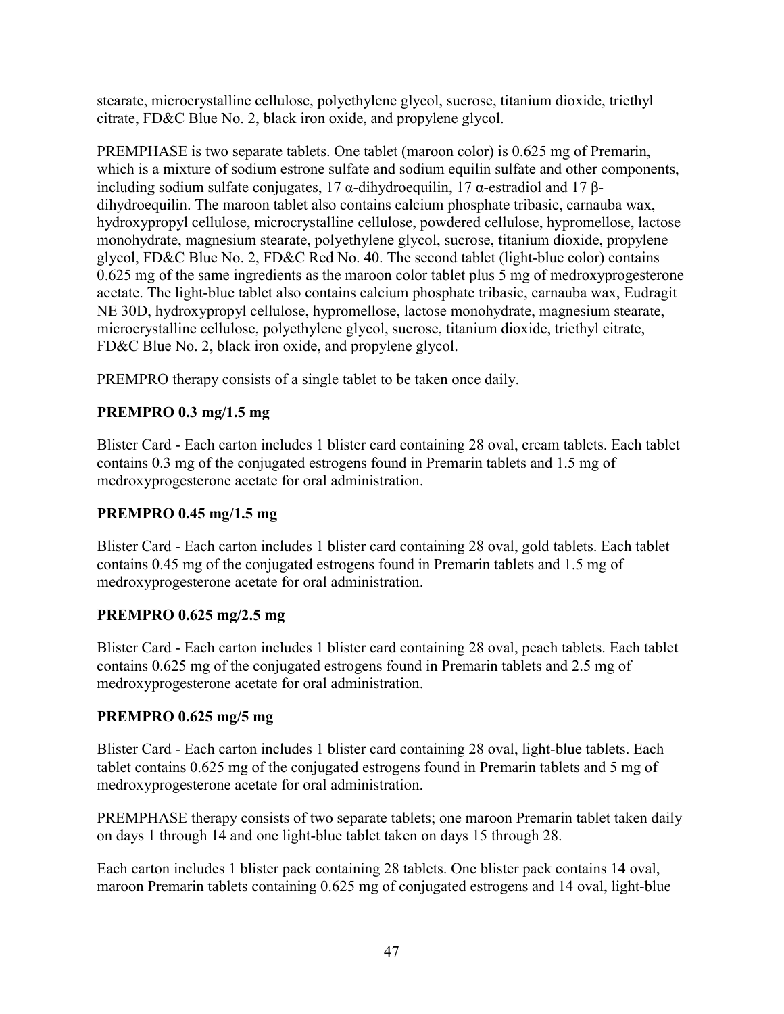stearate, microcrystalline cellulose, polyethylene glycol, sucrose, titanium dioxide, triethyl citrate, FD&C Blue No. 2, black iron oxide, and propylene glycol.

PREMPHASE is two separate tablets. One tablet (maroon color) is 0.625 mg of Premarin, which is a mixture of sodium estrone sulfate and sodium equilin sulfate and other components, including sodium sulfate conjugates, 17 α-dihydroequilin, 17 α-estradiol and 17 βdihydroequilin. The maroon tablet also contains calcium phosphate tribasic, carnauba wax, hydroxypropyl cellulose, microcrystalline cellulose, powdered cellulose, hypromellose, lactose monohydrate, magnesium stearate, polyethylene glycol, sucrose, titanium dioxide, propylene glycol, FD&C Blue No. 2, FD&C Red No. 40. The second tablet (light-blue color) contains 0.625 mg of the same ingredients as the maroon color tablet plus 5 mg of medroxyprogesterone acetate. The light-blue tablet also contains calcium phosphate tribasic, carnauba wax, Eudragit NE 30D, hydroxypropyl cellulose, hypromellose, lactose monohydrate, magnesium stearate, microcrystalline cellulose, polyethylene glycol, sucrose, titanium dioxide, triethyl citrate, FD&C Blue No. 2, black iron oxide, and propylene glycol.

PREMPRO therapy consists of a single tablet to be taken once daily.

# **PREMPRO 0.3 mg/1.5 mg**

Blister Card - Each carton includes 1 blister card containing 28 oval, cream tablets. Each tablet contains 0.3 mg of the conjugated estrogens found in Premarin tablets and 1.5 mg of medroxyprogesterone acetate for oral administration.

# **PREMPRO 0.45 mg/1.5 mg**

Blister Card - Each carton includes 1 blister card containing 28 oval, gold tablets. Each tablet contains 0.45 mg of the conjugated estrogens found in Premarin tablets and 1.5 mg of medroxyprogesterone acetate for oral administration.

# **PREMPRO 0.625 mg/2.5 mg**

Blister Card - Each carton includes 1 blister card containing 28 oval, peach tablets. Each tablet contains 0.625 mg of the conjugated estrogens found in Premarin tablets and 2.5 mg of medroxyprogesterone acetate for oral administration.

# **PREMPRO 0.625 mg/5 mg**

Blister Card - Each carton includes 1 blister card containing 28 oval, light-blue tablets. Each tablet contains 0.625 mg of the conjugated estrogens found in Premarin tablets and 5 mg of medroxyprogesterone acetate for oral administration.

PREMPHASE therapy consists of two separate tablets; one maroon Premarin tablet taken daily on days 1 through 14 and one light-blue tablet taken on days 15 through 28.

Each carton includes 1 blister pack containing 28 tablets. One blister pack contains 14 oval, maroon Premarin tablets containing 0.625 mg of conjugated estrogens and 14 oval, light-blue